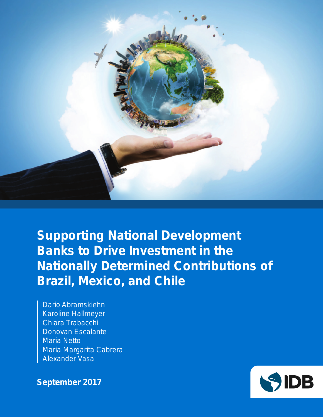

**Supporting National Development Banks to Drive Investment in the Nationally Determined Contributions of Brazil, Mexico, and Chile**

Dario Abramskiehn Karoline Hallmeyer Chiara Trabacchi Donovan Escalante Maria Netto Maria Margarita Cabrera Alexander Vasa

**September 2017**

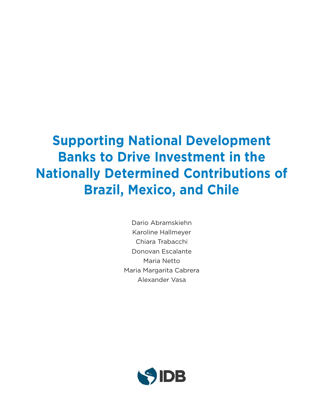### **Supporting National Development Banks to Drive Investment in the Nationally Determined Contributions of Brazil, Mexico, and Chile**

Dario Abramskiehn Karoline Hallmeyer Chiara Trabacchi Donovan Escalante Maria Netto Maria Margarita Cabrera Alexander Vasa

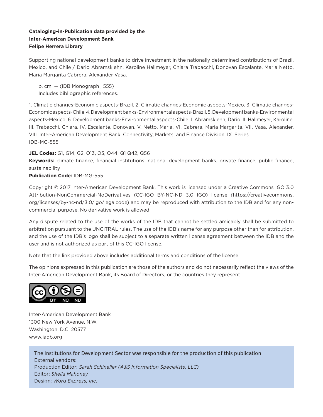#### **Cataloging-in-Publication data provided by the Inter-American Development Bank Felipe Herrera Library**

Supporting national development banks to drive investment in the nationally determined contributions of Brazil, Mexico, and Chile / Dario Abramskiehn, Karoline Hallmeyer, Chiara Trabacchi, Donovan Escalante, Maria Netto, Maria Margarita Cabrera, Alexander Vasa.

p. cm. — (IDB Monograph ; 555) Includes bibliographic references.

1. Climatic changes-Economic aspects-Brazil. 2. Climatic changes-Economic aspects-Mexico. 3. Climatic changes-Economic aspects-Chile. 4. Development banks-Environmental aspects-Brazil. 5. Development banks-Environmental aspects-Mexico. 6. Development banks-Environmental aspects-Chile. I. Abramskiehn, Dario. II. Hallmeyer, Karoline. III. Trabacchi, Chiara. IV. Escalante, Donovan. V. Netto, Maria. VI. Cabrera, Maria Margarita. VII. Vasa, Alexander. VIII. Inter-American Development Bank. Connectivity, Markets, and Finance Division. IX. Series. IDB-MG-555

#### **JEL Codes:** G1, G14, G2, O13, O3, O44, Q1 Q42, Q56

**Keywords:** climate finance, financial institutions, national development banks, private finance, public finance, sustainability

**Publication Code:** IDB-MG-555

Copyright © 2017 Inter-American Development Bank. This work is licensed under a Creative Commons IGO 3.0 Attribution-NonCommercial-NoDerivatives (CC-IGO BY-NC-ND 3.0 IGO) license (https://creativecommons. org/licenses/by-nc-nd/3.0/igo/legalcode) and may be reproduced with attribution to the IDB and for any noncommercial purpose. No derivative work is allowed.

Any dispute related to the use of the works of the IDB that cannot be settled amicably shall be submitted to arbitration pursuant to the UNCITRAL rules. The use of the IDB's name for any purpose other than for attribution, and the use of the IDB's logo shall be subject to a separate written license agreement between the IDB and the user and is not authorized as part of this CC-IGO license.

Note that the link provided above includes additional terms and conditions of the license.

The opinions expressed in this publication are those of the authors and do not necessarily reflect the views of the Inter-American Development Bank, its Board of Directors, or the countries they represent.



Inter-American Development Bank 1300 New York Avenue, N.W. Washington, D.C. 20577 www.iadb.org

The Institutions for Development Sector was responsible for the production of this publication. External vendors: Production Editor: *Sarah Schineller (A&S Information Specialists, LLC)* Editor: *Sheila Mahoney* Design: *Word Express, Inc*.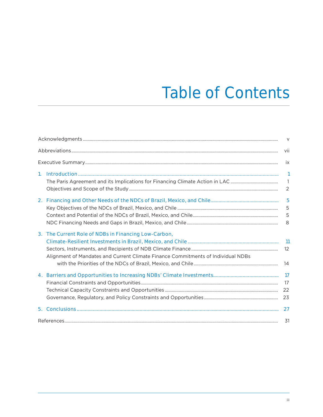# **Table of Contents**

|    |                                                                                  | $\vee$                   |
|----|----------------------------------------------------------------------------------|--------------------------|
|    |                                                                                  | -vii                     |
|    |                                                                                  | <b>ix</b>                |
| 1. |                                                                                  | $\mathbf{1}$             |
|    |                                                                                  | $\overline{\phantom{a}}$ |
|    |                                                                                  | $\overline{2}$           |
| 2. |                                                                                  | 5                        |
|    |                                                                                  | 5                        |
|    |                                                                                  | 5                        |
|    |                                                                                  | 8                        |
|    | 3. The Current Role of NDBs in Financing Low-Carbon,                             |                          |
|    |                                                                                  | $\overline{11}$          |
|    |                                                                                  | 12                       |
|    | Alignment of Mandates and Current Climate Finance Commitments of Individual NDBs |                          |
|    |                                                                                  | 14                       |
|    |                                                                                  | $\overline{17}$          |
|    |                                                                                  | 17                       |
|    |                                                                                  | 22                       |
|    |                                                                                  | 23                       |
|    |                                                                                  |                          |
|    |                                                                                  | 31                       |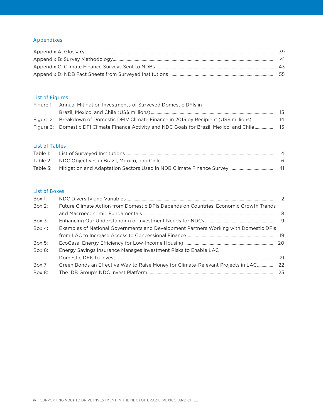#### Appendixes

| - 39 |
|------|
| - 41 |
| - 43 |
|      |

#### List of Figures

| Figure 1: Annual Mitigation Investments of Surveyed Domestic DFIs in                           |      |  |  |  |
|------------------------------------------------------------------------------------------------|------|--|--|--|
|                                                                                                | - 13 |  |  |  |
| Figure 2: Breakdown of Domestic DFIs' Climate Finance in 2015 by Recipient (US\$ millions)  14 |      |  |  |  |
| Figure 3: Domestic DFI Climate Finance Activity and NDC Goals for Brazil, Mexico, and Chile 15 |      |  |  |  |

#### List of Tables

|  | - 6  |
|--|------|
|  | - 41 |

#### List of Boxes

| $Box 1$ : |                                                                                       | 2   |
|-----------|---------------------------------------------------------------------------------------|-----|
| $Box 2$ : | Future Climate Action from Domestic DFIs Depends on Countries' Economic Growth Trends |     |
|           |                                                                                       | 8   |
| $Box 3$ : |                                                                                       |     |
| Box 4:    | Examples of National Governments and Development Partners Working with Domestic DFIs  |     |
|           |                                                                                       |     |
| Box 5:    |                                                                                       |     |
| $Box 6$ : | Energy Savings Insurance Manages Investment Risks to Enable LAC                       |     |
|           |                                                                                       | -21 |
| Box $7:$  | Green Bonds an Effective Way to Raise Money for Climate-Relevant Projects in LAC 22   |     |
| Box 8:    |                                                                                       |     |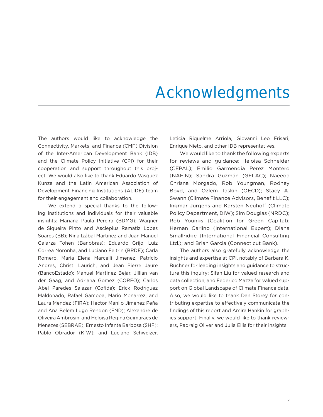### Acknowledgments

The authors would like to acknowledge the Connectivity, Markets, and Finance (CMF) Division of the Inter-American Development Bank (IDB) and the Climate Policy Initiative (CPI) for their cooperation and support throughout this project. We would also like to thank Eduardo Vasquez Kunze and the Latin American Association of Development Financing Institutions (ALIDE) team for their engagement and collaboration.

We extend a special thanks to the following institutions and individuals for their valuable insights: Mariana Paula Pereira (BDMG); Wagner de Siqueira Pinto and Asclepius Ramatiz Lopes Soares (BB); Nina Izábal Martinez and Juan Manuel Galarza Tohen (Banobras); Eduardo Grijó, Luiz Correa Noronha, and Luciano Feltrin (BRDE); Carla Romero, Maria Elena Marcelli Jimenez, Patricio Andres, Christi Laurich, and Jean Pierre Jaure (BancoEstado); Manuel Martinez Bejar, Jillian van der Gaag, and Adriana Gomez (CORFO); Carlos Abel Paredes Salazar (Cofide); Erick Rodríguez Maldonado, Rafael Gamboa, Mario Monarrez, and Laura Mendez (FIRA); Hector Manlio Jimenez Peña and Ana Belem Lugo Rendon (FND); Alexandre de Oliveira Ambrosini and Heloisa Regina Guimaraes de Menezes (SEBRAE); Ernesto Infante Barbosa (SHF); Pablo Obrador (KfW); and Luciano Schweizer, Leticia Riquelme Arriola, Giovanni Leo Frisari, Enrique Nieto, and other IDB representatives.

We would like to thank the following experts for reviews and guidance: Heloisa Schneider (CEPAL); Emilio Garmendia Perez Montero (NAFIN); Sandra Guzmán (GFLAC); Naeeda Chrisna Morgado, Rob Youngman, Rodney Boyd, and Ozlem Taskin (OECD); Stacy A. Swann (Climate Finance Advisors, Benefit LLC); Ingmar Jurgens and Karsten Neuhoff (Climate Policy Department, DIW); Sim Douglas (NRDC); Rob Youngs (Coalition for Green Capital); Hernan Carlino (International Expert); Diana Smallridge (International Financial Consulting Ltd.); and Brian Garcia (Connecticut Bank).

The authors also gratefully acknowledge the insights and expertise at CPI, notably of Barbara K. Buchner for leading insights and guidance to structure this inquiry; Sifan Liu for valued research and data collection; and Federico Mazza for valued support on Global Landscape of Climate Finance data. Also, we would like to thank Dan Storey for contributing expertise to effectively communicate the findings of this report and Amira Hankin for graphics support. Finally, we would like to thank reviewers, Padraig Oliver and Julia Ellis for their insights.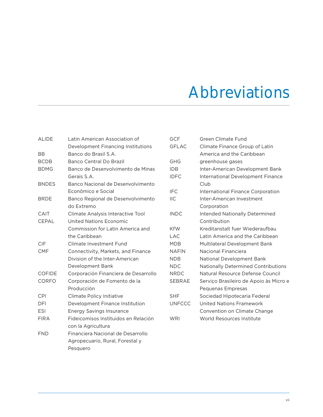# Abbreviations

| <b>ALIDE</b>  | Latin American Association of        | <b>GCF</b>    | <b>Green Climate Fund</b>                  |
|---------------|--------------------------------------|---------------|--------------------------------------------|
|               | Development Financing Institutions   | <b>GFLAC</b>  | Climate Finance Group of Latin             |
| <b>BB</b>     | Banco do Brasil S.A.                 |               | America and the Caribbean                  |
| <b>BCDB</b>   | Banco Central Do Brazil              | <b>GHG</b>    | greenhouse gases                           |
| <b>BDMG</b>   | Banco de Desenvolvimento de Minas    | <b>IDB</b>    | Inter-American Development Bank            |
|               | Gerais S.A.                          | <b>IDFC</b>   | International Development Finance          |
| <b>BNDES</b>  | Banco Nacional de Desenvolvimento    |               | Club                                       |
|               | Econômico e Social                   | <b>IFC</b>    | International Finance Corporation          |
| <b>BRDE</b>   | Banco Regional de Desenvolvimento    | <b>IIC</b>    | Inter-American Investment                  |
|               | do Extremo                           |               | Corporation                                |
| CAIT          | Climate Analysis Interactive Tool    | <b>INDC</b>   | Intended Nationally Determined             |
| <b>CEPAL</b>  | United Nations Economic              |               | Contribution                               |
|               | Commission for Latin America and     | <b>KfW</b>    | Kreditanstalt fuer Wiederaufbau            |
|               | the Caribbean                        | <b>LAC</b>    | Latin America and the Caribbean            |
| CIF           | Climate Investment Fund              | <b>MDB</b>    | Multilateral Development Bank              |
| <b>CMF</b>    | Connectivity, Markets, and Finance   | <b>NAFIN</b>  | <b>Nacional Financiera</b>                 |
|               | Division of the Inter-American       | <b>NDB</b>    | National Development Bank                  |
|               | Development Bank                     | <b>NDC</b>    | <b>Nationally Determined Contributions</b> |
| <b>COFIDE</b> | Corporación Financiera de Desarrollo | <b>NRDC</b>   | Natural Resource Defense Council           |
| CORFO         | Corporación de Fomento de la         | SEBRAE        | Serviço Brasileiro de Apoio às Micro e     |
|               | Producción                           |               | Pequenas Empresas                          |
| CPI           | Climate Policy Initiative            | <b>SHF</b>    | Sociedad Hipotecaria Federal               |
| DFI           | Development Finance Institution      | <b>UNFCCC</b> | <b>United Nations Framework</b>            |
| <b>ESI</b>    | <b>Energy Savings Insurance</b>      |               | Convention on Climate Change               |
| <b>FIRA</b>   | Fideicomisos Instituidos en Relación | <b>WRI</b>    | World Resources Institute                  |
|               | con la Agricultura                   |               |                                            |
| <b>FND</b>    | Financiera Nacional de Desarrollo    |               |                                            |
|               | Agropecuario, Rural, Forestal y      |               |                                            |
|               | Pesquero                             |               |                                            |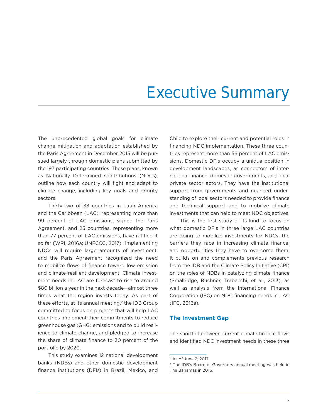## Executive Summary

The unprecedented global goals for climate change mitigation and adaptation established by the Paris Agreement in December 2015 will be pursued largely through domestic plans submitted by the 197 participating countries. These plans, known as Nationally Determined Contributions (NDCs), outline how each country will fight and adapt to climate change, including key goals and priority sectors.

Thirty-two of 33 countries in Latin America and the Caribbean (LAC), representing more than 99 percent of LAC emissions, signed the Paris Agreement, and 25 countries, representing more than 77 percent of LAC emissions, have ratified it so far (WRI, 2016a; UNFCCC, 2017).<sup>1</sup> Implementing NDCs will require large amounts of investment, and the Paris Agreement recognized the need to mobilize flows of finance toward low emission and climate-resilient development. Climate investment needs in LAC are forecast to rise to around \$80 billion a year in the next decade—almost three times what the region invests today. As part of these efforts, at its annual meeting, $2$  the IDB Group committed to focus on projects that will help LAC countries implement their commitments to reduce greenhouse gas (GHG) emissions and to build resilience to climate change, and pledged to increase the share of climate finance to 30 percent of the portfolio by 2020.

This study examines 12 national development banks (NDBs) and other domestic development finance institutions (DFIs) in Brazil, Mexico, and

Chile to explore their current and potential roles in financing NDC implementation. These three countries represent more than 56 percent of LAC emissions. Domestic DFIs occupy a unique position in development landscapes, as connectors of international finance, domestic governments, and local private sector actors. They have the institutional support from governments and nuanced understanding of local sectors needed to provide finance and technical support and to mobilize climate investments that can help to meet NDC objectives.

This is the first study of its kind to focus on what domestic DFIs in three large LAC countries are doing to mobilize investments for NDCs, the barriers they face in increasing climate finance, and opportunities they have to overcome them. It builds on and complements previous research from the IDB and the Climate Policy Initiative (CPI) on the roles of NDBs in catalyzing climate finance (Smallridge, Buchner, Trabacchi, et al., 2013), as well as analysis from the International Finance Corporation (IFC) on NDC financing needs in LAC (IFC, 2016a).

#### **The Investment Gap**

The shortfall between current climate finance flows and identified NDC investment needs in these three

<sup>1</sup> As of June 2, 2017.

<sup>2</sup> The IDB's Board of Governors annual meeting was held in The Bahamas in 2016.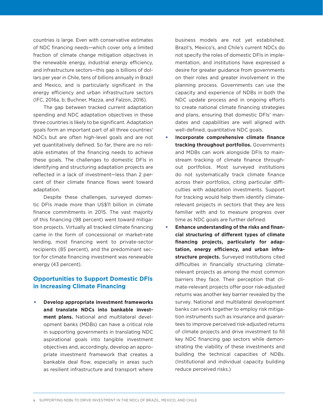countries is large. Even with conservative estimates of NDC financing needs—which cover only a limited fraction of climate change mitigation objectives in the renewable energy, industrial energy efficiency, and infrastructure sectors—this gap is billions of dollars per year in Chile, tens of billions annually in Brazil and Mexico, and is particularly significant in the energy efficiency and urban infrastructure sectors (IFC, 2016a, b; Buchner, Mazza, and Falzon, 2016).

The gap between tracked current adaptation spending and NDC adaptation objectives in these three countries is likely to be significant. Adaptation goals form an important part of all three countries' NDCs but are often high-level goals and are not yet quantitatively defined. So far, there are no reliable estimates of the financing needs to achieve these goals. The challenges to domestic DFIs in identifying and structuring adaptation projects are reflected in a lack of investment—less than 2 percent of their climate finance flows went toward adaptation.

Despite these challenges, surveyed domestic DFIs made more than US\$11 billion in climate finance commitments in 2015. The vast majority of this financing (98 percent) went toward mitigation projects. Virtually all tracked climate financing came in the form of concessional or market-rate lending, most financing went to private-sector recipients (85 percent), and the predominant sector for climate financing investment was renewable energy (43 percent).

#### **Opportunities to Support Domestic DFIs in Increasing Climate Financing**

• **Develop appropriate investment frameworks and translate NDCs into bankable investment plans.** National and multilateral development banks (MDBs) can have a critical role in supporting governments in translating NDC aspirational goals into tangible investment objectives and, accordingly, develop an appropriate investment framework that creates a bankable deal flow, especially in areas such as resilient infrastructure and transport where

business models are not yet established. Brazil's, Mexico's, and Chile's current NDCs do not specify the roles of domestic DFIs in implementation, and institutions have expressed a desire for greater guidance from governments on their roles and greater involvement in the planning process. Governments can use the capacity and experience of NDBs in both the NDC update process and in ongoing efforts to create national climate financing strategies and plans, ensuring that domestic DFIs' mandates and capabilities are well aligned with well-defined, quantitative NDC goals.

- **Incorporate comprehensive climate finance tracking throughout portfolios.** Governments and MDBs can work alongside DFIs to mainstream tracking of climate finance throughout portfolios. Most surveyed institutions do not systematically track climate finance across their portfolios, citing particular difficulties with adaptation investments. Support for tracking would help them identify climaterelevant projects in sectors that they are less familiar with and to measure progress over time as NDC goals are further defined.
- **Enhance understanding of the risks and financial structuring of different types of climate financing projects, particularly for adaptation, energy efficiency, and urban infrastructure projects.** Surveyed institutions cited difficulties in financially structuring climaterelevant projects as among the most common barriers they face. Their perception that climate-relevant projects offer poor risk-adjusted returns was another key barrier revealed by the survey. National and multilateral development banks can work together to employ risk mitigation instruments such as insurance and guarantees to improve perceived risk-adjusted returns of climate projects and drive investment to fill key NDC financing gap sectors while demonstrating the viability of these investments and building the technical capacities of NDBs. (Institutional and individual capacity building reduce perceived risks.)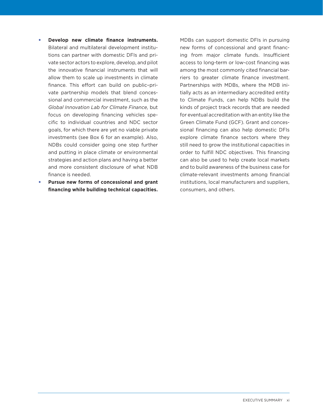- **Develop new climate finance instruments.**  Bilateral and multilateral development institutions can partner with domestic DFIs and private sector actors to explore, develop, and pilot the innovative financial instruments that will allow them to scale up investments in climate finance. This effort can build on public–private partnership models that blend concessional and commercial investment, such as the *Global Innovation Lab for Climate Finance,* but focus on developing financing vehicles specific to individual countries and NDC sector goals, for which there are yet no viable private investments (see Box 6 for an example). Also, NDBs could consider going one step further and putting in place climate or environmental strategies and action plans and having a better and more consistent disclosure of what NDB finance is needed.
- **Pursue new forms of concessional and grant financing while building technical capacities.**

MDBs can support domestic DFIs in pursuing new forms of concessional and grant financing from major climate funds. Insufficient access to long-term or low-cost financing was among the most commonly cited financial barriers to greater climate finance investment. Partnerships with MDBs, where the MDB initially acts as an intermediary accredited entity to Climate Funds, can help NDBs build the kinds of project track records that are needed for eventual accreditation with an entity like the Green Climate Fund (GCF). Grant and concessional financing can also help domestic DFIs explore climate finance sectors where they still need to grow the institutional capacities in order to fulfill NDC objectives. This financing can also be used to help create local markets and to build awareness of the business case for climate-relevant investments among financial institutions, local manufacturers and suppliers, consumers, and others.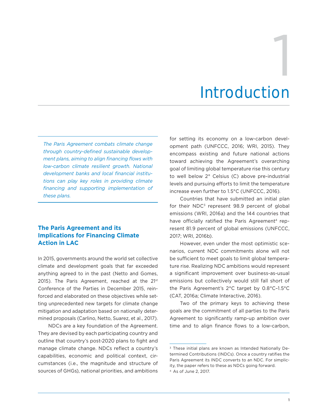# Introduction 1

*The Paris Agreement combats climate change through country-defined sustainable development plans, aiming to align financing flows with low-carbon climate resilient growth. National development banks and local financial institutions can play key roles in providing climate financing and supporting implementation of these plans.* 

#### **The Paris Agreement and its Implications for Financing Climate Action in LAC**

In 2015, governments around the world set collective climate and development goals that far exceeded anything agreed to in the past (Netto and Gomes, 2015). The Paris Agreement, reached at the 21st Conference of the Parties in December 2015, reinforced and elaborated on these objectives while setting unprecedented new targets for climate change mitigation and adaptation based on nationally determined proposals (Carlino, Netto, Suarez, et al., 2017).

NDCs are a key foundation of the Agreement. They are devised by each participating country and outline that country's post-2020 plans to fight and manage climate change. NDCs reflect a country's capabilities, economic and political context, circumstances (i.e., the magnitude and structure of sources of GHGs), national priorities, and ambitions

for setting its economy on a low-carbon development path (UNFCCC, 2016; WRI, 2015). They encompass existing and future national actions toward achieving the Agreement's overarching goal of limiting global temperature rise this century to well below 2° Celsius (C) above pre-industrial levels and pursuing efforts to limit the temperature increase even further to 1.5°C (UNFCCC, 2016).

Countries that have submitted an initial plan for their  $NDC<sup>3</sup>$  represent 98.9 percent of global emissions (WRI, 2016a) and the 144 countries that have officially ratified the Paris Agreement<sup>4</sup> represent 81.9 percent of global emissions (UNFCCC, 2017; WRI, 2016b).

However, even under the most optimistic scenarios, current NDC commitments alone will not be sufficient to meet goals to limit global temperature rise. Realizing NDC ambitions would represent a significant improvement over business-as-usual emissions but collectively would still fall short of the Paris Agreement's 2°C target by 0.8°C–1.5°C (CAT, 2016a; Climate Interactive, 2016).

Two of the primary keys to achieving these goals are the commitment of all parties to the Paris Agreement to significantly ramp-up ambition over time and to align finance flows to a low-carbon,

<sup>3</sup> These initial plans are known as Intended Nationally Determined Contributions (INDCs). Once a country ratifies the Paris Agreement its INDC converts to an NDC. For simplicity, the paper refers to these as NDCs going forward. 4 As of June 2, 2017.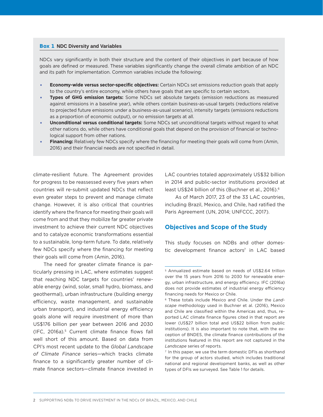#### Box 1 **NDC Diversity and Variables**

NDCs vary significantly in both their structure and the content of their objectives in part because of how goals are defined or measured. These variables significantly change the overall climate ambition of an NDC and its path for implementation. Common variables include the following:

- **Economy-wide versus sector-specific objectives:** Certain NDCs set emissions reduction goals that apply to the country's entire economy, while others have goals that are specific to certain sectors.
- **Types of GHG emission targets:** Some NDCs set absolute targets (emission reductions as measured against emissions in a baseline year), while others contain business-as-usual targets (reductions relative to projected future emissions under a business-as-usual scenario), intensity targets (emissions reductions as a proportion of economic output), or no emission targets at all.
- **Unconditional versus conditional targets:** Some NDCs set unconditional targets without regard to what other nations do, while others have conditional goals that depend on the provision of financial or technological support from other nations.
- **Financing:** Relatively few NDCs specify where the financing for meeting their goals will come from (Amin, 2016) and their financial needs are not specified in detail.

climate-resilient future. The Agreement provides for progress to be reassessed every five years when countries will re-submit updated NDCs that reflect even greater steps to prevent and manage climate change. However, it is also critical that countries identify where the finance for meeting their goals will come from and that they mobilize far greater private investment to achieve their current NDC objectives and to catalyze economic transformations essential to a sustainable, long-term future. To date, relatively few NDCs specify where the financing for meeting their goals will come from (Amin, 2016).

The need for greater climate finance is particularly pressing in LAC, where estimates suggest that reaching NDC targets for countries' renewable energy (wind, solar, small hydro, biomass, and geothermal), urban infrastructure (building energy efficiency, waste management, and sustainable urban transport), and industrial energy efficiency goals alone will require investment of more than US\$176 billion per year between 2016 and 2030 (IFC, 2016a).5 Current climate finance flows fall well short of this amount. Based on data from CPI's most recent update to the *Global Landscape of Climate Finance* series—which tracks climate finance to a significantly greater number of climate finance sectors—climate finance invested in

LAC countries totaled approximately US\$32 billion in 2014 and public-sector institutions provided at least US\$24 billion of this (Buchner et al., 2016).6

As of March 2017, 23 of the 33 LAC countries, including Brazil, Mexico, and Chile, had ratified the Paris Agreement (UN, 2014; UNFCCC, 2017).

#### **Objectives and Scope of the Study**

This study focuses on NDBs and other domestic development finance actors<sup>7</sup> in LAC based

<sup>5</sup> Annualized estimate based on needs of US\$2.64 trillion over the 15 years from 2016 to 2030 for renewable energy, urban infrastructure, and energy efficiency. IFC (2016a) does not provide estimates of industrial energy efficiency financing needs for Mexico or Chile.

<sup>6</sup> These totals include Mexico and Chile. Under the *Landscape* methodology used in Buchner et al. (2016), Mexico and Chile are classified within the Americas and, thus, reported LAC climate finance figures cited in that report are lower (US\$27 billion total and US\$22 billion from public institutions). It is also important to note that, with the exception of BNDES, the climate finance contributions of the institutions featured in this report are not captured in the *Landscape* series of reports.

<sup>7</sup> In this paper, we use the term domestic DFIs as shorthand for the group of actors studied, which includes traditional national and regional development banks, as well as other types of DFIs we surveyed. See Table 1 for details.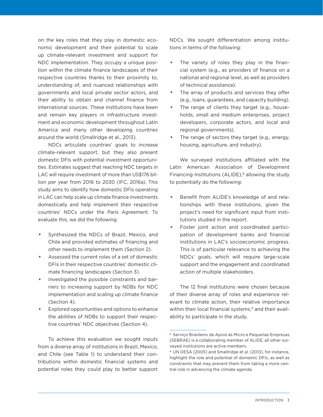on the key roles that they play in domestic economic development and their potential to scale up climate-relevant investment and support for NDC implementation. They occupy a unique position within the climate finance landscapes of their respective countries thanks to their proximity to, understanding of, and nuanced relationships with governments and local private sector actors, and their ability to obtain and channel finance from international sources. These institutions have been and remain key players in infrastructure investment and economic development throughout Latin America and many other developing countries around the world (Smallridge et al., 2013).

NDCs articulate countries' goals to increase climate-relevant support, but they also present domestic DFIs with potential investment opportunities. Estimates suggest that reaching NDC targets in LAC will require investment of more than US\$176 billion per year from 2016 to 2030 (IFC, 2016a). This study aims to identify how domestic DFIs operating in LAC can help scale up climate finance investments domestically and help implement their respective countries' NDCs under the Paris Agreement. To evaluate this, we did the following:

- Synthesized the NDCs of Brazil, Mexico, and Chile and provided estimates of financing and other needs to implement them (Section 2).
- Assessed the current roles of a set of domestic DFIs in their respective countries' domestic climate financing landscapes (Section 3).
- Investigated the possible constraints and barriers to increasing support by NDBs for NDC implementation and scaling up climate finance (Section 4).
- Explored opportunities and options to enhance the abilities of NDBs to support their respective countries' NDC objectives (Section 4).

To achieve this evaluation we sought inputs from a diverse array of institutions in Brazil, Mexico, and Chile (see Table 1) to understand their contributions within domestic financial systems and potential roles they could play to better support

NDCs. We sought differentiation among institutions in terms of the following:

- The variety of roles they play in the financial system (e.g., as providers of finance on a national and regional level, as well as providers of technical assistance).
- The array of products and services they offer (e.g., loans, guarantees, and capacity building).
- The range of clients they target (e.g., households, small and medium enterprises, project developers, corporate actors, and local and regional governments).
- The range of sectors they target (e.g., energy, housing, agriculture, and industry).

We surveyed institutions affiliated with the Latin American Association of Development Financing Institutions (ALIDE), $8$  allowing the study to potentially do the following:

- Benefit from ALIDE's knowledge of and relationships with these institutions, given the project's need for significant input from institutions studied in the report.
- Foster joint action and coordinated participation of development banks and financial institutions in LAC's socioeconomic progress. This is of particular relevance to achieving the NDCs' goals, which will require large-scale support and the engagement and coordinated action of multiple stakeholders.

The 12 final institutions were chosen because of their diverse array of roles and experience relevant to climate action, their relative importance within their local financial systems,<sup>9</sup> and their availability to participate in the study.

<sup>8</sup> Serviço Brasileiro de Apoio às Micro e Pequenas Empresas (SEBRAE) is a collaborating member of ALIDE; all other surveyed institutions are active members.

<sup>9</sup> UN DESA (2005) and Smallridge et al. (2013), for instance, highlight the role and potential of domestic DFIs, as well as constraints that may prevent them from taking a more central role in advancing the climate agenda.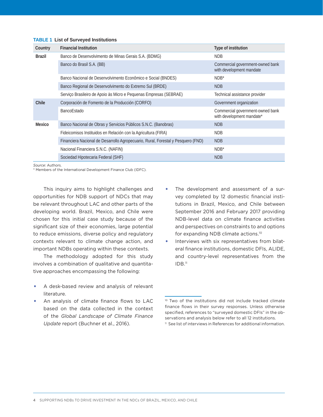#### **TABLE 1 List of Surveyed Institutions**

| Country | <b>Financial Institution</b>                                                     | Type of institution                                           |  |  |
|---------|----------------------------------------------------------------------------------|---------------------------------------------------------------|--|--|
| Brazil  | Banco de Desenvolvimento de Minas Gerais S.A. (BDMG)                             | <b>NDB</b>                                                    |  |  |
|         | Banco do Brasil S.A. (BB)                                                        | Commercial government-owned bank<br>with development mandate  |  |  |
|         | Banco Nacional de Desenvolvimento Econômico e Social (BNDES)                     | $NDB^*$                                                       |  |  |
|         | Banco Regional de Desenvolvimento do Extremo Sul (BRDE)                          | <b>NDB</b>                                                    |  |  |
|         | Serviço Brasileiro de Apoio às Micro e Pequenas Empresas (SEBRAE)                | Technical assistance provider                                 |  |  |
| Chile   | Corporación de Fomento de la Producción (CORFO)                                  | Government organization                                       |  |  |
|         | <b>BancoEstado</b>                                                               | Commercial government-owned bank<br>with development mandate* |  |  |
| Mexico  | Banco Nacional de Obras y Servicios Públicos S.N.C. (Banobras)                   | <b>NDB</b>                                                    |  |  |
|         | Fideicomisos Instituidos en Relación con la Agricultura (FIRA)                   | <b>NDB</b>                                                    |  |  |
|         | Financiera Nacional de Desarrollo Agropecuario, Rural, Forestal y Pesquero (FND) | <b>NDB</b>                                                    |  |  |
|         | Nacional Financiera S.N.C. (NAFIN)                                               | $NDB^*$                                                       |  |  |
|         | Sociedad Hipotecaria Federal (SHF)                                               | <b>NDB</b>                                                    |  |  |

*Source*: Authors.

\* Members of the International Development Finance Club (IDFC).

This inquiry aims to highlight challenges and opportunities for NDB support of NDCs that may be relevant throughout LAC and other parts of the developing world. Brazil, Mexico, and Chile were chosen for this initial case study because of the significant size of their economies, large potential to reduce emissions, diverse policy and regulatory contexts relevant to climate change action, and important NDBs operating within these contexts.

The methodology adopted for this study involves a combination of qualitative and quantitative approaches encompassing the following:

- A desk-based review and analysis of relevant literature.
- An analysis of climate finance flows to LAC based on the data collected in the context of the *Global Landscape of Climate Finance Update* report (Buchner et al., 2016).
- The development and assessment of a survey completed by 12 domestic financial institutions in Brazil, Mexico, and Chile between September 2016 and February 2017 providing NDB-level data on climate finance activities and perspectives on constraints to and options for expanding NDB climate actions.10
- Interviews with six representatives from bilateral finance institutions, domestic DFIs, ALIDE, and country-level representatives from the IDB.11

<sup>10</sup> Two of the institutions did not include tracked climate finance flows in their survey responses. Unless otherwise specified, references to "surveyed domestic DFIs" in the observations and analysis below refer to all 12 institutions.

<sup>11</sup> See list of interviews in References for additional information.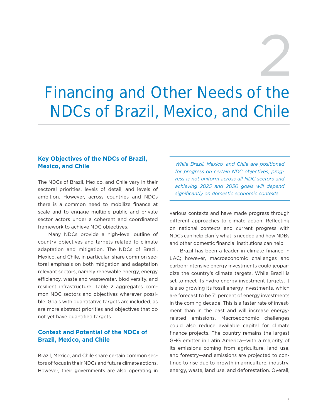# 2

# Financing and Other Needs of the NDCs of Brazil, Mexico, and Chile

#### **Key Objectives of the NDCs of Brazil, Mexico, and Chile**

The NDCs of Brazil, Mexico, and Chile vary in their sectoral priorities, levels of detail, and levels of ambition. However, across countries and NDCs there is a common need to mobilize finance at scale and to engage multiple public and private sector actors under a coherent and coordinated framework to achieve NDC objectives.

Many NDCs provide a high-level outline of country objectives and targets related to climate adaptation and mitigation. The NDCs of Brazil, Mexico, and Chile, in particular, share common sectoral emphasis on both mitigation and adaptation relevant sectors, namely renewable energy, energy efficiency, waste and wastewater, biodiversity, and resilient infrastructure. Table 2 aggregates common NDC sectors and objectives wherever possible. Goals with quantitative targets are included, as are more abstract priorities and objectives that do not yet have quantified targets.

#### **Context and Potential of the NDCs of Brazil, Mexico, and Chile**

Brazil, Mexico, and Chile share certain common sectors of focus in their NDCs and future climate actions. However, their governments are also operating in

*While Brazil, Mexico, and Chile are positioned for progress on certain NDC objectives, progress is not uniform across all NDC sectors and achieving 2025 and 2030 goals will depend significantly on domestic economic contexts.*

various contexts and have made progress through different approaches to climate action. Reflecting on national contexts and current progress with NDCs can help clarify what is needed and how NDBs and other domestic financial institutions can help.

Brazil has been a leader in climate finance in LAC; however, macroeconomic challenges and carbon-intensive energy investments could jeopardize the country's climate targets. While Brazil is set to meet its hydro energy investment targets, it is also growing its fossil energy investments, which are forecast to be 71 percent of energy investments in the coming decade. This is a faster rate of investment than in the past and will increase energyrelated emissions. Macroeconomic challenges could also reduce available capital for climate finance projects. The country remains the largest GHG emitter in Latin America—with a majority of its emissions coming from agriculture, land use, and forestry—and emissions are projected to continue to rise due to growth in agriculture, industry, energy, waste, land use, and deforestation. Overall,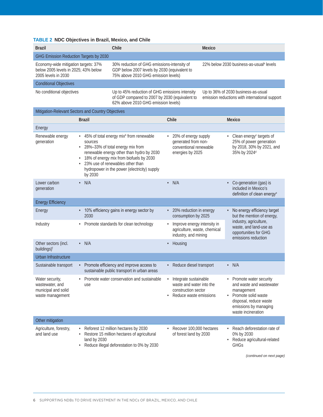#### **TABLE 2 NDC Objectives in Brazil, Mexico, and Chile**

| <b>Brazil</b>                                                                                       | Chile                                                                                                                                   | Mexico                                                                                |  |  |
|-----------------------------------------------------------------------------------------------------|-----------------------------------------------------------------------------------------------------------------------------------------|---------------------------------------------------------------------------------------|--|--|
| GHG Emission Reduction Targets by 2030                                                              |                                                                                                                                         |                                                                                       |  |  |
| Economy-wide mitigation targets: 37%<br>below 2005 levels in 2025; 43% below<br>2005 levels in 2030 | 30% reduction of GHG emissions-intensity of<br>GDP below 2007 levels by 2030 (equivalent to<br>75% above 2010 GHG emission levels)      | 22% below 2030 business-as-usual <sup>a</sup> levels                                  |  |  |
| <b>Conditional Objectives</b>                                                                       |                                                                                                                                         |                                                                                       |  |  |
| No conditional objectives                                                                           | Up to 45% reduction of GHG emissions intensity<br>of GDP compared to 2007 by 2030 (equivalent to<br>62% above 2010 GHG emission levels) | Up to 36% of 2030 business-as-usual<br>emission reductions with international support |  |  |
| Mitigation-Relevant Sectors and Country Objectives                                                  |                                                                                                                                         |                                                                                       |  |  |
| <b>Brazil</b>                                                                                       | Chile                                                                                                                                   | Mexico                                                                                |  |  |
| Energy                                                                                              |                                                                                                                                         |                                                                                       |  |  |
| Renewable energy                                                                                    | 45% of total energy mix <sup>b</sup> from renewable<br>20% of energy supply<br>$\bullet$                                                | Clean energy <sup>c</sup> targets of                                                  |  |  |

| generation                                                                    | sources<br>28%-33% of total energy mix from<br>renewable energy other than hydro by 2030<br>18% of energy mix from biofuels by 2030<br>23% use of renewables other than<br>hydropower in the power (electricity) supply<br>by 2030 | رن<br>generated from non-<br>conventional renewable<br>energies by 2025                                         | 25% of power generation<br>by 2018, 30% by 2021, and<br>35% by 2024 <sup>d</sup>                                                                                              |
|-------------------------------------------------------------------------------|------------------------------------------------------------------------------------------------------------------------------------------------------------------------------------------------------------------------------------|-----------------------------------------------------------------------------------------------------------------|-------------------------------------------------------------------------------------------------------------------------------------------------------------------------------|
| Lower carbon<br>generation                                                    | N/A<br>$\bullet$                                                                                                                                                                                                                   | $\cdot$ N/A                                                                                                     | Co-generation (gas) is<br>included in Mexico's<br>definition of clean energy <sup>e</sup>                                                                                     |
| <b>Energy Efficiency</b>                                                      |                                                                                                                                                                                                                                    |                                                                                                                 |                                                                                                                                                                               |
| Energy                                                                        | • 10% efficiency gains in energy sector by<br>2030                                                                                                                                                                                 | • 20% reduction in energy<br>consumption by 2025                                                                | No energy efficiency target<br>but the mention of energy,                                                                                                                     |
| Industry                                                                      | • Promote standards for clean technology                                                                                                                                                                                           | Improve energy intensity in<br>agriculture, waste, chemical<br>industry, and mining                             | industry, agriculture,<br>waste, and land-use as<br>opportunities for GHG<br>emissions reduction                                                                              |
| Other sectors (incl.<br>buildings) <sup>f</sup>                               | $\cdot$ N/A                                                                                                                                                                                                                        | Housing<br>$\bullet$                                                                                            |                                                                                                                                                                               |
| Urban Infrastructure                                                          |                                                                                                                                                                                                                                    |                                                                                                                 |                                                                                                                                                                               |
| Sustainable transport                                                         | • Promote efficiency and improve access to<br>sustainable public transport in urban areas                                                                                                                                          | • Reduce diesel transport                                                                                       | $\cdot$ N/A                                                                                                                                                                   |
| Water security,<br>wastewater, and<br>municipal and solid<br>waste management | Promote water conservation and sustainable<br>use                                                                                                                                                                                  | Integrate sustainable<br>$\bullet$<br>waste and water into the<br>construction sector<br>Reduce waste emissions | Promote water security<br>and waste and wastewater<br>management<br>Promote solid waste<br>$\bullet$<br>disposal, reduce waste<br>emissions by managing<br>waste incineration |
| Other mitigation                                                              |                                                                                                                                                                                                                                    |                                                                                                                 |                                                                                                                                                                               |
| Agriculture, forestry,<br>and land use                                        | Reforest 12 million hectares by 2030<br>Restore 15 million hectares of agricultural<br>land by 2030<br>Reduce illegal deforestation to 0% by 2030                                                                                  | Recover 100,000 hectares<br>of forest land by 2030                                                              | Reach deforestation rate of<br>0% by 2030<br>Reduce agricultural-related<br><b>GHGs</b>                                                                                       |

*(continued on next page)*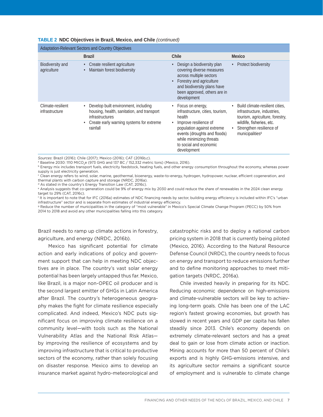#### **TABLE 2 NDC Objectives in Brazil, Mexico, and Chile** *(continued)*

| Adaptation-Relevant Sectors and Country Objectives |                                                                                                                                                                            |                                                                                                                                                                                                                            |                                                                                                                                                                                           |  |  |  |  |  |
|----------------------------------------------------|----------------------------------------------------------------------------------------------------------------------------------------------------------------------------|----------------------------------------------------------------------------------------------------------------------------------------------------------------------------------------------------------------------------|-------------------------------------------------------------------------------------------------------------------------------------------------------------------------------------------|--|--|--|--|--|
|                                                    | <b>Brazil</b>                                                                                                                                                              | Chile                                                                                                                                                                                                                      | Mexico                                                                                                                                                                                    |  |  |  |  |  |
| Biodiversity and<br>agriculture                    | Create resilient agriculture<br>$\bullet$<br>Maintain forest biodiversity                                                                                                  | Design a biodiversity plan<br>covering diverse measures<br>across multiple sectors<br>Forestry and agriculture<br>and biodiversity plans have<br>been approved, others are in<br>development                               | Protect biodiversity                                                                                                                                                                      |  |  |  |  |  |
| Climate-resilient<br><i>infrastructure</i>         | Develop built environment, including<br>housing, health, sanitation, and transport<br>infrastructures<br>Create early warning systems for extreme<br>$\bullet$<br>rainfall | Focus on energy,<br>infrastructure, cities, tourism,<br>health<br>Improve resilience of<br>population against extreme<br>events (droughts and floods)<br>while minimizing threats<br>to social and economic<br>development | Build climate-resilient cities,<br>infrastructure, industries,<br>tourism, agriculture, forestry,<br>wildlife, fisheries, etc.<br>Strengthen resilience of<br>municipalities <sup>9</sup> |  |  |  |  |  |

*Sources*: Brazil (2016); Chile (2017); Mexico (2016); CAT (2016b,c).

<sup>b</sup> Energy mix includes transport fuels, electricity feedstock, heating fuels, and other energy consumption throughout the economy, whereas power supply is just electricity generation.

 $^{\circ}$  Clean energy refers to wind, solar, marine, geothermal, bioenergy, waste-to-energy, hydrogen, hydropower, nuclear, efficient cogeneration, and thermal plants with carbon capture and storage (NRDC, 2016a).

d As stated in the country's Energy Transition Law (CAT, 2016c).

e Analysis suggests that co-generation could be 9% of energy mix by 2030 and could reduce the share of renewables in the 2024 clean energy target to 29% (CAT, 2016c).

f It is important to note that for IFC (2016a) estimates of NDC financing needs by sector, building energy efficiency is included within IFC's "urban infrastructure" sector and is separate from estimates of industrial energy efficiency.

<sup>g</sup> Reduce the number of municipalities in the category of "most vulnerable" in Mexico's Special Climate Change Program (PECC) by 50% from 2014 to 2018 and avoid any other municipalities falling into this category.

Brazil needs to ramp up climate actions in forestry, agriculture, and energy (NRDC, 2016b).

Mexico has significant potential for climate action and early indications of policy and government support that can help in meeting NDC objectives are in place. The country's vast solar energy potential has been largely untapped thus far. Mexico, like Brazil, is a major non-OPEC oil producer and is the second largest emitter of GHGs in Latin America after Brazil. The country's heterogeneous geography makes the fight for climate resilience especially complicated. And indeed, Mexico's NDC puts significant focus on improving climate resilience on a community level—with tools such as the National Vulnerability Atlas and the National Risk Atlas by improving the resilience of ecosystems and by improving infrastructure that is critical to productive sectors of the economy, rather than solely focusing on disaster response. Mexico aims to develop an insurance market against hydro-meteorological and

catastrophic risks and to deploy a national carbon pricing system in 2018 that is currently being piloted (Mexico, 2016). According to the Natural Resource Defense Council (NRDC), the country needs to focus on energy and transport to reduce emissions further and to define monitoring approaches to meet mitigation targets (NRDC, 2016a).

Chile invested heavily in preparing for its NDC. Reducing economic dependence on high-emissions and climate-vulnerable sectors will be key to achieving long-term goals. Chile has been one of the LAC region's fastest growing economies, but growth has slowed in recent years and GDP per capita has fallen steadily since 2013. Chile's economy depends on extremely climate-relevant sectors and has a great deal to gain or lose from climate action or inaction. Mining accounts for more than 50 percent of Chile's exports and is highly GHG-emissions intensive, and its agriculture sector remains a significant source of employment and is vulnerable to climate change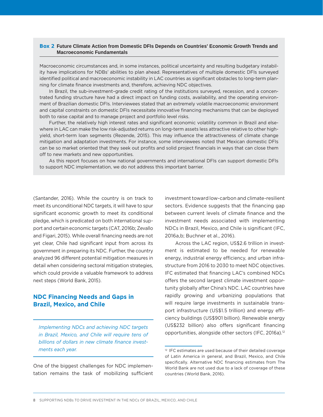#### Box 2 **Future Climate Action from Domestic DFIs Depends on Countries' Economic Growth Trends and Macroeconomic Fundamentals**

Macroeconomic circumstances and, in some instances, political uncertainty and resulting budgetary instability have implications for NDBs' abilities to plan ahead. Representatives of multiple domestic DFIs surveyed identified political and macroeconomic instability in LAC countries as significant obstacles to long-term planning for climate finance investments and, therefore, achieving NDC objectives.

In Brazil, the sub-investment–grade credit rating of the institutions surveyed, recession, and a concentrated funding structure have had a direct impact on funding costs, availability, and the operating environment of Brazilian domestic DFIs. Interviewees stated that an extremely volatile macroeconomic environment and capital constraints on domestic DFIs necessitate innovative financing mechanisms that can be deployed both to raise capital and to manage project and portfolio level risks.

Further, the relatively high interest rates and significant economic volatility common in Brazil and elsewhere in LAC can make the low risk-adjusted returns on long-term assets less attractive relative to other highyield, short-term loan segments (Rezende, 2015). This may influence the attractiveness of climate change mitigation and adaptation investments. For instance, some interviewees noted that Mexican domestic DFIs can be so market oriented that they seek out profits and solid project financials in ways that can close them off to new markets and new opportunities.

As this report focuses on how national governments and international DFIs can support domestic DFIs to support NDC implementation, we do not address this important barrier.

(Santander, 2016). While the country is on track to meet its unconditional NDC targets, it will have to spur significant economic growth to meet its conditional pledge, which is predicated on both international support and certain economic targets (CAT, 2016b; Zevallo and Figari, 2015). While overall financing needs are not yet clear, Chile had significant input from across its government in preparing its NDC. Further, the country analyzed 96 different potential mitigation measures in detail when considering sectoral mitigation strategies, which could provide a valuable framework to address next steps (World Bank, 2015).

#### **NDC Financing Needs and Gaps in Brazil, Mexico, and Chile**

*Implementing NDCs and achieving NDC targets in Brazil, Mexico, and Chile will require tens of billions of dollars in new climate finance investments each year.*

One of the biggest challenges for NDC implementation remains the task of mobilizing sufficient investment toward low-carbon and climate-resilient sectors. Evidence suggests that the financing gap between current levels of climate finance and the investment needs associated with implementing NDCs in Brazil, Mexico, and Chile is significant (IFC, 2016a,b; Buchner et al., 2016).

Across the LAC region, US\$2.6 trillion in investment is estimated to be needed for renewable energy, industrial energy efficiency, and urban infrastructure from 2016 to 2030 to meet NDC objectives. IFC estimated that financing LAC's combined NDCs offers the second largest climate investment opportunity globally after China's NDC. LAC countries have rapidly growing and urbanizing populations that will require large investments in sustainable transport infrastructure (US\$1.5 trillion) and energy efficiency buildings (US\$901 billion). Renewable energy (US\$232 billion) also offers significant financing opportunities, alongside other sectors (IFC, 2016a).12

<sup>12</sup> IFC estimates are used because of their detailed coverage of Latin America in general, and Brazil, Mexico, and Chile specifically. Alternative NDC financing estimates from The World Bank are not used due to a lack of coverage of these countries (World Bank, 2016).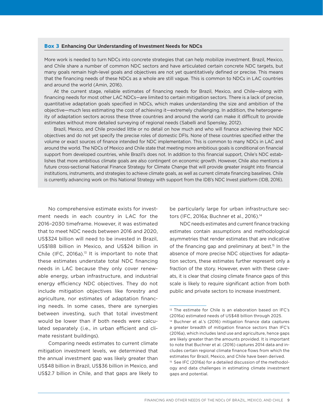#### Box 3 **Enhancing Our Understanding of Investment Needs for NDCs**

More work is needed to turn NDCs into concrete strategies that can help mobilize investment. Brazil, Mexico, and Chile share a number of common NDC sectors and have articulated certain concrete NDC targets, but many goals remain high-level goals and objectives are not yet quantitatively defined or precise. This means that the financing needs of these NDCs as a whole are still vague. This is common to NDCs in LAC countries and around the world (Amin, 2016).

At the current stage, reliable estimates of financing needs for Brazil, Mexico, and Chile—along with financing needs for most other LAC NDCs—are limited to certain mitigation sectors. There is a lack of precise, quantitative adaptation goals specified in NDCs, which makes understanding the size and ambition of the objective—much less estimating the cost of achieving it—extremely challenging. In addition, the heterogeneity of adaptation sectors across these three countries and around the world can make it difficult to provide estimates without more detailed surveying of regional needs (Sabelli and Spensley, 2012).

Brazil, Mexico, and Chile provided little or no detail on how much and who will finance achieving their NDC objectives and do not yet specify the precise roles of domestic DFIs. None of these countries specified either the volume or exact sources of finance intended for NDC implementation. This is common to many NDCs in LAC and around the world. The NDCs of Mexico and Chile state that meeting more ambitious goals is conditional on financial support from developed countries, while Brazil's does not. In addition to this financial support, Chile's NDC establishes that more ambitious climate goals are also contingent on economic growth. However, Chile also mentions a future cross-sectional National Finance Strategy for Climate Change that will provide greater insight into financial institutions, instruments, and strategies to achieve climate goals, as well as current climate financing baselines. Chile is currently advancing work on this National Strategy with support from the IDB's NDC Invest platform (IDB, 2016).

No comprehensive estimate exists for investment needs in each country in LAC for the 2016–2030 timeframe. However, it was estimated that to meet NDC needs between 2016 and 2020, US\$324 billion will need to be invested in Brazil, US\$188 billion in Mexico, and US\$24 billion in Chile (IFC, 2016a).<sup>13</sup> It is important to note that these estimates understate total NDC financing needs in LAC because they only cover renewable energy, urban infrastructure, and industrial energy efficiency NDC objectives. They do not include mitigation objectives like forestry and agriculture, nor estimates of adaptation financing needs. In some cases, there are synergies between investing, such that total investment would be lower than if both needs were calculated separately (i.e., in urban efficient and climate resistant buildings).

Comparing needs estimates to current climate mitigation investment levels, we determined that the annual investment gap was likely greater than US\$48 billion in Brazil, US\$36 billion in Mexico, and US\$2.7 billion in Chile, and that gaps are likely to

be particularly large for urban infrastructure sectors (IFC, 2016a; Buchner et al., 2016).<sup>14</sup>

NDC needs estimates and current finance tracking estimates contain assumptions and methodological asymmetries that render estimates that are indicative of the financing gap and preliminary at best.<sup>15</sup> In the absence of more precise NDC objectives for adaptation sectors, these estimates further represent only a fraction of the story. However, even with these caveats, it is clear that closing climate finance gaps of this scale is likely to require significant action from both public and private sectors to increase investment.

<sup>13</sup> The estimate for Chile is an elaboration based on IFC's (2016a) estimated needs of US\$48 billion through 2025. 14 Buchner et al.'s (2016) mitigation finance data captures a greater breadth of mitigation finance sectors than IFC's (2016a), which includes land use and agriculture, hence gaps are likely greater than the amounts provided. It is important to note that Buchner et al. (2016) captures 2014 data and includes certain regional climate finance flows from which the estimates for Brazil, Mexico, and Chile have been derived. <sup>15</sup> See IFC (2016a) for a detailed discussion of the methodology and data challenges in estimating climate investment gaps and potential.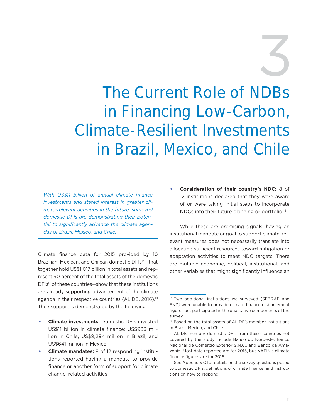3

The Current Role of NDBs in Financing Low-Carbon, Climate-Resilient Investments in Brazil, Mexico, and Chile

*With US\$11 billion of annual climate finance investments and stated interest in greater climate-relevant activities in the future, surveyed domestic DFIs are demonstrating their potential to significantly advance the climate agendas of Brazil, Mexico, and Chile.* 

Climate finance data for 2015 provided by 10 Brazilian, Mexican, and Chilean domestic DFIs<sup>16</sup>-that together hold US\$1,017 billion in total assets and represent 90 percent of the total assets of the domestic DFIs<sup>17</sup> of these countries-show that these institutions are already supporting advancement of the climate agenda in their respective countries (ALIDE, 2016).<sup>18</sup> Their support is demonstrated by the following:

- **Climate investments:** Domestic DFIs invested US\$11 billion in climate finance: US\$983 million in Chile, US\$9,294 million in Brazil, and US\$641 million in Mexico.
- **Climate mandates:** 8 of 12 responding institutions reported having a mandate to provide finance or another form of support for climate change–related activities.

• **Consideration of their country's NDC:** 8 of 12 institutions declared that they were aware of or were taking initial steps to incorporate NDCs into their future planning or portfolio.19

While these are promising signals, having an institutional mandate or goal to support climate-relevant measures does not necessarily translate into allocating sufficient resources toward mitigation or adaptation activities to meet NDC targets. There are multiple economic, political, institutional, and other variables that might significantly influence an

<sup>&</sup>lt;sup>16</sup> Two additional institutions we surveyed (SEBRAE and FND) were unable to provide climate finance disbursement figures but participated in the qualitative components of the survey.

<sup>17</sup> Based on the total assets of ALIDE's member institutions in Brazil, Mexico, and Chile.

<sup>18</sup> ALIDE member domestic DFIs from these countries not covered by the study include Banco do Nordeste, Banco Nacional de Comercio Exterior S.N.C., and Banco da Amazonia. Most data reported are for 2015, but NAFIN's climate finance figures are for 2016.

<sup>&</sup>lt;sup>19</sup> See Appendix C for details on the survey questions posed to domestic DFIs, definitions of climate finance, and instructions on how to respond.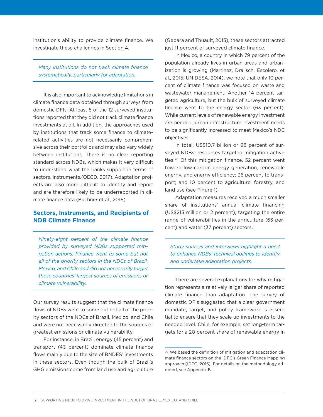institution's ability to provide climate finance. We investigate these challenges in Section 4.

*Many institutions do not track climate finance systematically, particularly for adaptation.* 

It is also important to acknowledge limitations in climate finance data obtained through surveys from domestic DFIs. At least 5 of the 12 surveyed institutions reported that they did not track climate finance investments at all. In addition, the approaches used by institutions that track some finance to climaterelated activities are not necessarily comprehensive across their portfolios and may also vary widely between institutions. There is no clear reporting standard across NDBs, which makes it very difficult to understand what the banks support in terms of sectors, instruments.(OECD, 2017). Adaptation projects are also more difficult to identify and report and are therefore likely to be underreported in climate finance data (Buchner et al., 2016).

#### **Sectors, Instruments, and Recipients of NDB Climate Finance**

*Ninety-eight percent of the climate finance provided by surveyed NDBs supported mitigation actions. Finance went to some but not all of the priority sectors in the NDCs of Brazil, Mexico, and Chile and did not necessarily target these countries' largest sources of emissions or climate vulnerability.*

Our survey results suggest that the climate finance flows of NDBs went to some but not all of the priority sectors of the NDCs of Brazil, Mexico, and Chile and were not necessarily directed to the sources of greatest emissions or climate vulnerability.

For instance, in Brazil, energy (45 percent) and transport (43 percent) dominate climate finance flows mainly due to the size of BNDES' investments in these sectors. Even though the bulk of Brazil's GHG emissions come from land use and agriculture

(Gebara and Thuault, 2013), these sectors attracted just 11 percent of surveyed climate finance.

In Mexico, a country in which 79 percent of the population already lives in urban areas and urbanization is growing (Martinez, Dralisch, Escolero, et al., 2015; UN DESA, 2014), we note that only 10 percent of climate finance was focused on waste and wastewater management. Another 14 percent targeted agriculture, but the bulk of surveyed climate finance went to the energy sector (63 percent). While current levels of renewable energy investment are needed, urban infrastructure investment needs to be significantly increased to meet Mexico's NDC objectives.

In total, US\$10.7 billion or 98 percent of surveyed NDBs' resources targeted mitigation activities.20 Of this mitigation finance, 52 percent went toward low-carbon energy generation, renewable energy, and energy efficiency; 36 percent to transport; and 10 percent to agriculture, forestry, and land use (see Figure 1).

Adaptation measures received a much smaller share of institutions' annual climate financing (US\$213 million or 2 percent), targeting the entire range of vulnerabilities in the agriculture (63 percent) and water (37 percent) sectors.

*Study surveys and interviews highlight a need to enhance NDBs' technical abilities to identify and undertake adaptation projects.*

There are several explanations for why mitigation represents a relatively larger share of reported climate finance than adaptation. The survey of domestic DFIs suggested that a clear government mandate, target, and policy framework is essential to ensure that they scale up investments to the needed level. Chile, for example, set long-term targets for a 20 percent share of renewable energy in

<sup>20</sup> We based the definition of mitigation and adaptation climate finance sectors on the IDFC's Green Finance Mapping approach (IDFC, 2015). For details on the methodology adopted, see Appendix B.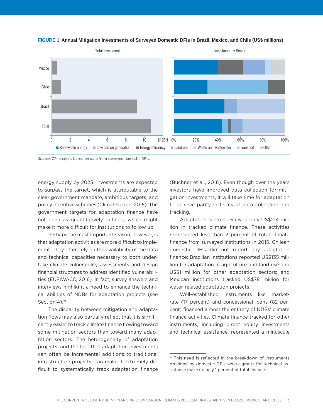



*Source*: CPI analysis based on data from surveyed domestic DFIs.

energy supply by 2025. Investments are expected to surpass the target, which is attributable to the clear government mandate, ambitious targets, and policy incentive schemes (Climatescope, 2015). The government targets for adaptation finance have not been as quantitatively defined, which might make it more difficult for institutions to follow up.

Perhaps the most important reason, however, is that adaptation activities are more difficult to implement. They often rely on the availability of the data and technical capacities necessary to both undertake climate vulnerability assessments and design financial structures to address identified vulnerabilities (EUFIWACC, 2016). In fact, survey answers and interviews highlight a need to enhance the technical abilities of NDBs for adaptation projects (see Section 4).<sup>21</sup>

The disparity between mitigation and adaptation flows may also partially reflect that it is significantly easier to track climate finance flowing toward some mitigation sectors than toward many adaptation sectors. The heterogeneity of adaptation projects, and the fact that adaptation investments can often be incremental additions to traditional infrastructure projects, can make it extremely difficult to systematically track adaptation finance (Buchner et al., 2016). Even though over the years investors have improved data collection for mitigation investments, it will take time for adaptation to achieve parity in terms of data collection and tracking.

Adaptation sectors received only US\$214 million in tracked climate finance. These activities represented less than 2 percent of total climate finance from surveyed institutions in 2015. Chilean domestic DFIs did not report any adaptation finance; Brazilian institutions reported US\$135 million for adaptation in agriculture and land use and US\$1 million for other adaptation sectors; and Mexican institutions tracked US\$78 million for water-related adaptation projects.

Well-established instruments like marketrate (17 percent) and concessional loans (82 percent) financed almost the entirety of NDBs' climate finance activities. Climate finance tracked for other instruments, including direct equity investments and technical assistance, represented a minuscule

<sup>21</sup> This need is reflected in the breakdown of instruments provided by domestic DFIs where grants for technical assistance make up only 1 percent of total finance.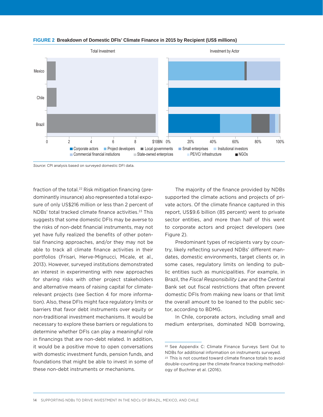

#### **FIGURE 2 Breakdown of Domestic DFIs' Climate Finance in 2015 by Recipient (US\$ millions)**

*Source*: CPI analysis based on surveyed domestic DFI data.

fraction of the total.<sup>22</sup> Risk mitigation financing (predominantly insurance) also represented a total exposure of only US\$216 million or less than 2 percent of NDBs' total tracked climate finance activities.23 This suggests that some domestic DFIs may be averse to the risks of non-debt financial instruments, may not yet have fully realized the benefits of other potential financing approaches, and/or they may not be able to track all climate finance activities in their portfolios (Frisari, Herve-Mignucci, Micale, et al., 2013). However, surveyed institutions demonstrated an interest in experimenting with new approaches for sharing risks with other project stakeholders and alternative means of raising capital for climaterelevant projects (see Section 4 for more information). Also, these DFIs might face regulatory limits or barriers that favor debt instruments over equity or non-traditional investment mechanisms. It would be necessary to explore these barriers or regulations to determine whether DFIs can play a meaningful role in financings that are non-debt related. In addition, it would be a positive move to open conversations with domestic investment funds, pension funds, and foundations that might be able to invest in some of these non-debt instruments or mechanisms.

The majority of the finance provided by NDBs supported the climate actions and projects of private actors. Of the climate finance captured in this report, US\$9.6 billion (85 percent) went to private sector entities, and more than half of this went to corporate actors and project developers (see Figure 2).

Predominant types of recipients vary by country, likely reflecting surveyed NDBs' different mandates, domestic environments, target clients or, in some cases, regulatory limits on lending to public entities such as municipalities. For example, in Brazil, the *Fiscal Responsibility Law* and the Central Bank set out fiscal restrictions that often prevent domestic DFIs from making new loans or that limit the overall amount to be loaned to the public sector, according to BDMG.

In Chile, corporate actors, including small and medium enterprises, dominated NDB borrowing,

<sup>22</sup> See Appendix C: Climate Finance Surveys Sent Out to NDBs for additional information on instruments surveyed. <sup>23</sup> This is not counted toward climate finance totals to avoid double-counting per the climate finance tracking methodology of Buchner et al. (2016).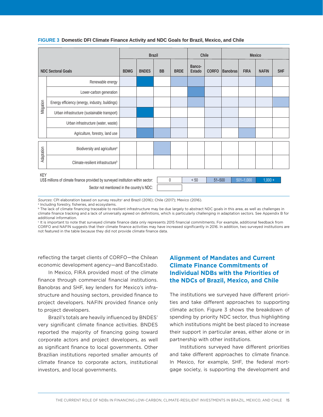|                           |                                                                                                                                              | <b>Brazil</b> |              |           | Chile       |                  | Mexico       |                 |                          |              |            |
|---------------------------|----------------------------------------------------------------------------------------------------------------------------------------------|---------------|--------------|-----------|-------------|------------------|--------------|-----------------|--------------------------|--------------|------------|
| <b>NDC Sectoral Goals</b> |                                                                                                                                              | <b>BDMG</b>   | <b>BNDES</b> | <b>BB</b> | <b>BRDE</b> | Banco-<br>Estado | <b>CORFO</b> | <b>Banobras</b> | <b>FIRA</b>              | <b>NAFIN</b> | <b>SHF</b> |
|                           | Renewable energy                                                                                                                             |               |              |           |             |                  |              |                 |                          |              |            |
|                           | Lower-carbon generation                                                                                                                      |               |              |           |             |                  |              |                 |                          |              |            |
| Mitigation                | Energy efficiency (energy, industry, buildings)                                                                                              |               |              |           |             |                  |              |                 |                          |              |            |
|                           | Urban infrastructure (sustainable transport)                                                                                                 |               |              |           |             |                  |              |                 |                          |              |            |
|                           | Urban infrastructure (water, waste)                                                                                                          |               |              |           |             |                  |              |                 |                          |              |            |
|                           | Agriculture, forestry, land use                                                                                                              |               |              |           |             |                  |              |                 |                          |              |            |
| Adaptation                | Biodiversity and agriculture <sup>a</sup>                                                                                                    |               |              |           |             |                  |              |                 |                          |              |            |
|                           | Climate-resilient infrastructure <sup>b</sup>                                                                                                |               |              |           |             |                  |              |                 |                          |              |            |
|                           | <b>KEY</b><br>US\$ millions of climate finance provided by surveyed institution within sector:<br>Sector not mentioned in the country's NDC: |               |              | 0         |             | < 50             | $51 - 500$   |                 | $\overline{501} - 1,000$ | $1,000 +$    |            |

#### **FIGURE 3 Domestic DFI Climate Finance Activity and NDC Goals for Brazil, Mexico, and Chile**

Sources: CPI elaboration based on survey results<sup>c</sup> and Brazil (2016); Chile (2017); Mexico (2016).

a Including forestry, fisheries, and ecosystems.

**b** The lack of climate financing traceable to resilient infrastructure may be due largely to abstract NDC goals in this area, as well as challenges in climate finance tracking and a lack of universally agreed on definitions, which is particularly challenging in adaptation sectors. See Appendix B for additional information.

c It is important to note that surveyed climate finance data only represents 2015 financial commitments. For example, additional feedback from CORFO and NAFIN suggests that their climate finance activities may have increased significantly in 2016. In addition, two surveyed institutions are not featured in the table because they did not provide climate finance data.

reflecting the target clients of CORFO—the Chilean economic development agency—and BancoEstado.

In Mexico, FIRA provided most of the climate finance through commercial financial institutions. Banobras and SHF, key lenders for Mexico's infrastructure and housing sectors, provided finance to project developers. NAFIN provided finance only to project developers.

Brazil's totals are heavily influenced by BNDES' very significant climate finance activities. BNDES reported the majority of financing going toward corporate actors and project developers, as well as significant finance to local governments. Other Brazilian institutions reported smaller amounts of climate finance to corporate actors, institutional investors, and local governments.

#### **Alignment of Mandates and Current Climate Finance Commitments of Individual NDBs with the Priorities of the NDCs of Brazil, Mexico, and Chile**

The institutions we surveyed have different priorities and take different approaches to supporting climate action. Figure 3 shows the breakdown of spending by priority NDC sector, thus highlighting which institutions might be best placed to increase their support in particular areas, either alone or in partnership with other institutions.

Institutions surveyed have different priorities and take different approaches to climate finance. In Mexico, for example, SHF, the federal mortgage society, is supporting the development and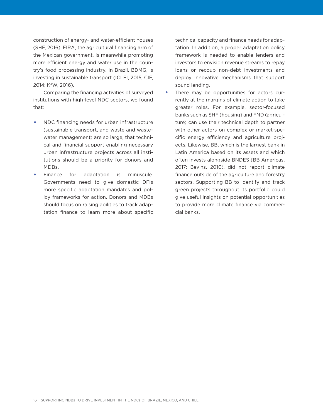construction of energy- and water-efficient houses (SHF, 2016). FIRA, the agricultural financing arm of the Mexican government, is meanwhile promoting more efficient energy and water use in the country's food processing industry. In Brazil, BDMG, is investing in sustainable transport (ICLEI, 2015; CIF, 2014; KfW, 2016).

Comparing the financing activities of surveyed institutions with high-level NDC sectors, we found that:

- NDC financing needs for urban infrastructure (sustainable transport, and waste and wastewater management) are so large, that technical and financial support enabling necessary urban infrastructure projects across all institutions should be a priority for donors and MDBs.
- Finance for adaptation is minuscule. Governments need to give domestic DFIs more specific adaptation mandates and policy frameworks for action. Donors and MDBs should focus on raising abilities to track adaptation finance to learn more about specific

technical capacity and finance needs for adaptation. In addition, a proper adaptation policy framework is needed to enable lenders and investors to envision revenue streams to repay loans or recoup non-debt investments and deploy innovative mechanisms that support sound lending.

• There may be opportunities for actors currently at the margins of climate action to take greater roles. For example, sector-focused banks such as SHF (housing) and FND (agriculture) can use their technical depth to partner with other actors on complex or market-specific energy efficiency and agriculture projects. Likewise, BB, which is the largest bank in Latin America based on its assets and which often invests alongside BNDES (BB Americas, 2017; Bevins, 2010), did not report climate finance outside of the agriculture and forestry sectors. Supporting BB to identify and track green projects throughout its portfolio could give useful insights on potential opportunities to provide more climate finance via commercial banks.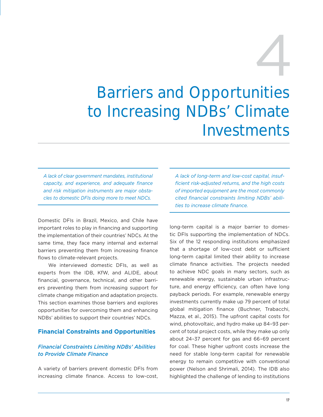# 4

# Barriers and Opportunities to Increasing NDBs' Climate Investments

*A lack of clear government mandates, institutional capacity, and experience, and adequate finance and risk mitigation instruments are major obstacles to domestic DFIs doing more to meet NDCs.* 

Domestic DFIs in Brazil, Mexico, and Chile have important roles to play in financing and supporting the implementation of their countries' NDCs. At the same time, they face many internal and external barriers preventing them from increasing finance flows to climate-relevant projects.

We interviewed domestic DFIs, as well as experts from the IDB, KfW, and ALIDE, about financial, governance, technical, and other barriers preventing them from increasing support for climate change mitigation and adaptation projects. This section examines those barriers and explores opportunities for overcoming them and enhancing NDBs' abilities to support their countries' NDCs.

#### **Financial Constraints and Opportunities**

#### *Financial Constraints Limiting NDBs' Abilities to Provide Climate Finance*

A variety of barriers prevent domestic DFIs from increasing climate finance. Access to low-cost, *A lack of long-term and low-cost capital, insufficient risk-adjusted returns, and the high costs of imported equipment are the most commonly cited financial constraints limiting NDBs' abilities to increase climate finance.*

long-term capital is a major barrier to domestic DFIs supporting the implementation of NDCs. Six of the 12 responding institutions emphasized that a shortage of low-cost debt or sufficient long-term capital limited their ability to increase climate finance activities. The projects needed to achieve NDC goals in many sectors, such as renewable energy, sustainable urban infrastructure, and energy efficiency, can often have long payback periods. For example, renewable energy investments currently make up 79 percent of total global mitigation finance (Buchner, Trabacchi, Mazza, et al., 2015). The upfront capital costs for wind, photovoltaic, and hydro make up 84–93 percent of total project costs, while they make up only about 24–37 percent for gas and 66–69 percent for coal. These higher upfront costs increase the need for stable long-term capital for renewable energy to remain competitive with conventional power (Nelson and Shrimali, 2014). The IDB also highlighted the challenge of lending to institutions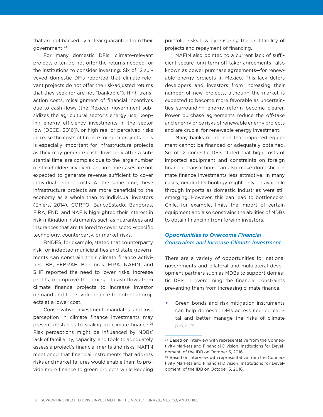that are not backed by a clear guarantee from their government.24

For many domestic DFIs, climate-relevant projects often do not offer the returns needed for the institutions to consider investing. Six of 12 surveyed domestic DFIs reported that climate-relevant projects do not offer the risk-adjusted returns that they seek (or are not "bankable"). High transaction costs, misalignment of financial incentives due to cash flows (the Mexican government subsidizes the agricultural sector's energy use, keeping energy efficiency investments in the sector low [OECD, 2016]), or high real or perceived risks increase the costs of finance for such projects. This is especially important for infrastructure projects as they may generate cash flows only after a substantial time, are complex due to the large number of stakeholders involved, and in some cases are not expected to generate revenue sufficient to cover individual project costs. At the same time, these infrastructure projects are more beneficial to the economy as a whole than to individual investors (Ehlers, 2014). CORFO, BancoEstado, Banobras, FIRA, FND, and NAFIN highlighted their interest in risk-mitigation instruments such as guarantees and insurances that are tailored to cover sector-specific technology, counterparty, or market risks.

BNDES, for example, stated that counterparty risk for indebted municipalities and state governments can constrain their climate finance activities. BB, SEBRAE, Banobras, FIRA, NAFIN, and SHF reported the need to lower risks, increase profits, or improve the timing of cash flows from climate finance projects to increase investor demand and to provide finance to potential projects at a lower cost.

Conservative investment mandates and risk perception in climate finance investments may present obstacles to scaling up climate finance.<sup>25</sup> Risk perceptions might be influenced by NDBs' lack of familiarity, capacity, and tools to adequately assess a project's financial merits and risks. NAFIN mentioned that financial instruments that address risks and market failures would enable them to provide more finance to green projects while keeping

portfolio risks low by ensuring the profitability of projects and repayment of financing.

NAFIN also pointed to a current lack of sufficient secure long-term off-taker agreements—also known as power purchase agreements—for renewable energy projects in Mexico. This lack deters developers and investors from increasing their number of new projects, although the market is expected to become more favorable as uncertainties surrounding energy reform become clearer. Power purchase agreements reduce the off-take and energy price risks of renewable energy projects and are crucial for renewable energy investment.

Many banks mentioned that imported equipment cannot be financed or adequately obtained. Six of 12 domestic DFIs stated that high costs of imported equipment and constraints on foreign financial transactions can also make domestic climate finance investments less attractive. In many cases, needed technology might only be available through imports as domestic industries were still emerging. However, this can lead to bottlenecks. Chile, for example, limits the import of certain equipment and also constrains the abilities of NDBs to obtain financing from foreign investors.

#### *Opportunities to Overcome Financial Constraints and Increase Climate Investment*

There are a variety of opportunities for national governments and bilateral and multilateral development partners such as MDBs to support domestic DFIs in overcoming the financial constraints preventing them from increasing climate finance.

• Green bonds and risk mitigation instruments can help domestic DFIs access needed capital and better manage the risks of climate projects.

<sup>24</sup> Based on interview with representative from the Connectivity Markets and Financial Division, Institutions for Development, of the IDB on October 5, 2016.

<sup>25</sup> Based on interview with representative from the Connectivity Markets and Financial Division, Institutions for Development, of the IDB on October 5, 2016.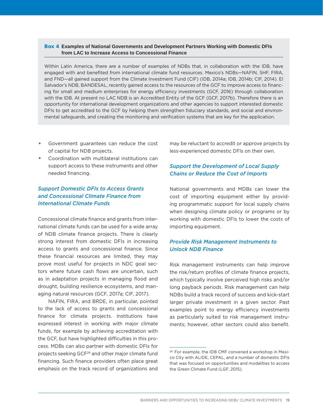#### Box 4 **Examples of National Governments and Development Partners Working with Domestic DFIs from LAC to Increase Access to Concessional Finance**

Within Latin America, there are a number of examples of NDBs that, in collaboration with the IDB, have engaged with and benefited from international climate fund resources. Mexico's NDBs—NAFIN, SHF, FIRA, and FND—all gained support from the Climate Investment Fund (CIF) (IDB, 2014a; IDB, 2014b; CIF, 2014). El Salvador's NDB, BANDESAL, recently gained access to the resources of the GCF to improve access to financing for small and medium enterprises for energy efficiency investments (GCF, 2016) through collaboration with the IDB. At present no LAC NDB is an Accredited Entity of the GCF (GCF, 2017b). Therefore there is an opportunity for international development organizations and other agencies to support interested domestic DFIs to get accredited to the GCF by helping them strengthen fiduciary standards, and social and environmental safeguards, and creating the monitoring and verification systems that are key for the application.

- Government guarantees can reduce the cost of capital for NDB projects.
- Coordination with multilateral institutions can support access to these instruments and other needed financing.

#### *Support Domestic DFIs to Access Grants and Concessional Climate Finance from International Climate Funds*

Concessional climate finance and grants from international climate funds can be used for a wide array of NDB climate finance projects. There is clearly strong interest from domestic DFIs in increasing access to grants and concessional finance. Since these financial resources are limited, they may prove most useful for projects in NDC goal sectors where future cash flows are uncertain, such as in adaptation projects in managing flood and drought, building resilience ecosystems, and managing natural resources (GCF, 2017a; CIF, 2017).

NAFIN, FIRA, and BRDE, in particular, pointed to the lack of access to grants and concessional finance for climate projects. Institutions have expressed interest in working with major climate funds, for example by achieving accreditation with the GCF, but have highlighted difficulties in this process. MDBs can also partner with domestic DFIs for projects seeking GCF26 and other major climate fund financing. Such finance providers often place great emphasis on the track record of organizations and may be reluctant to accredit or approve projects by less-experienced domestic DFIs on their own.

#### *Support the Development of Local Supply Chains or Reduce the Cost of Imports*

National governments and MDBs can lower the cost of importing equipment either by providing programmatic support for local supply chains when designing climate policy or programs or by working with domestic DFIs to lower the costs of importing equipment.

#### *Provide Risk Management Instruments to Unlock NDB Finance*

Risk management instruments can help improve the risk/return profiles of climate finance projects, which typically involve perceived high risks and/or long payback periods. Risk management can help NDBs build a track record of success and kick-start larger private investment in a given sector. Past examples point to energy efficiency investments as particularly suited to risk management instruments; however, other sectors could also benefit.

<sup>26</sup> For example, the IDB CMF convened a workshop in Mexico City with ALIDE, CEPAL, and a number of domestic DFIs that was focused on opportunities and modalities to access the Green Climate Fund (LGF, 2015).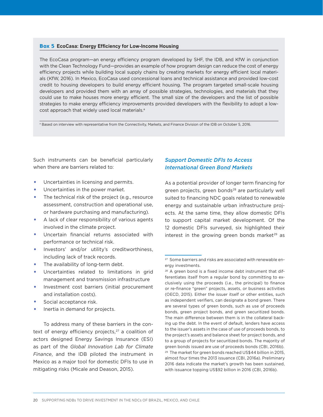#### Box 5 **EcoCasa: Energy Efficiency for Low-Income Housing**

The EcoCasa program—an energy efficiency program developed by SHF, the IDB, and KfW in conjunction with the Clean Technology Fund—provides an example of how program design can reduce the cost of energy efficiency projects while building local supply chains by creating markets for energy efficient local materials (KfW, 2016). In Mexico, EcoCasa used concessional loans and technical assistance and provided low-cost credit to housing developers to build energy efficient housing. The program targeted small-scale housing developers and provided them with an array of possible strategies, technologies, and materials that they could use to make houses more energy efficient. The small size of the developers and the list of possible strategies to make energy efficiency improvements provided developers with the flexibility to adopt a lowcost approach that widely used local materials.<sup>a</sup>

a Based on interview with representative from the Connectivity, Markets, and Finance Division of the IDB on October 5, 2016.

Such instruments can be beneficial particularly when there are barriers related to:

- Uncertainties in licensing and permits.
- Uncertainties in the power market.
- The technical risk of the project (e.g., resource assessment, construction and operational use, or hardware purchasing and manufacturing).
- A lack of clear responsibility of various agents involved in the climate project.
- Uncertain financial returns associated with performance or technical risk.
- Investors' and/or utility's creditworthiness, including lack of track records.
- The availability of long-term debt.
- Uncertainties related to limitations in grid management and transmission infrastructure
- Investment cost barriers (initial procurement and installation costs).
- Social acceptance risk.
- Inertia in demand for projects.

To address many of these barriers in the context of energy efficiency projects, $27$  a coalition of actors designed Energy Savings Insurance (ESI) as part of the *Global Innovation Lab for Climate Finance*, and the IDB piloted the instrument in Mexico as a major tool for domestic DFIs to use in mitigating risks (Micale and Deason, 2015).

#### *Support Domestic DFIs to Access International Green Bond Markets*

As a potential provider of longer term financing for green projects, green bonds<sup>28</sup> are particularly well suited to financing NDC goals related to renewable energy and sustainable urban infrastructure projects. At the same time, they allow domestic DFIs to support capital market development. Of the 12 domestic DFIs surveyed, six highlighted their interest in the growing green bonds market $29$  as

<sup>27</sup> Some barriers and risks are associated with renewable energy investments.

<sup>&</sup>lt;sup>28</sup> A green bond is a fixed income debt instrument that differentiates itself from a regular bond by committing to exclusively using the proceeds (i.e., the principal) to finance or re-finance "green" projects, assets, or business activities (OECD, 2015). Either the issuer itself or other entities, such as independent verifiers, can designate a bond green. There are several types of green bonds, such as use of proceeds bonds, green project bonds, and green securitized bonds. The main difference between them is in the collateral backing up the debt. In the event of default, lenders have access to the issuer's assets in the case of use of proceeds bonds, to the project's assets and balance sheet for project bonds, and to a group of projects for securitized bonds. The majority of green bonds issued are use of proceeds bonds (CBI, 2016b). 29 The market for green bonds reached US\$44 billion in 2015, almost four times the 2013 issuance (CBI, 2016a). Preliminary 2016 data indicate the market's growth has been sustained, with issuance topping US\$92 billion in 2016 (CBI, 2016b).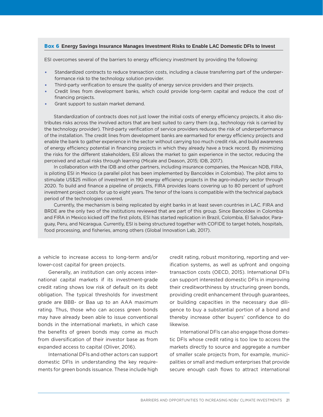#### Box 6 **Energy Savings Insurance Manages Investment Risks to Enable LAC Domestic DFIs to Invest**

ESI overcomes several of the barriers to energy efficiency investment by providing the following:

- Standardized contracts to reduce transaction costs, including a clause transferring part of the underperformance risk to the technology solution provider.
- Third-party verification to ensure the quality of energy service providers and their projects.
- Credit lines from development banks, which could provide long-term capital and reduce the cost of financing projects.
- Grant support to sustain market demand.

Standardization of contracts does not just lower the initial costs of energy efficiency projects, it also distributes risks across the involved actors that are best suited to carry them (e.g., technology risk is carried by the technology provider). Third-party verification of service providers reduces the risk of underperformance of the installation. The credit lines from development banks are earmarked for energy efficiency projects and enable the bank to gather experience in the sector without carrying too much credit risk, and build awareness of energy efficiency potential in financing projects in which they already have a track record. By minimizing the risks for the different stakeholders, ESI allows the market to gain experience in the sector, reducing the perceived and actual risks through learning (Micale and Deason, 2015; IDB, 2017).

In collaboration with the IDB and other partners, including insurance companies, the Mexican NDB, FIRA, is piloting ESI in Mexico (a parallel pilot has been implemented by Bancoldex in Colombia). The pilot aims to stimulate US\$25 million of investment in 190 energy efficiency projects in the agro-industry sector through 2020. To build and finance a pipeline of projects, FIRA provides loans covering up to 80 percent of upfront investment project costs for up to eight years. The tenor of the loans is compatible with the technical payback period of the technologies covered.

Currently, the mechanism is being replicated by eight banks in at least seven countries in LAC. FIRA and BRDE are the only two of the institutions reviewed that are part of this group. Since Bancoldex in Colombia and FIRA in Mexico kicked off the first pilots, ESI has started replication in Brazil, Colombia, El Salvador, Paraguay, Peru, and Nicaragua. Currently, ESI is being structured together with COFIDE to target hotels, hospitals, food processing, and fisheries, among others (Global Innovation Lab, 2017).

a vehicle to increase access to long-term and/or lower-cost capital for green projects.

Generally, an institution can only access international capital markets if its investment-grade credit rating shows low risk of default on its debt obligation. The typical thresholds for investment grade are BBB- or Baa up to an AAA maximum rating. Thus, those who can access green bonds may have already been able to issue conventional bonds in the international markets, in which case the benefits of green bonds may come as much from diversification of their investor base as from expanded access to capital (Oliver, 2016).

International DFIs and other actors can support domestic DFIs in understanding the key requirements for green bonds issuance. These include high credit rating, robust monitoring, reporting and verification systems, as well as upfront and ongoing transaction costs (OECD, 2015). International DFIs can support interested domestic DFIs in improving their creditworthiness by structuring green bonds, providing credit enhancement through guarantees, or building capacities in the necessary due diligence to buy a substantial portion of a bond and thereby increase other buyers' confidence to do likewise.

International DFIs can also engage those domestic DFIs whose credit rating is too low to access the markets directly to source and aggregate a number of smaller scale projects from, for example, municipalities or small and medium enterprises that provide secure enough cash flows to attract international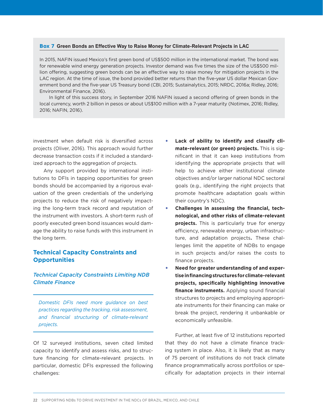#### Box 7 **Green Bonds an Effective Way to Raise Money for Climate-Relevant Projects in LAC**

In 2015, NAFIN issued Mexico's first green bond of US\$500 million in the international market. The bond was for renewable wind energy generation projects. Investor demand was five times the size of the US\$500 million offering, suggesting green bonds can be an effective way to raise money for mitigation projects in the LAC region. At the time of issue, the bond provided better returns than the five-year US dollar Mexican Government bond and the five-year US Treasury bond (CBI, 2015; Sustainalytics, 2015; NRDC, 2016a; Ridley, 2016; Environmental Finance, 2016).

In light of this success story, in September 2016 NAFIN issued a second offering of green bonds in the local currency, worth 2 billion in pesos or about US\$100 million with a 7-year maturity (Notimex, 2016; Ridley, 2016; NAFIN, 2016).

investment when default risk is diversified across projects (Oliver, 2016). This approach would further decrease transaction costs if it included a standardized approach to the aggregation of projects.

Any support provided by international institutions to DFIs in tapping opportunities for green bonds should be accompanied by a rigorous evaluation of the green credentials of the underlying projects to reduce the risk of negatively impacting the long-term track record and reputation of the instrument with investors. A short-term rush of poorly executed green bond issuances would damage the ability to raise funds with this instrument in the long term.

#### **Technical Capacity Constraints and Opportunities**

#### *Technical Capacity Constraints Limiting NDB Climate Finance*

*Domestic DFIs need more guidance on best practices regarding the tracking, risk assessment, and financial structuring of climate-relevant projects.*

Of 12 surveyed institutions, seven cited limited capacity to identify and assess risks, and to structure financing for climate-relevant projects. In particular, domestic DFIs expressed the following challenges:

- Lack of ability to identify and classify cli**mate-relevant (or green) projects.** This is significant in that it can keep institutions from identifying the appropriate projects that will help to achieve either institutional climate objectives and/or larger national NDC sectoral goals (e.g., identifying the right projects that promote healthcare adaptation goals within their country's NDC).
- **Challenges in assessing the financial, technological, and other risks of climate-relevant projects.** This is particularly true for energy efficiency, renewable energy, urban infrastructure, and adaptation projects**.** These challenges limit the appetite of NDBs to engage in such projects and/or raises the costs to finance projects.
- **Need for greater understanding of and expertise in financing structures for climate-relevant projects, specifically highlighting innovative finance instruments.** Applying sound financial structures to projects and employing appropriate instruments for their financing can make or break the project, rendering it unbankable or economically unfeasible.

Further, at least five of 12 institutions reported that they do not have a climate finance tracking system in place. Also, it is likely that as many of 75 percent of institutions do not track climate finance programmatically across portfolios or specifically for adaptation projects in their internal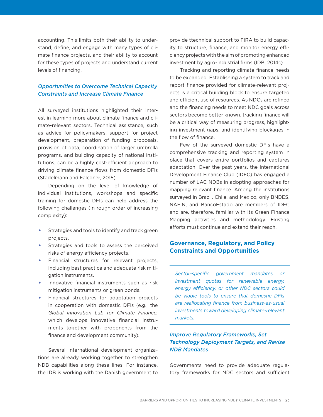accounting. This limits both their ability to understand, define, and engage with many types of climate finance projects, and their ability to account for these types of projects and understand current levels of financing.

#### *Opportunities to Overcome Technical Capacity Constraints and Increase Climate Finance*

All surveyed institutions highlighted their interest in learning more about climate finance and climate-relevant sectors. Technical assistance, such as advice for policymakers, support for project development, preparation of funding proposals, provision of data, coordination of larger umbrella programs, and building capacity of national institutions, can be a highly cost-efficient approach to driving climate finance flows from domestic DFIs (Stadelmann and Falconer, 2015).

Depending on the level of knowledge of individual institutions, workshops and specific training for domestic DFIs can help address the following challenges (in rough order of increasing complexity):

- Strategies and tools to identify and track green projects.
- Strategies and tools to assess the perceived risks of energy efficiency projects.
- Financial structures for relevant projects, including best practice and adequate risk mitigation instruments.
- Innovative financial instruments such as risk mitigation instruments or green bonds.
- Financial structures for adaptation projects in cooperation with domestic DFIs (e.g., the *Global Innovation Lab for Climate Finance,* which develops innovative financial instruments together with proponents from the finance and development community).

Several international development organizations are already working together to strengthen NDB capabilities along these lines. For instance, the IDB is working with the Danish government to

provide ttechnical support to FIRA to build capacity to structure, finance, and monitor energy efficiency projects with the aim of promoting enhanced investment by agro-industrial firms (IDB, 2014c).

Tracking and reporting climate finance needs to be expanded. Establishing a system to track and report finance provided for climate-relevant projects is a critical building block to ensure targeted and efficient use of resources. As NDCs are refined and the financing needs to meet NDC goals across sectors become better known, tracking finance will be a critical way of measuring progress, highlighting investment gaps, and identifying blockages in the flow of finance.

Few of the surveyed domestic DFIs have a comprehensive tracking and reporting system in place that covers entire portfolios and captures adaptation. Over the past years, the International Development Finance Club (IDFC) has engaged a number of LAC NDBs in adopting approaches for mapping relevant finance. Among the institutions surveyed in Brazil, Chile, and Mexico, only BNDES, NAFIN, and BancoEstado are members of IDFC and are, therefore, familiar with its Green Finance Mapping activities and methodology. Existing efforts must continue and extend their reach.

#### **Governance, Regulatory, and Policy Constraints and Opportunities**

*Sector-specific government mandates or investment quotas for renewable energy, energy efficiency, or other NDC sectors could be viable tools to ensure that domestic DFIs are reallocating finance from business-as-usual investments toward developing climate-relevant markets.* 

#### *Improve Regulatory Frameworks, Set Technology Deployment Targets, and Revise NDB Mandates*

Governments need to provide adequate regulatory frameworks for NDC sectors and sufficient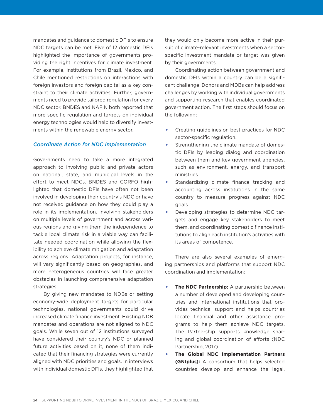mandates and guidance to domestic DFIs to ensure NDC targets can be met. Five of 12 domestic DFIs highlighted the importance of governments providing the right incentives for climate investment. For example, institutions from Brazil, Mexico, and Chile mentioned restrictions on interactions with foreign investors and foreign capital as a key constraint to their climate activities. Further, governments need to provide tailored regulation for every NDC sector. BNDES and NAFIN both reported that more specific regulation and targets on individual energy technologies would help to diversify investments within the renewable energy sector.

#### *Coordinate Action for NDC Implementation*

Governments need to take a more integrated approach to involving public and private actors on national, state, and municipal levels in the effort to meet NDCs. BNDES and CORFO highlighted that domestic DFIs have often not been involved in developing their country's NDC or have not received guidance on how they could play a role in its implementation. Involving stakeholders on multiple levels of government and across various regions and giving them the independence to tackle local climate risk in a viable way can facilitate needed coordination while allowing the flexibility to achieve climate mitigation and adaptation across regions. Adaptation projects, for instance, will vary significantly based on geographies, and more heterogeneous countries will face greater obstacles in launching comprehensive adaptation strategies.

By giving new mandates to NDBs or setting economy-wide deployment targets for particular technologies, national governments could drive increased climate finance investment. Existing NDB mandates and operations are not aligned to NDC goals. While seven out of 12 institutions surveyed have considered their country's NDC or planned future activities based on it, none of them indicated that their financing strategies were currently aligned with NDC priorities and goals. In interviews with individual domestic DFIs, they highlighted that

they would only become more active in their pursuit of climate-relevant investments when a sectorspecific investment mandate or target was given by their governments.

Coordinating action between government and domestic DFIs within a country can be a significant challenge. Donors and MDBs can help address challenges by working with individual governments and supporting research that enables coordinated government action. The first steps should focus on the following:

- Creating guidelines on best practices for NDC sector-specific regulation.
- Strengthening the climate mandate of domestic DFIs by leading dialog and coordination between them and key government agencies, such as environment, energy, and transport ministries.
- Standardizing climate finance tracking and accounting across institutions in the same country to measure progress against NDC goals.
- Developing strategies to determine NDC targets and engage key stakeholders to meet them, and coordinating domestic finance institutions to align each institution's activities with its areas of competence.

There are also several examples of emerging partnerships and platforms that support NDC coordination and implementation:

- **The NDC Partnership:** A partnership between a number of developed and developing countries and international institutions that provides technical support and helps countries locate financial and other assistance programs to help them achieve NDC targets. The Partnership supports knowledge sharing and global coordination of efforts (NDC Partnership, 2017).
- **The Global NDC Implementation Partners (GNIplus):** A consortium that helps selected countries develop and enhance the legal,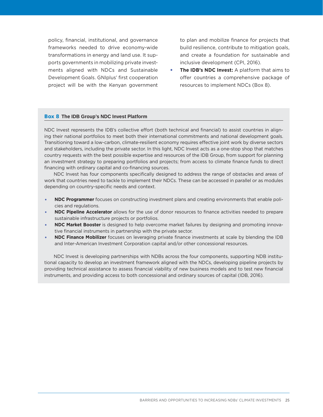policy, financial, institutional, and governance frameworks needed to drive economy-wide transformations in energy and land use. It supports governments in mobilizing private investments aligned with NDCs and Sustainable Development Goals. GNIplus' first cooperation project will be with the Kenyan government

to plan and mobilize finance for projects that build resilience, contribute to mitigation goals, and create a foundation for sustainable and inclusive development (CPI, 2016).

• **The IDB's NDC Invest:** A platform that aims to offer countries a comprehensive package of resources to implement NDCs (Box 8).

#### Box 8 **The IDB Group's NDC Invest Platform**

NDC Invest represents the IDB's collective effort (both technical and financial) to assist countries in aligning their national portfolios to meet both their international commitments and national development goals. Transitioning toward a low-carbon, climate-resilient economy requires effective joint work by diverse sectors and stakeholders, including the private sector. In this light, NDC Invest acts as a one-stop shop that matches country requests with the best possible expertise and resources of the IDB Group, from support for planning an investment strategy to preparing portfolios and projects; from access to climate finance funds to direct financing with ordinary capital and co-financing sources.

NDC Invest has four components specifically designed to address the range of obstacles and areas of work that countries need to tackle to implement their NDCs. These can be accessed in parallel or as modules depending on country-specific needs and context.

- **NDC Programmer** focuses on constructing investment plans and creating environments that enable policies and regulations.
- **NDC Pipeline Accelerator** allows for the use of donor resources to finance activities needed to prepare sustainable infrastructure projects or portfolios.
- **NDC Market Booster** is designed to help overcome market failures by designing and promoting innovative financial instruments in partnership with the private sector.
- **NDC Finance Mobilizer** focuses on leveraging private finance investments at scale by blending the IDB and Inter-American Investment Corporation capital and/or other concessional resources.

NDC Invest is developing partnerships with NDBs across the four components, supporting NDB institutional capacity to develop an investment framework aligned with the NDCs, developing pipeline projects by providing technical assistance to assess financial viability of new business models and to test new financial instruments, and providing access to both concessional and ordinary sources of capital (IDB, 2016).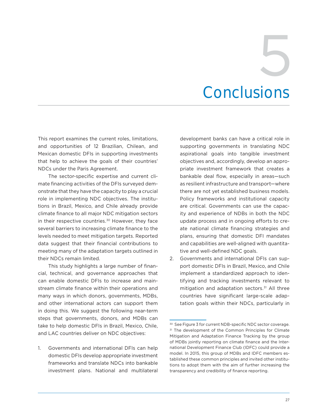# **Conclusions** 5

This report examines the current roles, limitations, and opportunities of 12 Brazilian, Chilean, and Mexican domestic DFIs in supporting investments that help to achieve the goals of their countries' NDCs under the Paris Agreement.

The sector-specific expertise and current climate financing activities of the DFIs surveyed demonstrate that they have the capacity to play a crucial role in implementing NDC objectives. The institutions in Brazil, Mexico, and Chile already provide climate finance to all major NDC mitigation sectors in their respective countries.<sup>30</sup> However, they face several barriers to increasing climate finance to the levels needed to meet mitigation targets. Reported data suggest that their financial contributions to meeting many of the adaptation targets outlined in their NDCs remain limited.

This study highlights a large number of financial, technical, and governance approaches that can enable domestic DFIs to increase and mainstream climate finance within their operations and many ways in which donors, governments, MDBs, and other international actors can support them in doing this. We suggest the following near-term steps that governments, donors, and MDBs can take to help domestic DFIs in Brazil, Mexico, Chile, and LAC countries deliver on NDC objectives:

1. Governments and international DFIs can help domestic DFIs develop appropriate investment frameworks and translate NDCs into bankable investment plans. National and multilateral

development banks can have a critical role in supporting governments in translating NDC aspirational goals into tangible investment objectives and, accordingly, develop an appropriate investment framework that creates a bankable deal flow, especially in areas—such as resilient infrastructure and transport—where there are not yet established business models. Policy frameworks and institutional capacity are critical. Governments can use the capacity and experience of NDBs in both the NDC update process and in ongoing efforts to create national climate financing strategies and plans, ensuring that domestic DFI mandates and capabilities are well-aligned with quantitative and well-defined NDC goals.

2. Governments and international DFIs can support domestic DFIs in Brazil, Mexico, and Chile implement a standardized approach to identifying and tracking investments relevant to mitigation and adaptation sectors.<sup>31</sup> All three countries have significant large-scale adaptation goals within their NDCs, particularly in

<sup>30</sup> See Figure 3 for current NDB-specific NDC sector coverage. <sup>31</sup> The development of the Common Principles for Climate Mitigation and Adaptation Finance Tracking by the group of MDBs jointly reporting on climate finance and the International Development Finance Club (IDFC) could provide a model. In 2015, this group of MDBs and IDFC members established these common principles and invited other institutions to adopt them with the aim of further increasing the transparency and credibility of finance reporting.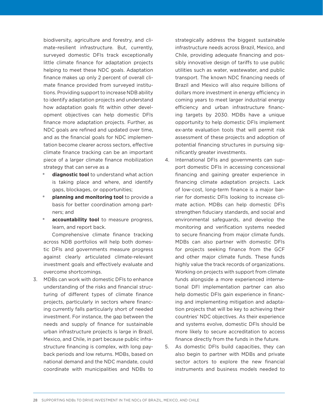biodiversity, agriculture and forestry, and climate-resilient infrastructure. But, currently, surveyed domestic DFIs track exceptionally little climate finance for adaptation projects helping to meet these NDC goals. Adaptation finance makes up only 2 percent of overall climate finance provided from surveyed institutions. Providing support to increase NDB ability to identify adaptation projects and understand how adaptation goals fit within other development objectives can help domestic DFIs finance more adaptation projects. Further, as NDC goals are refined and updated over time, and as the financial goals for NDC implementation become clearer across sectors, effective climate finance tracking can be an important piece of a larger climate finance mobilization strategy that can serve as a

- **diagnostic tool** to understand what action is taking place and where, and identify gaps, blockages, or opportunities;
- **planning and monitoring tool** to provide a basis for better coordination among partners; and
- **accountability tool** to measure progress, learn, and report back.

Comprehensive climate finance tracking across NDB portfolios will help both domestic DFIs and governments measure progress against clearly articulated climate-relevant investment goals and effectively evaluate and overcome shortcomings.

3. MDBs can work with domestic DFIs to enhance understanding of the risks and financial structuring of different types of climate finance projects, particularly in sectors where financing currently falls particularly short of needed investment. For instance, the gap between the needs and supply of finance for sustainable urban infrastructure projects is large in Brazil, Mexico, and Chile, in part because public infrastructure financing is complex, with long payback periods and low returns. MDBs, based on national demand and the NDC mandate, could coordinate with municipalities and NDBs to

strategically address the biggest sustainable infrastructure needs across Brazil, Mexico, and Chile, providing adequate financing and possibly innovative design of tariffs to use public utilities such as water, wastewater, and public transport. The known NDC financing needs of Brazil and Mexico will also require billions of dollars more investment in energy efficiency in coming years to meet larger industrial energy efficiency and urban infrastructure financing targets by 2030. MDBs have a unique opportunity to help domestic DFIs implement ex-ante evaluation tools that will permit risk assessment of these projects and adoption of potential financing structures in pursuing significantly greater investments.

- 4. International DFIs and governments can support domestic DFIs in accessing concessional financing and gaining greater experience in financing climate adaptation projects. Lack of low-cost, long-term finance is a major barrier for domestic DFIs looking to increase climate action. MDBs can help domestic DFIs strengthen fiduciary standards, and social and environmental safeguards, and develop the monitoring and verification systems needed to secure financing from major climate funds. MDBs can also partner with domestic DFIs for projects seeking finance from the GCF and other major climate funds. These funds highly value the track records of organizations. Working on projects with support from climate funds alongside a more experienced international DFI implementation partner can also help domestic DFIs gain experience in financing and implementing mitigation and adaptation projects that will be key to achieving their countries' NDC objectives. As their experience and systems evolve, domestic DFIs should be more likely to secure accreditation to access finance directly from the funds in the future.
- 5. As domestic DFIs build capacities, they can also begin to partner with MDBs and private sector actors to explore the new financial instruments and business models needed to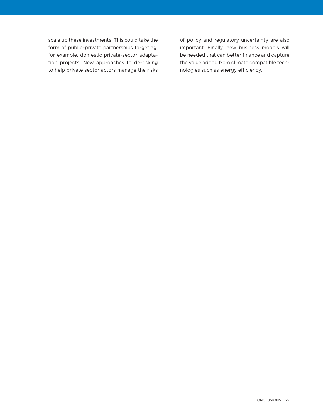scale up these investments. This could take the form of public–private partnerships targeting, for example, domestic private-sector adaptation projects. New approaches to de-risking to help private sector actors manage the risks of policy and regulatory uncertainty are also important. Finally, new business models will be needed that can better finance and capture the value added from climate compatible technologies such as energy efficiency.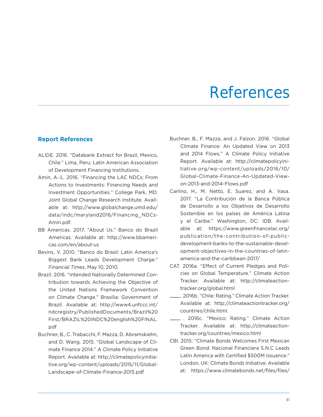### References

#### **Report References**

- ALIDE. 2016. "Databank Extract for Brazil, Mexico, Chile." Lima, Peru: Latin American Association of Development Financing Institutions.
- Amin, A.-L. 2016. "Financing the LAC NDCs: From Actions to Investments: Financing Needs and Investment Opportunities." College Park, MD: Joint Global Change Research Institute. Available at: http://www.globalchange.umd.edu/ data/indc/maryland2016/Financing\_NDCs-Amin.pdf.
- BB Americas. 2017. "About Us." Banco do Brazil Americas. Available at: http://www.bbamericas.com/en/about-us
- Bevins, V. 2010. "Banco do Brasil: Latin America's Biggest Bank Leads Development Charge." *Financial Times*, May 10, 2010.
- Brazil. 2016. "Intended Nationally Determined Contribution towards Achieving the Objective of the United Nations Framework Convention on Climate Change." Brasília: Government of Brazil. Available at: http://www4.unfccc.int/ ndcregistry/PublishedDocuments/Brazil%20 First/BRAZIL%20iNDC%20english%20FINAL. pdf
- Buchner, B., C. Trabacchi, F. Mazza, D. Abramskiehn, and D. Wang. 2015. "Global Landscape of Climate Finance 2014." A Climate Policy Initiative Report. Available at: http://climatepolicyinitiative.org/wp-content/uploads/2015/11/Global-Landscape-of-Climate-Finance-2015.pdf
- Buchner, B., F. Mazza, and J. Falzon. 2016. "Global Climate Finance: An Updated View on 2013 and 2014 Flows." A Climate Policy Initiative Report. Available at: http://climatepolicyinitiative.org/wp-content/uploads/2016/10/ Global-Climate-Finance-An-Updated-Viewon-2013-and-2014-Flows.pdf
- Carlino, H., M. Netto, E. Suarez, and A. Vasa. 2017. "La Contribución de la Banca Pública de Desarrollo a los Objetivos de Desarrollo Sostenible en los países de América Latina y el Caribe." Washington, DC: IDB. Available at: https://www.greenfinancelac.org/ publication/the-contribution-of-publicdevelopment-banks-to-the-sustainable-development-objectives-in-the-countries-of-latinamerica-and-the-caribbean-2017/
- CAT. 2016a. "Effect of Current Pledges and Policies on Global Temperature." Climate Action Tracker. Available at: http://climateactiontracker.org/global.html
- ——— . 2016b. "Chile: Rating." Climate Action Tracker. Available at: http://climateactiontracker.org/ countries/chile.html.
- ——— . 2016c. "Mexico: Rating." Climate Action Tracker. Available at: http://climateactiontracker.org/countries/mexico.html
- CBI. 2015. "Climate Bonds Welcomes First Mexican Green Bond: Nacional Financiera S.N.C Leads Latin America with Certified \$500M Issuance." London, UK: Climate Bonds Initiative. Available at: https://www.climatebonds.net/files/files/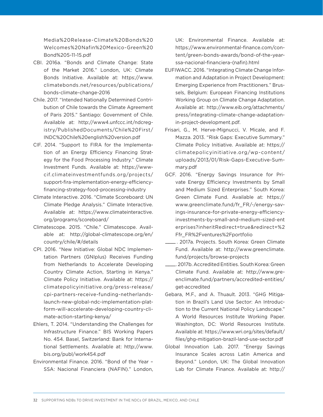Media%20Release-Climate%20Bonds%20 Welcomes%20Nafin%20Mexico-Green%20 Bond%205-11-15.pdf

- CBI. 2016a. "Bonds and Climate Change: State of the Market 2016." London, UK: Climate Bonds Initiative. Available at: https://www. climatebonds.net/resources/publications/ bonds-climate-change-2016
- Chile. 2017. "Intended Nationally Determined Contribution of Chile towards the Climate Agreement of Paris 2015." Santiago: Government of Chile. Available at: http://www4.unfccc.int/ndcregistry/PublishedDocuments/Chile%20First/ INDC%20Chile%20english%20version.pdf
- CIF. 2014. "Support to FIRA for the Implementation of an Energy Efficiency Financing Strategy for the Food Processing Industry." Climate Investment Funds. Available at: https://wwwcif.climateinvestmentfunds.org/projects/ support-fira-implementation-energy-efficiencyfinancing-strategy-food-processing-industry
- Climate Interactive. 2016. "Climate Scoreboard: UN Climate Pledge Analysis." Climate Interactive. Available at: https://www.climateinteractive. org/programs/scoreboard/
- Climatescope. 2015. "Chile." Climatescope. Available at: http://global-climatescope.org/en/ country/chile/#/details
- CPI. 2016. "New Initiative: Global NDC Implementation Partners (GNIplus) Receives Funding from Netherlands to Accelerate Developing Country Climate Action, Starting in Kenya." Climate Policy Initiative. Available at: https:// climatepolicyinitiative.org/press-release/ cpi-partners-receive-funding-netherlandslaunch-new-global-ndc-implementation-platform-will-accelerate-developing-country-climate-action-starting-kenya/
- Ehlers, T. 2014. "Understanding the Challenges for Infrastructure Finance." BIS Working Papers No. 454. Basel, Switzerland: Bank for International Settlements. Available at: http://www. bis.org/publ/work454.pdf
- Environmental Finance. 2016. "Bond of the Year SSA: Nacional Financiera (NAFIN)." London,

UK: Environmental Finance. Available at: https://www.environmental-finance.com/content/green-bonds-awards/bond-of-the-yearssa-nacional-financiera-(nafin).html

- EUFIWACC. 2016. "Integrating Climate Change Information and Adaptation in Project Development: Emerging Experience from Practitioners." Brussels, Belgium: European Financing Institutions Working Group on Climate Change Adaptation. Available at: http://www.eib.org/attachments/ press/integrating-climate-change-adaptationin-project-development.pdf.
- Frisari, G., M. Herve-Mignucci, V. Micale, and F. Mazza. 2013. "Risk Gaps: Executive Summary." Climate Policy Initiative. Available at: https:// climatepolicyinitiative.org/wp-content/ uploads/2013/01/Risk-Gaps-Executive-Summary.pdf
- GCF. 2016. "Energy Savings Insurance for Private Energy Efficiency Investments by Small and Medium Sized Enterprises." South Korea: Green Climate Fund. Available at: https:// www.greenclimate.fund/fr\_FR/-/energy-savings-insurance-for-private-energy-efficiencyinvestments-by-small-and-medium-sized-ent erprises?inheritRedirect=true&redirect=%2 Ffr\_FR%2Fventures%2Fportfolio
- $-$ . 2017a. Projects. South Korea: Green Climate Fund. Available at: http://www.greenclimate. fund/projects/browse-projects
- ——— . 2017b. Accredited Entities. South Korea: Green Climate Fund. Available at: http://www.greenclimate.fund/partners/accredited-entities/ get-accredited
- Gebara, M.F., and A. Thuault. 2013. "GHG Mitigation in Brazil's Land Use Sector: An Introduction to the Current National Policy Landscape." A World Resources Institute Working Paper. Washington, DC: World Resources Institute. Available at: https://www.wri.org/sites/default/ files/ghg-mitigation-brazil-land-use-sector.pdf
- Global Innovation Lab. 2017. "Energy Savings Insurance Scales across Latin America and Beyond." London, UK: The Global Innovation Lab for Climate Finance. Available at: http://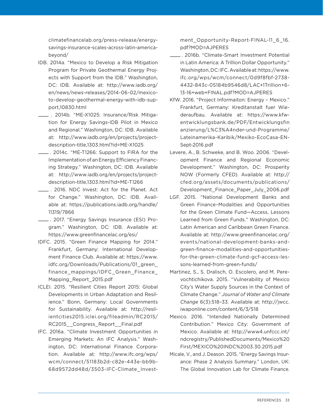climatefinancelab.org/press-release/energysavings-insurance-scales-across-latin-americabeyond/

- IDB. 2014a. "Mexico to Develop a Risk Mitigation Program for Private Geothermal Energy Projects with Support from the IDB." Washington, DC: IDB. Available at: http://www.iadb.org/ en/news/news-releases/2014-06-02/mexicoto-develop-geothermal-energy-with-idb-support,10830.html
- ——— . 2014b. "ME-X1025: Insurance/Risk Mitigation for Energy Savings-IDB Pilot in Mexico and Regional." Washington, DC: IDB. Available at: http://www.iadb.org/en/projects/projectdescription-title,1303.html?id=ME-X1025
- ——— . 2014c. "ME-T1266: Support to FIRA for the Implementation of an Energy Efficiency Financing Strategy." Washington, DC: IDB. Available at: http://www.iadb.org/en/projects/projectdescription-title,1303.html?id=ME-T1266
- ——— . 2016. NDC Invest: Act for the Planet. Act for Change." Washington, DC: IDB. Available at: https://publications.iadb.org/handle/ 11319/7866
- $-$ . 2017. "Energy Savings Insurance (ESI) Program." Washington, DC: IDB. Available at: https://www.greenfinancelac.org/esi/
- IDFC. 2015. "Green Finance Mapping for 2014." Frankfurt, Germany: International Development Finance Club. Available at: https://www. idfc.org/Downloads/Publications/01\_green\_ finance\_mappings/IDFC\_Green\_Finance\_ Mapping\_Report\_2015.pdf
- ICLEI. 2015. "Resilient Cities Report 2015: Global Developments in Urban Adaptation and Resilience." Bonn, Germany: Local Governments for Sustainability. Available at: http://resilientcities2015.iclei.org/fileadmin/RC2015/ RC2015\_\_Congress\_Report\_\_Final.pdf
- IFC. 2016a. "Climate Investment Opportunities in Emerging Markets: An IFC Analysis." Washington, DC: International Finance Corporation. Available at: http://www.ifc.org/wps/ wcm/connect/51183b2d-c82e-443e-bb9b-68d9572dd48d/3503-IFC-Climate\_Invest-

ment\_Opportunity-Report-FINAL-11\_6\_16. pdf?MOD=AJPERES

- . 2016b. "Climate-Smart Investment Potential in Latin America: A Trillion Dollar Opportunity." Washington, DC: IFC. Available at: https://www. ifc.org/wps/wcm/connect/0d9f8fbf-2738- 4432-843c-05184b9546d8/LAC+1Trillion+6- 13-16+web+FINAL.pdf?MOD=AJPERES
- KfW. 2016. "Project Informaiton: Energy Mexico." Frankfurt, Germany: Kreditanstalt fuer Wiederaufbau. Available at: https://www.kfwentwicklungsbank.de/PDF/Entwicklungsfin anzierung/L%C3%A4nder-und-Programme/ Lateinamerika-Karibik/Mexiko-EcoCasa-EN-Sept-2016.pdf
- Levere, A., B. Schweke, and B. Woo. 2006. "Development Finance and Regional Economic Development." Washington, DC: Prosperity NOW (Formerly CFED). Available at: http:// cfed.org/assets/documents/publications/ Development\_Finance\_Paper\_July\_2006.pdf
- LGF. 2015. "National Development Banks and Green Finance–Modalities and Opportunities for the Green Climate Fund—Access, Lessons Learned from Green Funds." Washington, DC: Latin American and Caribbean Green Finance. Available at: http://www.greenfinancelac.org/ events/national-development-banks-andgreen-finance-modalities-and-opportunitiesfor-the-green-climate-fund-gcf-access-lessons-learned-from-green-funds/
- Martinez, S., S. Dralisch, O. Escolero, and M. Perevochtichikova. 2015. "Vulnerability of Mexico City's Water Supply Sources in the Context of Climate Change." *Journal of Water and Climate Change* 6(3):518–33. Available at: http://jwcc. iwaponline.com/content/6/3/518
- Mexico. 2016. "Intended Nationally Determined Contribution." Mexico City: Government of Mexico. Available at: http://www4.unfccc.int/ ndcregistry/PublishedDocuments/Mexico%20 First/MEXICO%20INDC%2003.30.2015.pdf
- Micale, V., and J. Deason. 2015. "Energy Savings Insurance: Phase 2 Analysis Summary." London, UK: The Global Innovation Lab for Climate Finance.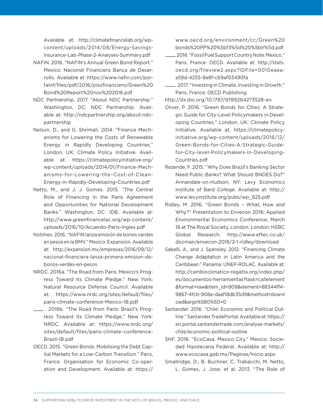Available at: http://climatefinancelab.org/wpcontent/uploads/2014/08/Energy-Savings-Insurance-Lab-Phase-2-Analyses-Summary.pdf

- NAFIN. 2016. "NAFIN's Annual Green Bond Report." Mexico: Nacional Financiera Banca de Desarrollo. Available at: https://www.nafin.com/portalnf/files/pdf/2016/pisofinanciero/Green%20 Bond%20Report%20nov%202016.pdf
- NDC Partnership. 2017. "About NDC Partnership." Washington, DC: NDC Partnership. Available at: http://ndcpartnership.org/about-ndcpartnership
- Nelson, D., and G. Shrimali. 2014. "Finance Mechanisms for Lowering the Costs of Renewable Energy in Rapidly Developing Countries." London, UK: Climate Policy Initiative. Available at: https://climatepolicyinitiative.org/ wp-content/uploads/2014/01/Finance-Mechanisms-for-Lowering-the-Cost-of-Clean-Energy-in-Rapidly-Developing-Countries.pdf
- Netto, M., and J. J. Gomes. 2015. "The Central Role of Financing in the Paris Agreement and Opportunities for National Development Banks." Washington, DC: IDB. Available at: http://www.greenfinancelac.org/wp-content/ uploads/2016/10/Acuerdo-Paris-Ingles.pdf
- Notimex. 2016. "NAFIN lanza emisión de bonos verdes en pesos en la BMV." Mexico: Expansion. Available at: http://expansion.mx/empresas/2016/09/12/ nacional-financiera-lanza-primera-emision-debonos-verdes-en-pesos
- NRDC. 2016a. "The Road from Paris: Mexico's Progress Toward Its Climate Pledge." New York: Natural Resource Defense Council. Available at: https://www.nrdc.org/sites/default/files/ paris-climate-conference-Mexico-IB.pdf
- ——— . 2016b. "The Road from Paris: Brazil's Progress Toward Its Climate Pledge." New York: NRDC. Available at: https://www.nrdc.org/ sites/default/files/paris-climate-conference-Brazil-IB.pdf
- OECD. 2015. "Green Bonds: Mobilising the Debt Capital Markets for a Low-Carbon Transition." Paris, France: Organisation for Economic Co-operation and Development. Available at: https://

www.oecd.org/environment/cc/Green%20 bonds%20PP%20%5bf3%5d%20%5blr%5d.pdf

- .2016. "Fossil Fuel Support Country Note: Mexico." Paris, France: OECD. Available at: http://stats. oecd.org/fileview2.aspx?IDFile=0010eaeaa59d-4255-8e8f-c69af03490fa
- ——— . 2017. "Investing in Climate, Investing in Growth." Paris, France: OECD Publishing.

http://dx.doi.org/10.1787/9789264273528-en

- Oliver, P. 2016. "Green Bonds for Cities: A Strategic Guide for City-Level Policymakers in Developing Countries." London, UK: Climate Policy Initiative. Available at: https://climatepolicyinitiative.org/wp-content/uploads/2016/12/ Green-Bonds-for-Cities-A-Strategic-Guidefor-City-level-Policymakers-in-Developing-Countries.pdf
- Rezende, F. 2015. "Why Does Brazil's Banking Sector Need Public Banks? What Should BNDES Do?" Annandale-on-Hudson, NY: Levy Economics Institute of Bard College. Available at: http:// www.levyinstitute.org/pubs/wp\_825.pdf
- Ridley, M. 2016. "Green Bonds What, How and Why?" Presentation to Envecon 2016: Applied Environmental Economics Conference, March 18 at The Royal Society, London. London: HSBC Global Research. http://www.eftec.co.uk/ docman/envecon-2016/2-1-ridley/download
- Sabelli, A., and J. Spensley. 2012. "Financing Climate Change Adaptation in Latin America and the Caribbean." Panama: UNEP-ROLAC. Available at: http://cambioclimatico-regatta.org/index.php/ es/documentos-herramientas?task=callelement &format=raw&item\_id=909&element=88344ff4- 9867-4fcb-908a-daaf18db35d9&method=downl oad&args%5B0%5D=0
- Santander. 2016. "Chile: Economic and Political Outline." Santander TradePortal. Available at: https:// en.portal.santandertrade.com/analyse-markets/ chile/economic-political-outline
- SHF. 2016. "EcoCasa. Mexico City." Mexico: Sociedad Hipotecaria Federal. Available at: http:// www.ecocasa.gob.mx/Paginas/Inicio.aspx
- Smallridge, D., B. Buchner, C. Trabacchi, M. Netto, L. Gomes, J. Jose, et al. 2013. "The Role of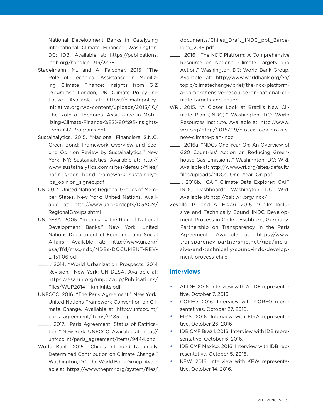National Development Banks in Catalyzing International Climate Finance." Washington, DC: IDB. Available at: https://publications. iadb.org/handle/11319/3478

- Stadelmann, M., and A. Falconer. 2015. "The Role of Technical Assistance in Mobilizing Climate Finance: Insights from GIZ Programs." London, UK: Climate Policy Initiative. Available at: https://climatepolicyinitiative.org/wp-content/uploads/2015/10/ The-Role-of-Technical-Assistance-in-Mobilizing-Climate-Finance-%E2%80%93-Insights-From-GIZ-Programs.pdf
- Sustainalytics. 2015. "Nacional Financiera S.N.C. Green Bond: Framework Overview and Second Opinion Review by Sustainalytics." New York, NY: Sustainalytics. Available at: http:// www.sustainalytics.com/sites/default/files/ nafin green bond framework sustainalytics\_opinion\_signed.pdf
- UN. 2014. United Nations Regional Groups of Member States. New York: United Nations. Available at: http://www.un.org/depts/DGACM/ RegionalGroups.shtml
- UN DESA. 2005. "Rethinking the Role of National Development Banks." New York: United Nations Department of Economic and Social Affairs. Available at: http://www.un.org/ esa/ffd/msc/ndb/NDBs-DOCUMENT-REV-E-151106.pdf
- ——— . 2014. "World Urbanization Prospects: 2014 Revision." New York: UN DESA. Available at: https://esa.un.org/unpd/wup/Publications/ Files/WUP2014-Highlights.pdf
- UNFCCC. 2016. "The Paris Agreement." New York: United Nations Framework Convention on Climate Change. Available at: http://unfccc.int/ paris\_agreement/items/9485.php
- ——— . 2017. "Paris Agreement: Status of Ratification." New York: UNFCCC. Available at: http:// unfccc.int/paris\_agreement/items/9444.php
- World Bank. 2015. "Chile's Intended Nationally Determined Contribution on Climate Change." Washington, DC: The World Bank Group. Available at: https://www.thepmr.org/system/files/

documents/Chiles\_Draft\_INDC\_ppt\_Barcelona\_2015.pdf

- .. 2016. "The NDC Platform: A Comprehensive Resource on National Climate Targets and Action." Washington, DC: World Bank Group. Available at: http://www.worldbank.org/en/ topic/climatechange/brief/the-ndc-platforma-comprehensive-resource-on-national-climate-targets-and-action
- WRI. 2015. "A Closer Look at Brazil's New Climate Plan (INDC)." Washington, DC: World Resources Institute. Available at: http://www. wri.org/blog/2015/09/closer-look-brazilsnew-climate-plan-indc
- ——— . 2016a. "NDCs One Year On: An Overview of G20 Countries' Action on Reducing Greenhouse Gas Emissions." Washington, DC: WRI. Available at: http://www.wri.org/sites/default/ files/uploads/NDCs\_One\_Year\_On.pdf
- ——— . 2016b. "CAIT Climate Data Explorer: CAIT INDC Dashboard." Washington, DC: WRI. Available at: http://cait.wri.org/indc/
- Zevallo, P., and A. Figari. 2015. "Chile: Inclusive and Technically Sound INDC Development Process in Chile." Eschborn, Germany: Partnership on Transparency in the Paris Agreement. Available at: https://www. transparency-partnership.net/gpa/inclusive-and-technically-sound-indc-development-process-chile

#### **Interviews**

- ALIDE. 2016. Interview with ALIDE representative. October 7, 2016.
- CORFO. 2016. Interview with CORFO representatives. October 27, 2016.
- FIRA. 2016. Interview with FIRA representative. October 26, 2016.
- IDB CMF Brazil. 2016. Interview with IDB representative. October 6, 2016.
- IDB CMF Mexico. 2016. Interview with IDB representative. October 5, 2016.
- KFW. 2016. Interview with KFW representative. October 14, 2016.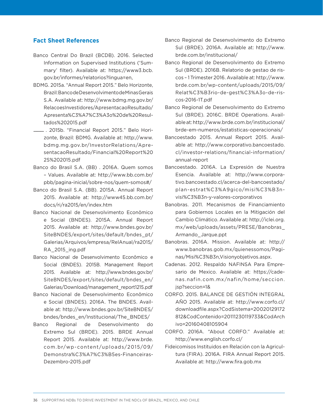#### **Fact Sheet References**

- Banco Central Do Brazil (BCDB). 2016. Selected Information on Supervised Institutions ('Summary' filter). Available at: https://www3.bcb. gov.br/informes/relatorios?lingua=en,
- BDMG. 2015a. "Annual Report 2015." Belo Horizonte, Brazil: Banco de Desenvolvimento de Minas Gerais S.A. Available at: http://www.bdmg.mg.gov.br/ RelacoesInvestidores/ApresentacaoResultado/ Apresenta%C3%A7%C3%A3o%20de%20Resultados%202015.pdf
- $-$ . 2015b. "Financial Report 2015." Belo Horizonte, Brazil: BDMG. Available at: http://www. bdmg.mg.gov.br/InvestorRelations/ApresentacaoResultado/Financial%20Report%20 2S%202015.pdf
- Banco do Brasil S.A. (BB) . 2016A. Quem somos – Values. Available at: http://www.bb.com.br/ pbb/pagina-inicial/sobre-nos/quem-somos#/
- Banco do Brasil S.A. (BB). 2015A. Annual Report 2015. Available at: http://www45.bb.com.br/ docs/ri/ra2015/en/index.htm
- Banco Nacional de Desenvolvimento Econômico e Social (BNDES). 2015A. Annual Report 2015. Available at: http://www.bndes.gov.br/ SiteBNDES/export/sites/default/bndes\_pt/ Galerias/Arquivos/empresa/RelAnual/ra2015/ RA\_2015\_ing.pdf
- Banco Nacional de Desenvolvimento Econômico e Social (BNDES). 2015B. Management Report 2015. Available at: http://www.bndes.gov.br/ SiteBNDES/export/sites/default/bndes\_en/ Galerias/Download/management\_report1215.pdf
- Banco Nacional de Desenvolvimento Econômico e Social (BNDES). 2016A. The BNDES. Available at: http://www.bndes.gov.br/SiteBNDES/ bndes/bndes\_en/Institucional/The\_BNDES/
- Banco Regional de Desenvolvimento do Extremo Sul (BRDE). 2015. BRDE Annual Report 2015. Available at: http://www.brde. com.br/wp-content/uploads/2015/09/ Demonstra%C3%A7%C3%B5es-Financeiras-Dezembro-2015.pdf
- Banco Regional de Desenvolvimento do Extremo Sul (BRDE). 2016A. Available at: http://www. brde.com.br/institucional/
- Banco Regional de Desenvolvimento do Extremo Sul (BRDE). 2016B. Relatorio de gestao de riscos – 1 Trimester 2016. Available at: http://www. brde.com.br/wp-content/uploads/2015/09/ Relat%C3%B3rio-de-gest%C3%A3o-de-riscos-2016-1T.pdf
- Banco Regional de Desenvolvimento do Extremo Sul (BRDE). 2016C. BRDE Operations. Available at: http://www.brde.com.br/institucional/ brde-em-numeros/estatisticas-operacionais/
- Bancoestado 2015. Annual Report 2015. Available at: http://www.corporativo.bancoestado. cl/investor-relations/financial-information/ annual-report
- Bancoestado. 2016A. La Expresión de Nuestra Esencia. Available at: http://www.corporativo.bancoestado.cl/acerca-del-bancoestado/ plan-estrat%C3%A9gico/misi%C3%B3nvisi%C3%B3n-y-valores-corporativos
- Banobras. 2011. Mecanismos de Financiamiento para Gobiernos Locales en la Mitigación del Cambio Climático. Available at: http://iclei.org. mx/web/uploads/assets/PRESE/Banobras\_ Armando\_Jarque.ppt
- Banobras. 2016A. Mission. Available at: http:// www.banobras.gob.mx/quienessomos/Paginas/Misi%C3%B3n,Visionyobjetivos.aspx.
- Cadenas. 2012. Respaldo NAFINSA Para Empresario de Mexico. Available at: https://cadenas.nafin.com.mx/nafin/home/seccion. jsp?seccion=1&
- CORFO. 2015. BALANCE DE GESTIÓN INTEGRAL AÑO 2015. Available at: http://www.corfo.cl/ downloadfile.aspx?CodSistema=20020129172 812&CodContenido=20111230119733&CodArch ivo=20160408105904
- CORFO. 2016A. "About CORFO." Available at: http://www.english.corfo.cl/
- Fideicomisos Instituidos en Relación con la Agricultura (FIRA). 2016A. FIRA Annual Report 2015. Available at: http://www.fira.gob.mx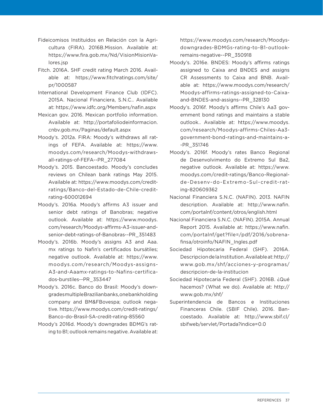- Fideicomisos Instituidos en Relación con la Agricultura (FIRA). 2016B.Mission. Available at: https://www.fira.gob.mx/Nd/VisionMisionValores.jsp
- Fitch. 2016A. SHF credit rating March 2016. Available at: https://www.fitchratings.com/site/ pr/1000587
- International Development Finance Club (IDFC). 2015A. Nacional Financiera, S.N.C.. Available at: https://www.idfc.org/Members/nafin.aspx
- Mexican gov. 2016. Mexican portfolio information. Available at: http://portafoliodeinformacion. cnbv.gob.mx/Paginas/default.aspx
- Moody's. 2012a. FIRA: Moody's withdraws all ratings of FEFA. Available at: https://www. moodys.com/research/Moodys-withdrawsall-ratings-of-FEFA--PR\_277084
- Moody's. 2015. Bancoestado. Moody's concludes reviews on Chilean bank ratings May 2015. Available at: https://www.moodys.com/creditratings/Banco-del-Estado-de-Chile-creditrating-600012694
- Moody's. 2016a. Moody's affirms A3 issuer and senior debt ratings of Banobras; negative outlook. Available at: https://www.moodys. com/research/Moodys-affirms-A3-issuer-andsenior-debt-ratings-of-Banobras--PR\_351483
- Moody's. 2016b. Moody's assigns A3 and Aaa. mx ratings to Nafin's certificados bursátiles; negative outlook. Available at: https://www. moodys.com/research/Moodys-assigns-A3-and-Aaamx-ratings-to-Nafins-certificados-burstiles--PR\_353447
- Moody's. 2016c. Banco do Brasil: Moody's downgrades multiple Brazilian banks, one bank holding company and BM&FBovespa; outlook negative. https://www.moodys.com/credit-ratings/ Banco-do-Brasil-SA-credit-rating-85560
- Moody's 2016d. Moody's downgrades BDMG's rating to B1; outlook remains negative. Available at:

https://www.moodys.com/research/Moodysdowngrades-BDMGs-rating-to-B1-outlookremains-negative--PR\_350918

- Moody's. 2016e. BNDES: Moody's affirms ratings assigned to Caixa and BNDES and assigns CR Assessments to Caixa and BNB. Available at: https://www.moodys.com/research/ Moodys-affirms-ratings-assigned-to-Caixaand-BNDES-and-assigns--PR\_328130
- Moody's. 2016f. Moody's affirms Chile's Aa3 government bond ratings and maintains a stable outlook.. Available at: https://www.moodys. com/research/Moodys-affirms-Chiles-Aa3 government-bond-ratings-and-maintains-a- -PR\_351746
- Moody's. 2016f. Moody's rates Banco Regional de Desenvolvimento do Extremo Sul Ba2, negative outlook. Available at: https://www. moodys.com/credit-ratings/Banco-Regionalde-Desenv-do-Extremo-Sul-credit-rating-820609362
- Nacional Financiera S.N.C. (NAFIN). 2013. NAFIN description. Available at: http://www.nafin. com/portalnf/content/otros/english.html
- Nacional Financiera S.N.C. (NAFIN). 2015A. Annual Report 2015. Available at: https://www.nafin. com/portalnf/get?file=/pdf/2016/sobrenafinsa/otroinfo/NAFIN\_Ingles.pdf
- Sociedad Hipotecaria Federal (SHF). 2016A. Descripcion de la Institution. Available at: http:// www.gob.mx/shf/acciones-y-programas/ descripcion-de-la-institucion
- Sociedad Hipotecaria Federal (SHF). 2016B. ¿Qué hacemos? (What we do). Available at: http:// www.gob.mx/shf/
- Superintendencia de Bancos e Instituciones Financeras Chile. (SBIF Chile). 2016. Bancoestado. Available at: http://www.sbif.cl/ sbifweb/servlet/Portada?indice=0.0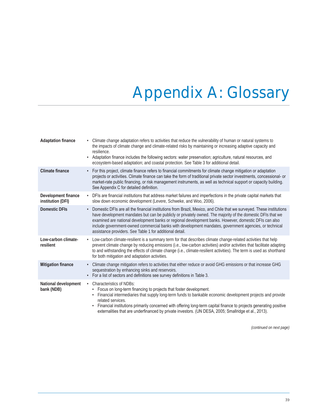# Appendix A: Glossary

| <b>Adaptation finance</b>                       | Climate change adaptation refers to activities that reduce the vulnerability of human or natural systems to<br>the impacts of climate change and climate-related risks by maintaining or increasing adaptive capacity and<br>resilience.<br>Adaptation finance includes the following sectors: water preservation; agriculture, natural resources, and<br>ecosystem-based adaptation; and coastal protection. See Table 3 for additional detail.                                                                                 |
|-------------------------------------------------|----------------------------------------------------------------------------------------------------------------------------------------------------------------------------------------------------------------------------------------------------------------------------------------------------------------------------------------------------------------------------------------------------------------------------------------------------------------------------------------------------------------------------------|
| <b>Climate finance</b>                          | For this project, climate finance refers to financial commitments for climate change mitigation or adaptation<br>$\bullet$<br>projects or activities. Climate finance can take the form of traditional private sector investments, concessional- or<br>market-rate public financing, or risk management instruments, as well as technical support or capacity building.<br>See Appendix C for detailed definition.                                                                                                               |
| <b>Development finance</b><br>institution (DFI) | • DFIs are financial institutions that address market failures and imperfections in the private capital markets that<br>slow down economic development (Levere, Schweke, and Woo, 2006).                                                                                                                                                                                                                                                                                                                                         |
| <b>Domestic DFIs</b>                            | Domestic DFIs are all the financial institutions from Brazil, Mexico, and Chile that we surveyed. These institutions<br>$\bullet$<br>have development mandates but can be publicly or privately owned. The majority of the domestic DFIs that we<br>examined are national development banks or regional development banks. However, domestic DFIs can also<br>include government-owned commercial banks with development mandates, government agencies, or technical<br>assistance providers. See Table 1 for additional detail. |
| Low-carbon climate-<br>resilient                | Low-carbon climate-resilient is a summary term for that describes climate change-related activities that help<br>$\bullet$<br>prevent climate change by reducing emissions (i.e., low-carbon activities) and/or activities that facilitate adapting<br>to and withstanding the effects of climate change (i.e., climate-resilient activities). The term is used as shorthand<br>for both mitigation and adaptation activities.                                                                                                   |
| <b>Mitigation finance</b>                       | · Climate change mitigation refers to activities that either reduce or avoid GHG emissions or that increase GHG<br>sequestration by enhancing sinks and reservoirs.<br>· For a list of sectors and definitions see survey definitions in Table 3.                                                                                                                                                                                                                                                                                |
| National development<br>bank (NDB)              | <b>Characteristics of NDBs:</b><br>$\bullet$<br>Focus on long-term financing to projects that foster development.<br>Financial intermediaries that supply long-term funds to bankable economic development projects and provide<br>$\bullet$<br>related services.<br>Financial institutions primarily concerned with offering long-term capital finance to projects generating positive<br>externalities that are underfinanced by private investors. (UN DESA, 2005; Smallridge et al., 2013).                                  |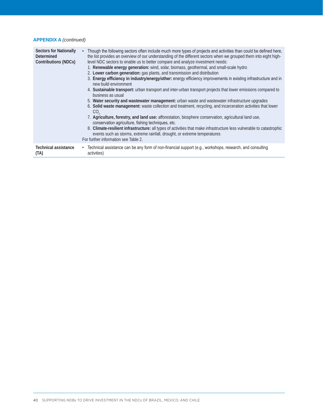#### **APPENDIX A** *(continued)*

| <b>Sectors for Nationally</b><br>Determined<br><b>Contributions (NDCs)</b> | Though the following sectors often include much more types of projects and activities than could be defined here,<br>the list provides an overview of our understanding of the different sectors when we grouped them into eight high-<br>level NDC sectors to enable us to better compare and analyze investment needs:<br>1. Renewable energy generation: wind, solar, biomass, geothermal, and small-scale hydro<br>2. Lower carbon generation: gas plants, and transmission and distribution<br>3. Energy efficiency in industry/energy/other: energy efficiency improvements in existing infrastructure and in<br>new build environment<br>4. Sustainable transport: urban transport and inter-urban transport projects that lower emissions compared to<br>business as usual<br>5. Water security and wastewater management: urban waste and wastewater infrastructure upgrades<br>6. Solid waste management: waste collection and treatment, recycling, and incarceration activities that lower<br>CO.<br>7. Agriculture, forestry, and land use: afforestation, biosphere conservation, agricultural land use,<br>conservation agriculture, fishing techniques, etc.<br>8. Climate-resilient infrastructure: all types of activities that make infrastructure less vulnerable to catastrophic<br>events such as storms, extreme rainfall, drought, or extreme temperatures<br>For further information see Table 2. |
|----------------------------------------------------------------------------|----------------------------------------------------------------------------------------------------------------------------------------------------------------------------------------------------------------------------------------------------------------------------------------------------------------------------------------------------------------------------------------------------------------------------------------------------------------------------------------------------------------------------------------------------------------------------------------------------------------------------------------------------------------------------------------------------------------------------------------------------------------------------------------------------------------------------------------------------------------------------------------------------------------------------------------------------------------------------------------------------------------------------------------------------------------------------------------------------------------------------------------------------------------------------------------------------------------------------------------------------------------------------------------------------------------------------------------------------------------------------------------------------------------------------|
| Technical assistance                                                       | • Technical assistance can be any form of non-financial support (e.g., workshops, research, and consulting                                                                                                                                                                                                                                                                                                                                                                                                                                                                                                                                                                                                                                                                                                                                                                                                                                                                                                                                                                                                                                                                                                                                                                                                                                                                                                                 |
| (TA)                                                                       | activities)                                                                                                                                                                                                                                                                                                                                                                                                                                                                                                                                                                                                                                                                                                                                                                                                                                                                                                                                                                                                                                                                                                                                                                                                                                                                                                                                                                                                                |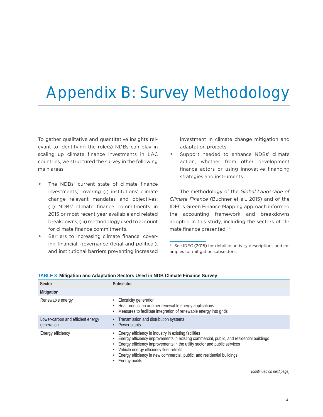# Appendix B: Survey Methodology

To gather qualitative and quantitative insights relevant to identifying the role(s) NDBs can play in scaling up climate finance investments in LAC countries, we structured the survey in the following main areas:

- The NDBs' current state of climate finance investments, covering (i) institutions' climate change relevant mandates and objectives; (ii) NDBs' climate finance commitments in 2015 or most recent year available and related breakdowns; (iii) methodology used to account for climate finance commitments.
- Barriers to increasing climate finance, covering financial, governance (legal and political), and institutional barriers preventing increased

investment in climate change mitigation and adaptation projects.

Support needed to enhance NDBs' climate action, whether from other development finance actors or using innovative financing strategies and instruments.

The methodology of the *Global Landscape of Climate Finance* (Buchner et al., 2015) and of the IDFC's Green Finance Mapping approach informed the accounting framework and breakdowns adopted in this study, including the sectors of climate finance presented.<sup>32</sup>

<sup>32</sup> See IDFC (2015) for detailed activity descriptions and examples for mitigation subsectors.

| Sector                                          | Subsector                                                                                                                                                                                                                                                                                                                                                                                                               |
|-------------------------------------------------|-------------------------------------------------------------------------------------------------------------------------------------------------------------------------------------------------------------------------------------------------------------------------------------------------------------------------------------------------------------------------------------------------------------------------|
| <b>Mitigation</b>                               |                                                                                                                                                                                                                                                                                                                                                                                                                         |
| Renewable energy                                | • Electricity generation<br>Heat production or other renewable energy applications<br>$\bullet$<br>Measures to facilitate integration of renewable energy into grids<br>$\bullet$                                                                                                                                                                                                                                       |
| Lower-carbon and efficient energy<br>generation | Transmission and distribution systems<br>$\bullet$<br>Power plants<br>$\bullet$                                                                                                                                                                                                                                                                                                                                         |
| Energy efficiency                               | Energy efficiency in industry in existing facilities<br>$\bullet$<br>Energy efficiency improvements in existing commercial, public, and residential buildings<br>$\bullet$<br>Energy efficiency improvements in the utility sector and public services<br>$\bullet$<br>Vehicle energy efficiency fleet retrofit<br>$\bullet$<br>Energy efficiency in new commercial, public, and residential buildings<br>Energy audits |

| <b>TABLE 3 Mitigation and Adaptation Sectors Used in NDB Climate Finance Survey</b> |
|-------------------------------------------------------------------------------------|
|-------------------------------------------------------------------------------------|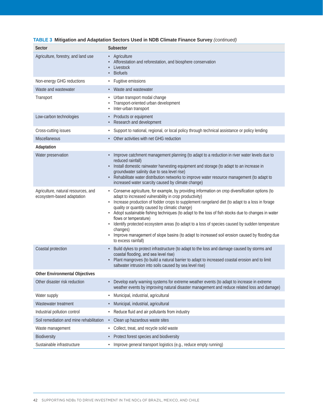| Sector                                                            | Subsector                                                                                                                                                                                                                                                                                                                                                                                                                                                                                                                                                                                                                                                                             |
|-------------------------------------------------------------------|---------------------------------------------------------------------------------------------------------------------------------------------------------------------------------------------------------------------------------------------------------------------------------------------------------------------------------------------------------------------------------------------------------------------------------------------------------------------------------------------------------------------------------------------------------------------------------------------------------------------------------------------------------------------------------------|
| Agriculture, forestry, and land use                               | Agriculture<br>Afforestation and reforestation, and biosphere conservation<br>Livestock<br><b>Biofuels</b>                                                                                                                                                                                                                                                                                                                                                                                                                                                                                                                                                                            |
| Non-energy GHG reductions                                         | Fugitive emissions<br>$\bullet$                                                                                                                                                                                                                                                                                                                                                                                                                                                                                                                                                                                                                                                       |
| Waste and wastewater                                              | Waste and wastewater                                                                                                                                                                                                                                                                                                                                                                                                                                                                                                                                                                                                                                                                  |
| Transport                                                         | Urban transport modal change<br>Transport-oriented urban development<br>Inter-urban transport                                                                                                                                                                                                                                                                                                                                                                                                                                                                                                                                                                                         |
| Low-carbon technologies                                           | Products or equipment<br>Research and development                                                                                                                                                                                                                                                                                                                                                                                                                                                                                                                                                                                                                                     |
| Cross-cutting issues                                              | Support to national, regional, or local policy through technical assistance or policy lending                                                                                                                                                                                                                                                                                                                                                                                                                                                                                                                                                                                         |
| <b>Miscellaneous</b>                                              | Other activities with net GHG reduction                                                                                                                                                                                                                                                                                                                                                                                                                                                                                                                                                                                                                                               |
| Adaptation                                                        |                                                                                                                                                                                                                                                                                                                                                                                                                                                                                                                                                                                                                                                                                       |
| Water preservation                                                | Improve catchment management planning (to adapt to a reduction in river water levels due to<br>reduced rainfall)<br>Install domestic rainwater harvesting equipment and storage (to adapt to an increase in<br>$\bullet$<br>groundwater salinity due to sea level rise)<br>Rehabilitate water distribution networks to improve water resource management (to adapt to<br>increased water scarcity caused by climate change)                                                                                                                                                                                                                                                           |
| Agriculture, natural resources, and<br>ecosystem-based adaptation | • Conserve agriculture, for example, by providing information on crop diversification options (to<br>adapt to increased vulnerability in crop productivity)<br>Increase production of fodder crops to supplement rangeland diet (to adapt to a loss in forage<br>quality or quantity caused by climatic change)<br>• Adopt sustainable fishing techniques (to adapt to the loss of fish stocks due to changes in water<br>flows or temperature)<br>Identify protected ecosystem areas (to adapt to a loss of species caused by sudden temperature<br>changes)<br>Improve management of slope basins (to adapt to increased soil erosion caused by flooding due<br>to excess rainfall) |
| Coastal protection                                                | Build dykes to protect infrastructure (to adapt to the loss and damage caused by storms and<br>$\bullet$<br>coastal flooding, and sea level rise)<br>Plant mangroves (to build a natural barrier to adapt to increased coastal erosion and to limit<br>saltwater intrusion into soils caused by sea level rise)                                                                                                                                                                                                                                                                                                                                                                       |
| <b>Other Environmental Objectives</b>                             |                                                                                                                                                                                                                                                                                                                                                                                                                                                                                                                                                                                                                                                                                       |
| Other disaster risk reduction                                     | Develop early warning systems for extreme weather events (to adapt to increase in extreme<br>weather events by improving natural disaster management and reduce related loss and damage)                                                                                                                                                                                                                                                                                                                                                                                                                                                                                              |
| Water supply                                                      | Municipal, industrial, agricultural<br>$\bullet$                                                                                                                                                                                                                                                                                                                                                                                                                                                                                                                                                                                                                                      |
| Wastewater treatment                                              | Municipal, industrial, agricultural                                                                                                                                                                                                                                                                                                                                                                                                                                                                                                                                                                                                                                                   |
| Industrial pollution control                                      | Reduce fluid and air pollutants from industry<br>$\bullet$                                                                                                                                                                                                                                                                                                                                                                                                                                                                                                                                                                                                                            |
| Soil remediation and mine rehabilitation                          | Clean up hazardous waste sites<br>$\bullet$                                                                                                                                                                                                                                                                                                                                                                                                                                                                                                                                                                                                                                           |
| Waste management                                                  | Collect, treat, and recycle solid waste<br>$\bullet$                                                                                                                                                                                                                                                                                                                                                                                                                                                                                                                                                                                                                                  |
| Biodiversity                                                      | • Protect forest species and biodiversity                                                                                                                                                                                                                                                                                                                                                                                                                                                                                                                                                                                                                                             |
| Sustainable infrastructure                                        | Improve general transport logistics (e.g., reduce empty running)<br>$\bullet$                                                                                                                                                                                                                                                                                                                                                                                                                                                                                                                                                                                                         |

#### **TABLE 3 Mitigation and Adaptation Sectors Used in NDB Climate Finance Survey** *(continued)*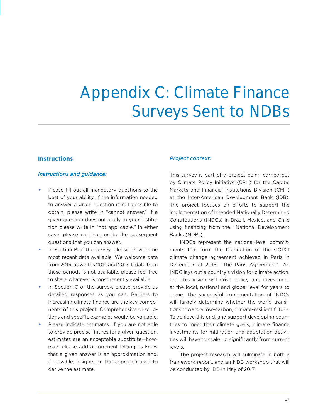# Appendix C: Climate Finance Surveys Sent to NDBs

#### **Instructions**

#### *Instructions and guidance:*

- Please fill out all mandatory questions to the best of your ability. If the information needed to answer a given question is not possible to obtain, please write in "cannot answer." If a given question does not apply to your institution please write in "not applicable." In either case, please continue on to the subsequent questions that you can answer.
- In Section B of the survey, please provide the most recent data available. We welcome data from 2015, as well as 2014 and 2013. If data from these periods is not available, please feel free to share whatever is most recently available.
- In Section C of the survey, please provide as detailed responses as you can. Barriers to increasing climate finance are the key components of this project. Comprehensive descriptions and specific examples would be valuable.
- Please indicate estimates. If you are not able to provide precise figures for a given question, estimates are an acceptable substitute—however, please add a comment letting us know that a given answer is an approximation and, if possible, insights on the approach used to derive the estimate.

#### *Project context:*

This survey is part of a project being carried out by Climate Policy Initiative (CPI ) for the Capital Markets and Financial Institutions Division (CMF) at the Inter-American Development Bank (IDB). The project focuses on efforts to support the implementation of Intended Nationally Determined Contributions (INDCs) in Brazil, Mexico, and Chile using financing from their National Development Banks (NDBs).

INDCs represent the national-level commitments that form the foundation of the COP21 climate change agreement achieved in Paris in December of 2015: "The Paris Agreement". An INDC lays out a country's vision for climate action, and this vision will drive policy and investment at the local, national and global level for years to come. The successful implementation of INDCs will largely determine whether the world transitions toward a low-carbon, climate-resilient future. To achieve this end, and support developing countries to meet their climate goals, climate finance investments for mitigation and adaptation activities will have to scale up significantly from current levels.

The project research will culminate in both a framework report, and an NDB workshop that will be conducted by IDB in May of 2017.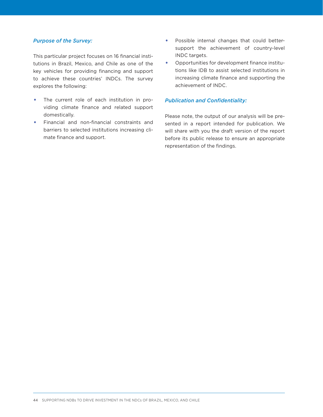#### *Purpose of the Survey:*

This particular project focuses on 16 financial institutions in Brazil, Mexico, and Chile as one of the key vehicles for providing financing and support to achieve these countries' INDCs. The survey explores the following:

- The current role of each institution in providing climate finance and related support domestically.
- Financial and non-financial constraints and barriers to selected institutions increasing climate finance and support.
- Possible internal changes that could bettersupport the achievement of country-level INDC targets.
- Opportunities for development finance institutions like IDB to assist selected institutions in increasing climate finance and supporting the achievement of INDC.

#### *Publication and Confidentiality:*

Please note, the output of our analysis will be presented in a report intended for publication. We will share with you the draft version of the report before its public release to ensure an appropriate representation of the findings.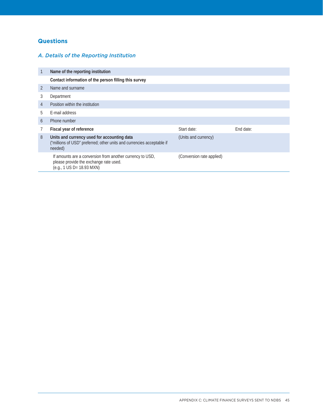#### **Questions**

#### *A. Details of the Reporting Institution*

| 1 | Name of the reporting institution                                                                                                |                           |           |
|---|----------------------------------------------------------------------------------------------------------------------------------|---------------------------|-----------|
|   | Contact information of the person filling this survey                                                                            |                           |           |
| 2 | Name and surname                                                                                                                 |                           |           |
| 3 | Department                                                                                                                       |                           |           |
| 4 | Position within the institution                                                                                                  |                           |           |
| 5 | E-mail address                                                                                                                   |                           |           |
| 6 | Phone number                                                                                                                     |                           |           |
|   | Fiscal year of reference                                                                                                         | Start date:               | End date: |
| 8 | Units and currency used for accounting data<br>("millions of USD" preferred; other units and currencies acceptable if<br>needed) | (Units and currency)      |           |
|   | If amounts are a conversion from another currency to USD,<br>please provide the exchange rate used.<br>(e.g., 1 US D= 18.93 MXN) | (Conversion rate applied) |           |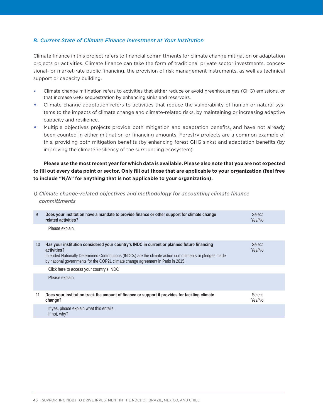#### *B. Current State of Climate Finance Investment at Your Institution*

Climate finance in this project refers to financial committments for climate change mitigation or adaptation projects or activities. Climate finance can take the form of traditional private sector investments, concessional- or market-rate public financing, the provision of risk management instruments, as well as technical support or capacity building.

- Climate change mitigation refers to activities that either reduce or avoid greenhouse gas (GHG) emissions, or that increase GHG sequestration by enhancing sinks and reservoirs.
- Climate change adaptation refers to activities that reduce the vulnerability of human or natural systems to the impacts of climate change and climate-related risks, by maintaining or increasing adaptive capacity and resilience.
- Multiple objectives projects provide both mitigation and adaptation benefits, and have not already been counted in either mitigation or financing amounts. Forestry projects are a common example of this, providing both mitigation benefits (by enhancing forest GHG sinks) and adaptation benefits (by improving the climate resiliency of the surrounding ecosystem).

**Please use the most recent year for which data is available. Please also note that you are not expected to fill out every data point or sector. Only fill out those that are applicable to your organization (feel free to include "N/A" for anything that is not applicable to your organization).**

*1) Climate change-related objectives and methodology for accounting climate finance committments*

| 9  | Does your institution have a mandate to provide finance or other support for climate change<br>related activities?                                                                                                                                                                                       | Select<br>Yes/No |
|----|----------------------------------------------------------------------------------------------------------------------------------------------------------------------------------------------------------------------------------------------------------------------------------------------------------|------------------|
|    | Please explain.                                                                                                                                                                                                                                                                                          |                  |
| 10 | Has your institution considered your country's INDC in current or planned future financing<br>activities?<br>Intended Nationally Determined Contributions (INDCs) are the climate action commitments or pledges made<br>by national governments for the COP21 climate change agreement in Paris in 2015. | Select<br>Yes/No |
|    | Click here to access your country's INDC                                                                                                                                                                                                                                                                 |                  |
|    | Please explain.                                                                                                                                                                                                                                                                                          |                  |
| 11 | Does your institution track the amount of finance or support it provides for tackling climate<br>change?                                                                                                                                                                                                 | Select<br>Yes/No |
|    | If yes, please explain what this entails.<br>If not, why?                                                                                                                                                                                                                                                |                  |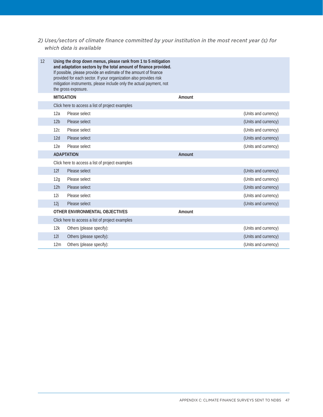#### *2) Uses/sectors of climate finance committed by your institution in the most recent year (s) for which data is available*

| 12 |                 | Using the drop down menus, please rank from 1 to 5 mitigation<br>and adaptation sectors by the total amount of finance provided.<br>If possible, please provide an estimate of the amount of finance<br>provided for each sector. If your organization also provides risk<br>mitigation instruments, please include only the actual payment, not<br>the gross exposure. |        |                      |
|----|-----------------|-------------------------------------------------------------------------------------------------------------------------------------------------------------------------------------------------------------------------------------------------------------------------------------------------------------------------------------------------------------------------|--------|----------------------|
|    |                 | <b>MITIGATION</b>                                                                                                                                                                                                                                                                                                                                                       | Amount |                      |
|    |                 | Click here to access a list of project examples                                                                                                                                                                                                                                                                                                                         |        |                      |
|    | 12a             | Please select                                                                                                                                                                                                                                                                                                                                                           |        | (Units and currency) |
|    | 12 <sub>b</sub> | Please select                                                                                                                                                                                                                                                                                                                                                           |        | (Units and currency) |
|    | 12c             | Please select                                                                                                                                                                                                                                                                                                                                                           |        | (Units and currency) |
|    | 12d             | Please select                                                                                                                                                                                                                                                                                                                                                           |        | (Units and currency) |
|    | 12e             | Please select                                                                                                                                                                                                                                                                                                                                                           |        | (Units and currency) |
|    |                 | <b>ADAPTATION</b>                                                                                                                                                                                                                                                                                                                                                       | Amount |                      |
|    |                 | Click here to access a list of project examples                                                                                                                                                                                                                                                                                                                         |        |                      |
|    | 12f             | Please select                                                                                                                                                                                                                                                                                                                                                           |        | (Units and currency) |
|    | 12g             | Please select                                                                                                                                                                                                                                                                                                                                                           |        | (Units and currency) |
|    | 12h             | Please select                                                                                                                                                                                                                                                                                                                                                           |        | (Units and currency) |
|    | 12i             | Please select                                                                                                                                                                                                                                                                                                                                                           |        | (Units and currency) |
|    | 12j             | Please select                                                                                                                                                                                                                                                                                                                                                           |        | (Units and currency) |
|    |                 | OTHER ENVIRONMENTAL OBJECTIVES                                                                                                                                                                                                                                                                                                                                          | Amount |                      |
|    |                 | Click here to access a list of project examples                                                                                                                                                                                                                                                                                                                         |        |                      |
|    | 12k             | Others (please specify):                                                                                                                                                                                                                                                                                                                                                |        | (Units and currency) |
|    | 121             | Others (please specify):                                                                                                                                                                                                                                                                                                                                                |        | (Units and currency) |
|    | 12m             | Others (please specify):                                                                                                                                                                                                                                                                                                                                                |        | (Units and currency) |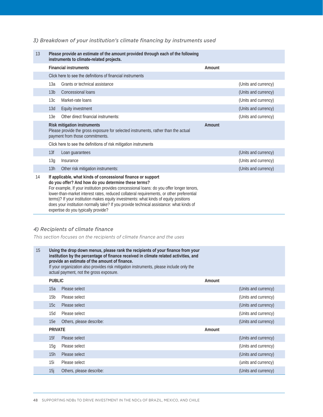#### *3) Breakdown of your institution's climate financing by instruments used*

| 13 |                              | Please provide an estimate of the amount provided through each of the following<br>instruments to climate-related projects.                                                                                                                                                                                                                                                                                                                                                                                                            |        |                      |
|----|------------------------------|----------------------------------------------------------------------------------------------------------------------------------------------------------------------------------------------------------------------------------------------------------------------------------------------------------------------------------------------------------------------------------------------------------------------------------------------------------------------------------------------------------------------------------------|--------|----------------------|
|    | <b>Financial instruments</b> |                                                                                                                                                                                                                                                                                                                                                                                                                                                                                                                                        | Amount |                      |
|    |                              | Click here to see the definitions of financial instruments                                                                                                                                                                                                                                                                                                                                                                                                                                                                             |        |                      |
|    | 13a                          | Grants or technical assistance                                                                                                                                                                                                                                                                                                                                                                                                                                                                                                         |        | (Units and currency) |
|    | 13 <sub>b</sub>              | Concessional loans                                                                                                                                                                                                                                                                                                                                                                                                                                                                                                                     |        | (Units and currency) |
|    | 13c                          | Market-rate loans                                                                                                                                                                                                                                                                                                                                                                                                                                                                                                                      |        | (Units and currency) |
|    | 13d                          | Equity investment                                                                                                                                                                                                                                                                                                                                                                                                                                                                                                                      |        | (Units and currency) |
|    | 13e                          | Other direct financial instruments:                                                                                                                                                                                                                                                                                                                                                                                                                                                                                                    |        | (Units and currency) |
|    |                              | Risk mitigation instruments<br>Please provide the gross exposure for selected instruments, rather than the actual<br>payment from those commitments.                                                                                                                                                                                                                                                                                                                                                                                   | Amount |                      |
|    |                              | Click here to see the definitions of risk mitigation instruments                                                                                                                                                                                                                                                                                                                                                                                                                                                                       |        |                      |
|    | 13f                          | Loan guarantees                                                                                                                                                                                                                                                                                                                                                                                                                                                                                                                        |        | (Units and currency) |
|    | 13g                          | Insurance                                                                                                                                                                                                                                                                                                                                                                                                                                                                                                                              |        | (Units and currency) |
|    | 13h                          | Other risk mitigation instruments:                                                                                                                                                                                                                                                                                                                                                                                                                                                                                                     |        | (Units and currency) |
| 14 |                              | If applicable, what kinds of concessional finance or support<br>do you offer? And how do you determine these terms?<br>For example, If your institution provides concessional loans: do you offer longer tenors,<br>lower-than-market interest rates, reduced collateral requirements, or other preferential<br>terms)? If your institution makes equity investments: what kinds of equity positions<br>does your institution normally take? If you provide technical assistance: what kinds of<br>expertise do you typically provide? |        |                      |

#### *4) Recipients of climate finance*

*This section focuses on the recipients of climate finance and the uses*

| 15 |                 | Using the drop down menus, please rank the recipients of your finance from your<br>institution by the percentage of finance received in climate related activities, and<br>provide an estimate of the amount of finance.<br>If your organization also provides risk mitigation instruments, please include only the<br>actual payment, not the gross exposure. |        |                      |
|----|-----------------|----------------------------------------------------------------------------------------------------------------------------------------------------------------------------------------------------------------------------------------------------------------------------------------------------------------------------------------------------------------|--------|----------------------|
|    | <b>PUBLIC</b>   |                                                                                                                                                                                                                                                                                                                                                                | Amount |                      |
|    | 15a             | Please select                                                                                                                                                                                                                                                                                                                                                  |        | (Units and currency) |
|    | 15 <sub>b</sub> | Please select                                                                                                                                                                                                                                                                                                                                                  |        | (Units and currency) |
|    | 15c             | Please select                                                                                                                                                                                                                                                                                                                                                  |        | (Units and currency) |
|    | 15d             | Please select                                                                                                                                                                                                                                                                                                                                                  |        | (Units and currency) |
|    | 15e             | Others, please describe:                                                                                                                                                                                                                                                                                                                                       |        | (Units and currency) |
|    | <b>PRIVATE</b>  |                                                                                                                                                                                                                                                                                                                                                                | Amount |                      |
|    | 15f             | Please select                                                                                                                                                                                                                                                                                                                                                  |        | (Units and currency) |
|    | 15q             | Please select                                                                                                                                                                                                                                                                                                                                                  |        | (Units and currency) |
|    | 15h             | Please select                                                                                                                                                                                                                                                                                                                                                  |        | (Units and currency) |
|    | 15i             | Please select                                                                                                                                                                                                                                                                                                                                                  |        | (units and currency) |
|    | 15j             | Others, please describe:                                                                                                                                                                                                                                                                                                                                       |        | (Units and currency) |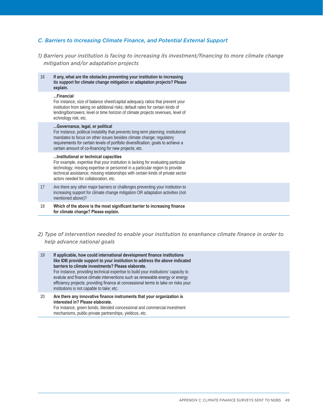#### *C. Barriers to Increasing Climate Finance, and Potential External Support*

*1) Barriers your institution is facing to increasing its investment/financing to more climate change mitigation and/or adaptation projects*

| 16 | If any, what are the obstacles preventing your institution to increasing<br>its support for climate change mitigation or adaptation projects? Please<br>explain.                                                                                                                                                                            |
|----|---------------------------------------------------------------------------------------------------------------------------------------------------------------------------------------------------------------------------------------------------------------------------------------------------------------------------------------------|
|    | Financial<br>For instance, size of balance sheet/capital adequacy ratios that prevent your<br>institution from taking on additional risks; default rates for certain kinds of<br>lending/borrowers; level or time horizon of climate projects revenues, level of<br>echnology risk; etc.                                                    |
|    | Governance, legal, or political<br>For instance, political instability that prevents long-term planning; institutional<br>mandates to focus on other issues besides climate change; regulatory<br>requirements for certain levels of portfolio diversification; goals to achieve a<br>certain amount of co-financing for new projects; etc. |
|    | Institutional or technical capacities<br>For example, expertise that your institution is lacking for evaluating particular<br>technology; missing expertise or personnel in a particular region to provide<br>technical assistance; missing relationships with certain kinds of private sector<br>actors needed for collaboration, etc.     |
| 17 | Are there any other major barriers or challenges preventing your institution to<br>increasing support for climate change mitigation OR adaptation activities (not<br>mentioned above)?                                                                                                                                                      |
| 18 | Which of the above is the most significant barrier to increasing finance<br>for climate change? Please explain.                                                                                                                                                                                                                             |
|    |                                                                                                                                                                                                                                                                                                                                             |

*2) Type of intervention needed to enable your institution to enanhance climate finance in order to help advance national goals*

| 19 | If applicable, how could international development finance institutions<br>like IDB provide support to your institution to address the above indicated<br>barriers to climate investments? Please elaborate.<br>For instance, providing technical expertise to build your institutions' capacity to<br>evalute and finance climate interventions such as renewable energy or energy<br>efficiency projects; providing finance at concessional terms to take on risks your<br>institutions is not capable to take; etc. |
|----|------------------------------------------------------------------------------------------------------------------------------------------------------------------------------------------------------------------------------------------------------------------------------------------------------------------------------------------------------------------------------------------------------------------------------------------------------------------------------------------------------------------------|
| 20 | Are there any innovative finance instruments that your organization is<br>interested in? Please elaborate.                                                                                                                                                                                                                                                                                                                                                                                                             |

For instance, green bonds, blended concessional and commercial investment mechanisms, public-private partnerships, yieldcos, etc.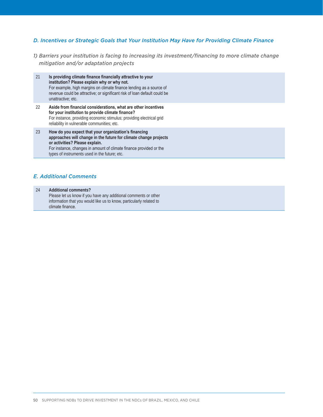#### *D. Incentives or Strategic Goals that Your Institution May Have for Providing Climate Finance*

- *1) Barriers your institution is facing to increasing its investment/financing to more climate change mitigation and/or adaptation projects*
- 21 **Is providing climate finance financially attractive to your institution? Please explain why or why not.** For example, high margins on climate finance lending as a source of revenue could be attractive; or significant risk of loan default could be unattractive; etc.
- 22 **Aside from financial considerations, what are other incentives for your institution to provide climate finance?** For instance, providing economic stimulus; providing electrical grid reliability in vulnerable communities; etc.
- 23 **How do you expect that your organization's financing approaches will change in the future for climate change projects or activities? Please explain.** For instance, changes in amount of climate finance provided or the types of instruments used in the future; etc.

#### *E. Additional Comments*

24 **Additional comments?** Please let us know if you have any additional comments or other information that you would like us to know, particularly related to climate finance.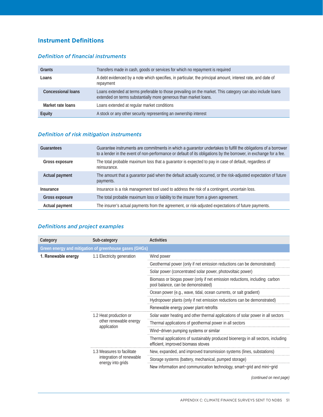#### **Instrument Definitions**

#### *Definition of financial instruments*

| Grants                    | Transfers made in cash, goods or services for which no repayment is required                                                                                                   |
|---------------------------|--------------------------------------------------------------------------------------------------------------------------------------------------------------------------------|
| Loans                     | A debt evidenced by a note which specifies, in particular, the principal amount, interest rate, and date of<br>repayment                                                       |
| <b>Concessional loans</b> | Loans extended at terms preferable to those prevailing on the market. This category can also include loans<br>extended on terms substantially more generous than market loans. |
| Market rate loans         | Loans extended at regular market conditions                                                                                                                                    |
| <b>Equity</b>             | A stock or any other security representing an ownership interest                                                                                                               |

#### *Definition of risk mitigation instruments*

| <b>Guarantees</b> | Guarantee instruments are commitments in which a guarantor undertakes to fulfill the obligations of a borrower<br>to a lender in the event of non-performance or default of its obligations by the borrower, in exchange for a fee. |
|-------------------|-------------------------------------------------------------------------------------------------------------------------------------------------------------------------------------------------------------------------------------|
| Gross exposure    | The total probable maximum loss that a guarantor is expected to pay in case of default, regardless of<br>reinsurance.                                                                                                               |
| Actual payment    | The amount that a guarantor paid when the default actually occurred, or the risk-adjusted expectation of future<br>payments.                                                                                                        |
| Insurance         | Insurance is a risk management tool used to address the risk of a contingent, uncertain loss.                                                                                                                                       |
| Gross exposure    | The total probable maximum loss or liability to the insurer from a given agreement.                                                                                                                                                 |
| Actual payment    | The insurer's actual payments from the agreement, or risk-adjusted expectations of future payments.                                                                                                                                 |

#### *Definitions and project examples*

| Category            | Sub-category                                                                | <b>Activities</b>                                                                                                      |  |  |  |
|---------------------|-----------------------------------------------------------------------------|------------------------------------------------------------------------------------------------------------------------|--|--|--|
|                     | Green energy and mitigation of greenhouse gases (GHGs)                      |                                                                                                                        |  |  |  |
| 1. Renewable energy | 1.1 Electricity generation                                                  | Wind power                                                                                                             |  |  |  |
|                     |                                                                             | Geothermal power (only if net emission reductions can be demonstrated)                                                 |  |  |  |
|                     |                                                                             | Solar power (concentrated solar power, photovoltaic power)                                                             |  |  |  |
|                     |                                                                             | Biomass or biogas power (only if net emission reductions, including carbon<br>pool balance, can be demonstrated)       |  |  |  |
|                     |                                                                             | Ocean power (e.g., wave, tidal, ocean currents, or salt gradient)                                                      |  |  |  |
|                     |                                                                             | Hydropower plants (only if net emission reductions can be demonstrated)                                                |  |  |  |
|                     |                                                                             | Renewable energy power plant retrofits                                                                                 |  |  |  |
|                     | 1.2 Heat production or<br>other renewable energy<br>application             | Solar water heating and other thermal applications of solar power in all sectors                                       |  |  |  |
|                     |                                                                             | Thermal applications of geothermal power in all sectors                                                                |  |  |  |
|                     |                                                                             | Wind-driven pumping systems or similar                                                                                 |  |  |  |
|                     |                                                                             | Thermal applications of sustainably produced bioenergy in all sectors, including<br>efficient, improved biomass stoves |  |  |  |
|                     | 1.3 Measures to facilitate<br>integration of renewable<br>energy into grids | New, expanded, and improved transmission systems (lines, substations)                                                  |  |  |  |
|                     |                                                                             | Storage systems (battery, mechanical, pumped storage)                                                                  |  |  |  |
|                     |                                                                             | New information and communication technology, smart-grid and mini-grid                                                 |  |  |  |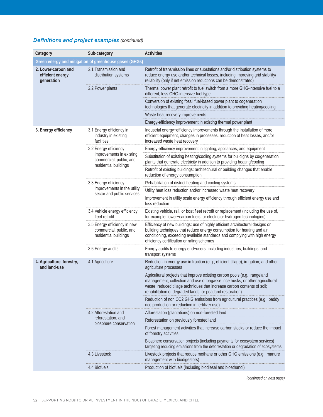#### *Definitions and project examples (continued)*

| Category                                              | Sub-category                                                                     | <b>Activities</b>                                                                                                                                                                                                                                                                                   |  |  |
|-------------------------------------------------------|----------------------------------------------------------------------------------|-----------------------------------------------------------------------------------------------------------------------------------------------------------------------------------------------------------------------------------------------------------------------------------------------------|--|--|
|                                                       | Green energy and mitigation of greenhouse gases (GHGs)                           |                                                                                                                                                                                                                                                                                                     |  |  |
| 2. Lower-carbon and<br>efficient energy<br>qeneration | 2.1 Transmission and<br>distribution systems                                     | Retrofit of transmission lines or substations and/or distribution systems to<br>reduce energy use and/or technical losses, including improving grid stability/<br>reliability (only if net emission reductions can be demonstrated)                                                                 |  |  |
|                                                       | 2.2 Power plants                                                                 | Thermal power plant retrofit to fuel switch from a more GHG-intensive fuel to a<br>different, less GHG-intensive fuel type                                                                                                                                                                          |  |  |
|                                                       |                                                                                  | Conversion of existing fossil fuel-based power plant to cogeneration<br>technologies that generate electricity in addition to providing heating/cooling                                                                                                                                             |  |  |
|                                                       |                                                                                  | Waste heat recovery improvements                                                                                                                                                                                                                                                                    |  |  |
|                                                       |                                                                                  | Energy-efficiency improvement in existing thermal power plant                                                                                                                                                                                                                                       |  |  |
| 3. Energy efficiency                                  | 3.1 Energy efficiency in<br>industry in existing<br>facilities                   | Industrial energy-efficiency improvements through the installation of more<br>efficient equipment, changes in processes, reduction of heat losses, and/or<br>increased waste heat recovery                                                                                                          |  |  |
|                                                       | 3.2 Energy efficiency                                                            | Energy-efficiency improvement in lighting, appliances, and equipment                                                                                                                                                                                                                                |  |  |
|                                                       | improvements in existing<br>commercial, public, and<br>residential buildings     | Substitution of existing heating/cooling systems for buildigns by co/generation<br>plants that generate electricity in addition to providing heating/cooling                                                                                                                                        |  |  |
|                                                       |                                                                                  | Retrofit of existing buildings: architechural or building changes that enable<br>reduction of energy consumption                                                                                                                                                                                    |  |  |
|                                                       | 3.3 Energy efficiency                                                            | Rehabilitation of district heating and cooling systems                                                                                                                                                                                                                                              |  |  |
|                                                       | improvements in the utility<br>sector and public services                        | Utility heat loss reduction and/or increased waste heat recovery                                                                                                                                                                                                                                    |  |  |
|                                                       |                                                                                  | Improvement in utility scale energy efficiency through efficient energy use and<br>loss reduction                                                                                                                                                                                                   |  |  |
|                                                       | 3.4 Vehicle energy efficiency<br>fleet retrofit                                  | Existing vehicle, rail, or boat fleet retrofit or replacement (including the use of,<br>for example, lower-carbon fuels, or electric or hydrogen technologies)                                                                                                                                      |  |  |
|                                                       | 3.5 Energy efficiency in new<br>commercial, public, and<br>residential buildings | Efficiency of new buildings: use of highly efficient architectural designs or<br>building techniques that reduce energy consumption for heating and air<br>conditioning, exceeding available standards and complying with high energy<br>efficiency certification or rating schemes                 |  |  |
|                                                       | 3.6 Energy audits                                                                | Energy audits to energy end-users, including industries, buildings, and<br>transport systems                                                                                                                                                                                                        |  |  |
| 4. Agriculture, forestry,<br>and land-use             | 4.1 Agriculture                                                                  | Reduction in energy use in traction (e.g., efficient tillage), irrigation, and other<br>agriculture processes                                                                                                                                                                                       |  |  |
|                                                       |                                                                                  | Agricultural projects that improve existing carbon pools (e.g., rangeland<br>management; collection and use of bagasse, rice husks, or other agricultural<br>waste; reduced tillage techniques that increase carbon contents of soil;<br>rehabilitation of degraded lands; or peatland restoration) |  |  |
|                                                       |                                                                                  | Reduction of non CO2 GHG emissions from agricultural practices (e.g., paddy<br>rice production or reduction in fertilizer use)                                                                                                                                                                      |  |  |
|                                                       | 4.2 Afforestation and                                                            | Afforestation (plantations) on non-forested land                                                                                                                                                                                                                                                    |  |  |
|                                                       | reforestation, and<br>biosphere conservation                                     | Reforestation on previously forested land                                                                                                                                                                                                                                                           |  |  |
|                                                       |                                                                                  | Forest management activities that increase carbon stocks or reduce the impact<br>of forestry activities                                                                                                                                                                                             |  |  |
|                                                       |                                                                                  | Biosphere conservation projects (including payments for ecosystem services)<br>targeting reducing emissions from the deforestation or degradation of ecosystems                                                                                                                                     |  |  |
|                                                       | 4.3 Livestock                                                                    | Livestock projects that reduce methane or other GHG emissions (e.g., manure<br>management with biodigestors)                                                                                                                                                                                        |  |  |
|                                                       | 4.4 Biofuels                                                                     | Production of biofuels (including biodiesel and bioethanol)                                                                                                                                                                                                                                         |  |  |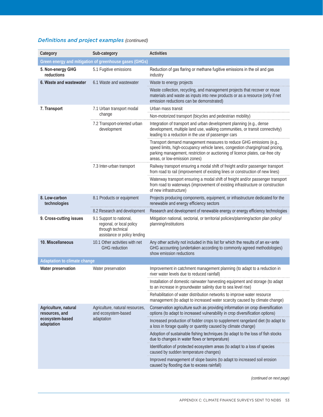#### *Definitions and project examples (continued)*

| Category                               | Sub-category                                                                                               | <b>Activities</b>                                                                                                                                                                                                                                                       |  |  |  |
|----------------------------------------|------------------------------------------------------------------------------------------------------------|-------------------------------------------------------------------------------------------------------------------------------------------------------------------------------------------------------------------------------------------------------------------------|--|--|--|
|                                        | Green energy and mitigation of greenhouse gases (GHGs)                                                     |                                                                                                                                                                                                                                                                         |  |  |  |
| 5. Non-energy GHG<br>reductions        | 5.1 Fugitive emissions                                                                                     | Reduction of gas flaring or methane fugitive emissions in the oil and gas<br>industry                                                                                                                                                                                   |  |  |  |
| 6. Waste and wastewater                | 6.1 Waste and wastewater                                                                                   | Waste to energy projects                                                                                                                                                                                                                                                |  |  |  |
|                                        |                                                                                                            | Waste collection, recycling, and management projects that recover or reuse<br>materials and waste as inputs into new products or as a resource (only if net<br>emission reductions can be demonstrated)                                                                 |  |  |  |
| 7. Transport                           | 7.1 Urban transport modal                                                                                  | Urban mass transit                                                                                                                                                                                                                                                      |  |  |  |
|                                        | change                                                                                                     | Non-motorized transport (bicycles and pedestrian mobility)                                                                                                                                                                                                              |  |  |  |
|                                        | 7.2 Transport-oriented urban<br>development                                                                | Integration of transport and urban development planning (e.g., dense<br>development, multiple land use, walking communities, or transit connectivity)<br>leading to a reduction in the use of passenger cars                                                            |  |  |  |
|                                        |                                                                                                            | Transport demand management measures to reduce GHG emissions (e.g.,<br>speed limits, high-occupancy vehicle lanes, congestion charging/road pricing,<br>parking management, restriction or auctioning of licence plates, car-free city<br>areas, or low-emission zones) |  |  |  |
|                                        | 7.3 Inter-urban transport                                                                                  | Railway transport ensuring a modal shift of freight and/or passenger transport<br>from road to rail (improvement of existing lines or construction of new lines)                                                                                                        |  |  |  |
|                                        |                                                                                                            | Waterway transport ensuring a modal shift of freight and/or passenger transport<br>from road to waterways (improvement of existing infrastructure or construction<br>of new infrastructure)                                                                             |  |  |  |
| 8. Low-carbon<br>technologies          | 8.1 Products or equipment                                                                                  | Projects producing components, equipment, or infrastructure dedicated for the<br>renewable and energy efficiency sectors                                                                                                                                                |  |  |  |
|                                        | 8.2 Research and development                                                                               | Research and development of renewable energy or energy efficiency technologies                                                                                                                                                                                          |  |  |  |
| 9. Cross-cutting issues                | 9.1 Support to national,<br>regional, or local policy<br>through technical<br>assistance or policy lending | Mitigation national, sectorial, or territorial policies/planning/action plan policy/<br>planning/institutions                                                                                                                                                           |  |  |  |
| 10. Miscellaneous                      | 10.1 Other activities with net<br><b>GHG</b> reduction                                                     | Any other activity not included in this list for which the results of an ex-ante<br>GHG accounting (undertaken according to commonly agreed methodologies)<br>show emission reductions                                                                                  |  |  |  |
| <b>Adaptation to climate change</b>    |                                                                                                            |                                                                                                                                                                                                                                                                         |  |  |  |
| Water preservation                     | Water preservation                                                                                         | Improvement in catchment management planning (to adapt to a reduction in<br>river water levels due to reduced rainfall)                                                                                                                                                 |  |  |  |
|                                        |                                                                                                            | Installation of domestic rainwater harvesting equipment and storage (to adapt<br>to an increase in groundwater salinity due to sea level rise)                                                                                                                          |  |  |  |
|                                        |                                                                                                            | Rehabilitation of water distribution networks to improve water resource<br>management (to adapt to increased water scarcity caused by climate change)                                                                                                                   |  |  |  |
| Agriculture, natural<br>resources, and | Agriculture, natural resources,<br>and ecosystem-based<br>adaptation                                       | Conservation agriculture such as providing information on crop diversification<br>options (to adapt to increased vulnerability in crop diversification options)                                                                                                         |  |  |  |
| ecosystem-based<br>adaptation          |                                                                                                            | Increased production of fodder crops to supplement rangeland diet (to adapt to<br>a loss in forage quality or quantity caused by climate change)                                                                                                                        |  |  |  |
|                                        |                                                                                                            | Adoption of sustainable fishing techniques (to adapt to the loss of fish stocks<br>due to changes in water flows or temperature)                                                                                                                                        |  |  |  |
|                                        |                                                                                                            | Identification of protected ecosystem areas (to adapt to a loss of species<br>caused by sudden temperature changes)                                                                                                                                                     |  |  |  |
|                                        |                                                                                                            | Improved management of slope basins (to adapt to increased soil erosion<br>caused by flooding due to excess rainfall)                                                                                                                                                   |  |  |  |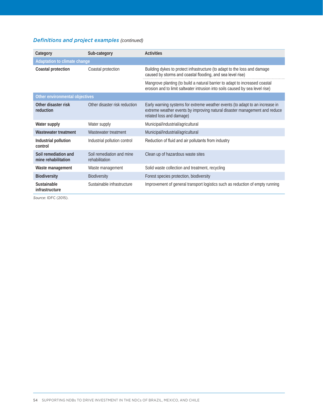#### *Definitions and project examples (continued)*

| Category                                    | Sub-category                                | <b>Activities</b>                                                                                                                                                                      |  |  |  |
|---------------------------------------------|---------------------------------------------|----------------------------------------------------------------------------------------------------------------------------------------------------------------------------------------|--|--|--|
| <b>Adaptation to climate change</b>         |                                             |                                                                                                                                                                                        |  |  |  |
| Coastal protection                          | Coastal protection                          | Building dykes to protect infrastructure (to adapt to the loss and damage<br>caused by storms and coastal flooding, and sea level rise)                                                |  |  |  |
|                                             |                                             | Mangrove planting (to build a natural barrier to adapt to increased coastal<br>erosion and to limit saltwater intrusion into soils caused by sea level rise)                           |  |  |  |
| Other environmental objectives              |                                             |                                                                                                                                                                                        |  |  |  |
| Other disaster risk<br>reduction            | Other disaster risk reduction               | Early warning systems for extreme weather events (to adapt to an increase in<br>extreme weather events by improving natural disaster management and reduce<br>related loss and damage) |  |  |  |
| Water supply                                | Water supply                                | Municipal/industrial/agricultural                                                                                                                                                      |  |  |  |
| Wastewater treatment                        | Wastewater treatment                        | Municipal/industrial/agricultural                                                                                                                                                      |  |  |  |
| Industrial pollution<br>control             | Industrial pollution control                | Reduction of fluid and air pollutants from industry                                                                                                                                    |  |  |  |
| Soil remediation and<br>mine rehabilitation | Soil remediation and mine<br>rehabilitation | Clean up of hazardous waste sites                                                                                                                                                      |  |  |  |
| Waste management                            | Waste management                            | Solid waste collection and treatment, recycling                                                                                                                                        |  |  |  |
| <b>Biodiversity</b>                         | <b>Biodiversity</b>                         | Forest species protection, biodiversity                                                                                                                                                |  |  |  |
| Sustainable<br>infrastructure               | Sustainable infrastructure                  | Improvement of general transport logistics such as reduction of empty running                                                                                                          |  |  |  |

*Source*: IDFC (2015).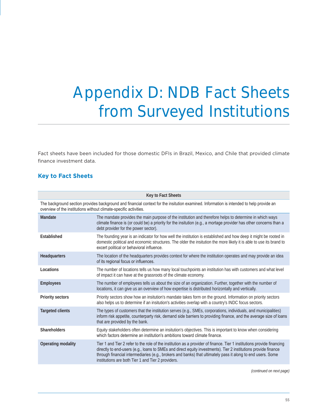# Appendix D: NDB Fact Sheets from Surveyed Institutions

Fact sheets have been included for those domestic DFIs in Brazil, Mexico, and Chile that provided climate finance investment data.

#### **Key to Fact Sheets**

| <b>Key to Fact Sheets</b>                                                                                                                                                                                     |                                                                                                                                                                                                                                                                                                                                                                                                               |  |  |  |
|---------------------------------------------------------------------------------------------------------------------------------------------------------------------------------------------------------------|---------------------------------------------------------------------------------------------------------------------------------------------------------------------------------------------------------------------------------------------------------------------------------------------------------------------------------------------------------------------------------------------------------------|--|--|--|
| The background section provides background and financial context for the insitution examined. Information is intended to help provide an<br>overview of the institutions without climate-specific activities. |                                                                                                                                                                                                                                                                                                                                                                                                               |  |  |  |
| Mandate                                                                                                                                                                                                       | The mandate provides the main purpose of the institution and therefore helps to determine in which ways<br>climate finance is (or could be) a priority for the insitution (e.g., a mortage provider has other concerns than a<br>debt provider for the power sector).                                                                                                                                         |  |  |  |
| Established                                                                                                                                                                                                   | The founding year is an indicator for how well the institution is established and how deep it might be rooted in<br>domestic political and economic structures. The older the insitution the more likely it is able to use its brand to<br>excert political or behavioral influence.                                                                                                                          |  |  |  |
| Headquarters                                                                                                                                                                                                  | The location of the headquarters provides context for where the institution operates and may provide an idea<br>of its regional focus or influences.                                                                                                                                                                                                                                                          |  |  |  |
| Locations                                                                                                                                                                                                     | The number of locations tells us how many local touchpoints an institution has with customers and what level<br>of impact it can have at the grassroots of the climate economy.                                                                                                                                                                                                                               |  |  |  |
| <b>Employees</b>                                                                                                                                                                                              | The number of employees tells us about the size of an organization. Further, together with the number of<br>locations, it can give us an overview of how expertise is distributed horizontally and vertically.                                                                                                                                                                                                |  |  |  |
| <b>Priority sectors</b>                                                                                                                                                                                       | Priority sectors show how an insitution's mandate takes form on the ground. Information on priority sectors<br>also helps us to determine if an insitution's activities overlap with a country's INDC focus sectors.                                                                                                                                                                                          |  |  |  |
| <b>Targeted clients</b>                                                                                                                                                                                       | The types of customers that the institution serves (e.g., SMEs, corporations, individuals, and municipalities)<br>inform risk appetite, counterparty risk, demand side barriers to providing finance, and the average size of loans<br>that are provided by the bank.                                                                                                                                         |  |  |  |
| <b>Shareholders</b>                                                                                                                                                                                           | Equity stakeholders often determine an insitution's objectives. This is important to know when considering<br>which factors determine an institution's ambitions toward climate finance.                                                                                                                                                                                                                      |  |  |  |
| Operating modality                                                                                                                                                                                            | Tier 1 and Tier 2 refer to the role of the institution as a provider of finance. Tier 1 institutions provide financing<br>directly to end-users (e.g., loans to SMEs and direct equity investments). Tier 2 institutions provide finance<br>through financial intermediaries (e.g., brokers and banks) that ultimately pass it along to end users. Some<br>institutions are both Tier 1 and Tier 2 providers. |  |  |  |
|                                                                                                                                                                                                               |                                                                                                                                                                                                                                                                                                                                                                                                               |  |  |  |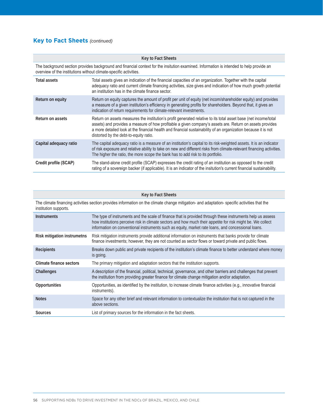#### **Key to Fact Sheets** *(continued)*

| Key to Fact Sheets     |                                                                                                                                                                                                                                                                                                                                                                                         |  |  |  |  |
|------------------------|-----------------------------------------------------------------------------------------------------------------------------------------------------------------------------------------------------------------------------------------------------------------------------------------------------------------------------------------------------------------------------------------|--|--|--|--|
|                        | The background section provides background and financial context for the insitution examined. Information is intended to help provide an<br>overview of the institutions without climate-specific activities.                                                                                                                                                                           |  |  |  |  |
| <b>Total assets</b>    | Total assets gives an indication of the financial capacities of an organization. Together with the capital<br>adequacy ratio and current climate financing activities, size gives and indication of how much growth potential<br>an institution has in the climate finance sector.                                                                                                      |  |  |  |  |
| Return on equity       | Return on equity captures the amount of profit per unit of equity (net incom/shareholder equity) and provides<br>a measure of a given institution's efficiency in generating profits for shareholders. Beyond that, it gives an<br>indication of return requirements for climate-relevant investments.                                                                                  |  |  |  |  |
| Return on assets       | Return on assets measures the institution's profit generated relative to its total asset base (net income/total<br>assets) and provides a measure of how profitable a given company's assets are. Return on assets provides<br>a more detailed look at the financial health and financial sustainability of an organization because it is not<br>distorted by the debt-to-equity ratio. |  |  |  |  |
| Capital adequacy ratio | The capital adequacy ratio is a measure of an institution's capital to its risk-weighted assets. It is an indicator<br>of risk exposure and relative ability to take on new and different risks from climate-relevant financing activities.<br>The higher the ratio, the more scope the bank has to add risk to its portfolio.                                                          |  |  |  |  |
| Credit profile (SCAP)  | The stand-alone credit profile (SCAP) expresses the credit rating of an institution as opposed to the credit<br>rating of a sovereign backer (if applicable). It is an indicator of the insitution's current financial sustainability.                                                                                                                                                  |  |  |  |  |

| <b>Key to Fact Sheets</b>      |                                                                                                                                                                                                                                                                                                                                 |  |  |  |  |
|--------------------------------|---------------------------------------------------------------------------------------------------------------------------------------------------------------------------------------------------------------------------------------------------------------------------------------------------------------------------------|--|--|--|--|
| institution supports.          | The climate financing activities section provides information on the climate change mitigation- and adaptation- specific activities that the                                                                                                                                                                                    |  |  |  |  |
| <b>Instruments</b>             | The type of instruments and the scale of finance that is provided through these instruments help us assess<br>how institutions perceive risk in climate sectors and how much their appetite for risk might be. We collect<br>information on conventional instruments such as equity, market rate loans, and concessional loans. |  |  |  |  |
| Risk mitigation instrumetns    | Risk mitigation instruments provide additional information on instruments that banks provide for climate<br>finance investments; however, they are not counted as sector flows or toward private and public flows.                                                                                                              |  |  |  |  |
| <b>Recipients</b>              | Breaks down public and private recipients of the institution's climate finance to better understand where money<br>is going.                                                                                                                                                                                                    |  |  |  |  |
| <b>Climate finance sectors</b> | The primary mitigation and adaptation sectors that the institution supports.                                                                                                                                                                                                                                                    |  |  |  |  |
| Challenges                     | A description of the financial, political, technical, governance, and other barriers and challenges that prevent<br>the institution from providing greater finance for climate change mitigation and/or adaptation.                                                                                                             |  |  |  |  |
| Opportunities                  | Opportunities, as identified by the institution, to increase climate finance activities (e.g., innovative financial<br>instruments).                                                                                                                                                                                            |  |  |  |  |
| <b>Notes</b>                   | Space for any other brief and relevant information to contextualize the institution that is not captured in the<br>above sections.                                                                                                                                                                                              |  |  |  |  |
| Sources                        | List of primary sources for the information in the fact sheets.                                                                                                                                                                                                                                                                 |  |  |  |  |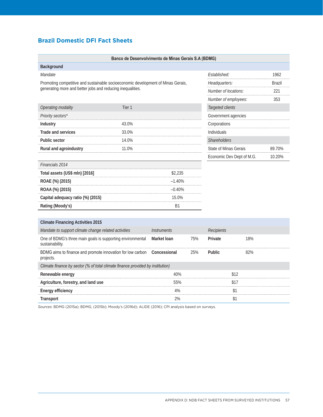#### **Brazil Domestic DFI Fact Sheets**

|                                                                                  | Banco de Desenvolvimento de Minas Gerais S.A (BDMG)        |                    |               |                                 |                           |        |  |
|----------------------------------------------------------------------------------|------------------------------------------------------------|--------------------|---------------|---------------------------------|---------------------------|--------|--|
| Background                                                                       |                                                            |                    |               |                                 |                           |        |  |
| Mandate                                                                          |                                                            |                    |               | Established:                    | 1962                      |        |  |
| Promoting competitive and sustainable socioeconomic development of Minas Gerais, |                                                            |                    | Headquarters: |                                 | Brazil                    |        |  |
|                                                                                  | generating more and better jobs and reducing inequalities. |                    |               | Number of locations:            |                           | 221    |  |
|                                                                                  |                                                            |                    |               | Number of employees:            |                           | 353    |  |
| Operating modality                                                               | Tier 1                                                     |                    |               | Targeted clients                |                           |        |  |
| Priority sectors*                                                                |                                                            |                    |               | Government agencies             |                           |        |  |
| Industry                                                                         | 43.0%                                                      |                    |               | Corporations                    |                           |        |  |
| <b>Trade and services</b>                                                        | 33.0%                                                      |                    |               | Individuals                     |                           |        |  |
| Public sector                                                                    | 14.0%                                                      |                    |               | Shareholders                    |                           |        |  |
| Rural and agroindustry                                                           | 11.0%                                                      |                    |               | State of Minas Gerais<br>89.70% |                           |        |  |
|                                                                                  |                                                            |                    |               |                                 | Economic Dev Dept of M.G. | 10.20% |  |
| Financials 2014                                                                  |                                                            |                    |               |                                 |                           |        |  |
| Total assets (US\$ mln) [2016]                                                   |                                                            | \$2,235            |               |                                 |                           |        |  |
| ROAE (%) (2015)<br>$-1.40%$                                                      |                                                            |                    |               |                                 |                           |        |  |
| ROAA (%) (2015)                                                                  |                                                            | $-0.40%$           |               |                                 |                           |        |  |
| Capital adequacy ratio (%) (2015)                                                | 15.0%                                                      |                    |               |                                 |                           |        |  |
| Rating (Moody's)                                                                 |                                                            | <b>B1</b>          |               |                                 |                           |        |  |
|                                                                                  |                                                            |                    |               |                                 |                           |        |  |
| <b>Climate Financing Activities 2015</b>                                         |                                                            |                    |               |                                 |                           |        |  |
| Mandate to support climate change related activities                             |                                                            | <b>Instruments</b> |               | Recipients                      |                           |        |  |
| One of BDMG's three main goals is supporting environmental<br>sustainability.    |                                                            | Market Ioan        | 75%           | Private                         | 18%                       |        |  |
| BDMG aims to finance and promote innovation for low carbon<br>projects.          |                                                            | Concessional       | 25%           | Public                          | 82%                       |        |  |
| Climate finance by sector (% of total climate finance provided by institution)   |                                                            |                    |               |                                 |                           |        |  |
| Renewable energy                                                                 |                                                            | 40%                |               | \$12                            |                           |        |  |
| Agriculture, forestry, and land use                                              |                                                            | 55%                |               |                                 | \$17                      |        |  |
| <b>Energy efficiency</b>                                                         |                                                            | 4%                 |               | \$1                             |                           |        |  |

*Sources*: BDMG (2015a); BDMG, (2015b); Moody's (2016d); ALIDE (2016); CPI analysis based on surveys.

**Transport** \$1  $\qquad \qquad$  \$1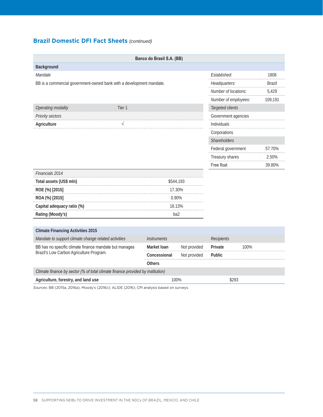#### **Brazil Domestic DFI Fact Sheets** *(continued)*

| Banco do Brasil S.A. (BB)                                                      |                    |              |                      |              |               |
|--------------------------------------------------------------------------------|--------------------|--------------|----------------------|--------------|---------------|
| Background                                                                     |                    |              |                      |              |               |
| Mandate                                                                        |                    |              |                      | Established: |               |
| BB is a commercial government-owned bank with a development mandate.           |                    |              | Headquarters:        |              | <b>Brazil</b> |
|                                                                                |                    |              | Number of locations: |              | 5,429         |
|                                                                                |                    |              | Number of employees: |              | 109,191       |
| Operating modality<br>Tier <sub>1</sub>                                        |                    |              | Targeted clients     |              |               |
| Priority sectors                                                               |                    |              | Government agencies  |              |               |
| V<br>Agriculture                                                               |                    |              | Individuals          |              |               |
|                                                                                |                    |              | Corporations         |              |               |
|                                                                                |                    |              | Shareholders         |              |               |
|                                                                                |                    |              | Federal government   |              | 57.70%        |
|                                                                                |                    |              | Treasury shares      |              | 2.50%         |
|                                                                                |                    |              | Free float           |              | 39.80%        |
| Financials 2014                                                                |                    |              |                      |              |               |
| Total assets (US\$ mln)                                                        | \$544,193          |              |                      |              |               |
| ROE (%) [2015]                                                                 | 17.30%             |              |                      |              |               |
| ROA (%) [2015]                                                                 | 0.90%              |              |                      |              |               |
| Capital adequacy ratio (%)                                                     | 16.13%             |              |                      |              |               |
| Rating (Moody's)                                                               |                    | ba2          |                      |              |               |
|                                                                                |                    |              |                      |              |               |
| <b>Climate Financing Activities 2015</b>                                       |                    |              |                      |              |               |
| Mandate to support climate change related activities                           | <b>Instruments</b> |              | <b>Recipients</b>    |              |               |
| BB has no specific climate finance mandate but manages                         | Market Ioan        | Not provided | Private              | 100%         |               |
| Brazil's Low Carbon Agriculture Program.                                       | Concessional       | Not provided | Public               |              |               |
|                                                                                | <b>Others</b>      |              |                      |              |               |
| Climate finance by sector (% of total climate finance provided by institution) |                    |              |                      |              |               |

Agriculture, forestry, and land use **100%** \$293

*Sources*: BB (2015a, 2016a); Moody's (2016c); ALIDE (2016); CPI analysis based on surveys.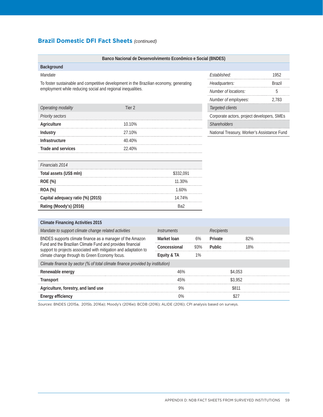## **Brazil Domestic DFI Fact Sheets** *(continued)*

|                                                                                                                                | Banco Nacional de Desenvolvimento Econômico e Social (BNDES) |                           |                  |                                             |         |       |
|--------------------------------------------------------------------------------------------------------------------------------|--------------------------------------------------------------|---------------------------|------------------|---------------------------------------------|---------|-------|
| Background                                                                                                                     |                                                              |                           |                  |                                             |         |       |
| Mandate                                                                                                                        |                                                              |                           |                  | Established:                                |         | 1952  |
| To foster sustainable and competitive development in the Brazilian economy, generating                                         |                                                              |                           | Headquarters:    |                                             | Brazil  |       |
| employment while reducing social and regional inequalities.                                                                    |                                                              |                           |                  | Number of locations:                        |         | 5     |
|                                                                                                                                |                                                              |                           |                  | Number of employees:                        |         | 2,783 |
| Operating modality                                                                                                             | Tier <sub>2</sub>                                            |                           | Targeted clients |                                             |         |       |
| Priority sectors                                                                                                               |                                                              |                           |                  | Corporate actors, project developers, SMEs  |         |       |
| Agriculture                                                                                                                    | 10.10%                                                       |                           |                  | Shareholders                                |         |       |
| Industry                                                                                                                       | 27.10%                                                       |                           |                  | National Treasury, Worker's Assistance Fund |         |       |
| <b>Infrastructure</b>                                                                                                          | 40.40%                                                       |                           |                  |                                             |         |       |
| Trade and services                                                                                                             | 22.40%                                                       |                           |                  |                                             |         |       |
|                                                                                                                                |                                                              |                           |                  |                                             |         |       |
| Financials 2014                                                                                                                |                                                              |                           |                  |                                             |         |       |
| Total assets (US\$ mln)                                                                                                        | \$332,091                                                    |                           |                  |                                             |         |       |
| ROE (%)                                                                                                                        | 11.30%                                                       |                           |                  |                                             |         |       |
| ROA (%)                                                                                                                        |                                                              | 1.60%                     |                  |                                             |         |       |
| Capital adequacy ratio (%) (2015)                                                                                              |                                                              | 14.74%                    |                  |                                             |         |       |
| Rating (Moody's) (2016)                                                                                                        |                                                              | Ba <sub>2</sub>           |                  |                                             |         |       |
|                                                                                                                                |                                                              |                           |                  |                                             |         |       |
| <b>Climate Financing Activities 2015</b>                                                                                       |                                                              |                           |                  |                                             |         |       |
| Mandate to support climate change related activities                                                                           |                                                              | <i><b>Instruments</b></i> |                  | <b>Recipients</b>                           |         |       |
| BNDES supports climate finance as a manager of the Amazon                                                                      |                                                              | Market Ioan               | 6%               | Private                                     | 82%     |       |
| Fund and the Brazilian Climate Fund and provides financial<br>support to projects associated with mitigation and adaptation to |                                                              | Concessional              | 93%              | <b>Public</b>                               | 18%     |       |
| climate change through its Green Economy focus.                                                                                |                                                              | Equity & TA               | 1%               |                                             |         |       |
| Climate finance by sector (% of total climate finance provided by institution)                                                 |                                                              |                           |                  |                                             |         |       |
| Renewable energy                                                                                                               |                                                              | 46%                       |                  |                                             | \$4,053 |       |
| Transport                                                                                                                      |                                                              | 45%                       |                  |                                             | \$3,952 |       |
| Agriculture, forestry, and land use                                                                                            |                                                              | 9%                        |                  |                                             | \$811   |       |
| <b>Energy efficiency</b><br>$0\%$                                                                                              |                                                              |                           |                  | \$27                                        |         |       |

*Sources*: BNDES (2015a, 2015b, 2016a); Moody's (2016e); BCDB (2016); ALIDE (2016); CPI analysis based on surveys.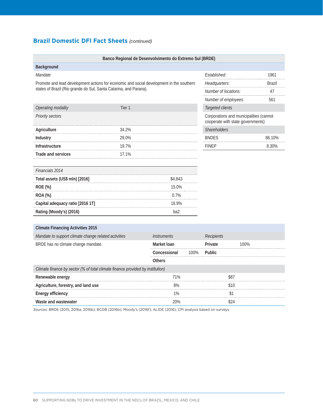## **Brazil Domestic DFI Fact Sheets** *(continued)*

|                                                                                          | Banco Regional de Desenvolvimento do Extremo Sul (BRDE) |                    |      |                                                                              |      |        |  |  |  |
|------------------------------------------------------------------------------------------|---------------------------------------------------------|--------------------|------|------------------------------------------------------------------------------|------|--------|--|--|--|
| Background                                                                               |                                                         |                    |      |                                                                              |      |        |  |  |  |
| Mandate                                                                                  |                                                         |                    |      | Established:                                                                 |      | 1961   |  |  |  |
| Promote and lead development actions for economic and social development in the southern |                                                         |                    |      | Headquarters:                                                                |      | Brazil |  |  |  |
| states of Brazil (Rio grande do Sul, Santa Catarina, and Parana).                        |                                                         |                    |      | Number of locations:                                                         | 47   |        |  |  |  |
|                                                                                          |                                                         |                    |      | Number of employees:                                                         |      | 561    |  |  |  |
| Operating modality                                                                       | Tier 1                                                  |                    |      | Targeted clients                                                             |      |        |  |  |  |
| Priority sectors                                                                         |                                                         |                    |      | Corporations and municipalities (cannot<br>cooperate with state governments) |      |        |  |  |  |
| Agriculture                                                                              | 34.2%                                                   |                    |      | Shareholders                                                                 |      |        |  |  |  |
| Industry                                                                                 | 29.0%                                                   |                    |      | <b>BNDES</b>                                                                 |      | 86.10% |  |  |  |
| Infrastructure                                                                           | 19.7%                                                   |                    |      | <b>FINEP</b>                                                                 |      | 8.30%  |  |  |  |
| Trade and services                                                                       | 17.1%                                                   |                    |      |                                                                              |      |        |  |  |  |
|                                                                                          |                                                         |                    |      |                                                                              |      |        |  |  |  |
| Financials 2014                                                                          |                                                         |                    |      |                                                                              |      |        |  |  |  |
| Total assets (US\$ mln) [2016]                                                           |                                                         | \$4,843            |      |                                                                              |      |        |  |  |  |
| ROE (%)                                                                                  |                                                         | 15.0%              |      |                                                                              |      |        |  |  |  |
| <b>ROA (%)</b>                                                                           |                                                         | 0.7%               |      |                                                                              |      |        |  |  |  |
| Capital adequacy ratio [2016 1T]                                                         |                                                         | 16.9%              |      |                                                                              |      |        |  |  |  |
| Rating (Moody's) (2016)                                                                  |                                                         | ba2                |      |                                                                              |      |        |  |  |  |
|                                                                                          |                                                         |                    |      |                                                                              |      |        |  |  |  |
| <b>Climate Financing Activities 2015</b>                                                 |                                                         |                    |      |                                                                              |      |        |  |  |  |
| Mandate to support climate change related activities                                     |                                                         | <b>Instruments</b> |      | Recipients                                                                   |      |        |  |  |  |
| BRDE has no climate change mandate.                                                      |                                                         | Market Ioan        |      | Private                                                                      | 100% |        |  |  |  |
|                                                                                          |                                                         | Concessional       | 100% | Public                                                                       |      |        |  |  |  |
|                                                                                          |                                                         | <b>Others</b>      |      |                                                                              |      |        |  |  |  |
| Climate finance by sector (% of total climate finance provided by institution)           |                                                         |                    |      |                                                                              |      |        |  |  |  |
| Renewable energy                                                                         |                                                         | 71%                |      |                                                                              | \$87 |        |  |  |  |
| Agriculture, forestry, and land use                                                      |                                                         | 8%                 |      |                                                                              | \$10 |        |  |  |  |
| <b>Energy efficiency</b>                                                                 |                                                         | 1%                 |      |                                                                              | \$1  |        |  |  |  |
| Waste and wastewater                                                                     |                                                         | 20%                |      |                                                                              | \$24 |        |  |  |  |

*Sources*: BRDE (2015, 2016a, 2016b); BCDB (2016b); Moody's (2016f); ALIDE (2016); CPI analysis based on surveys.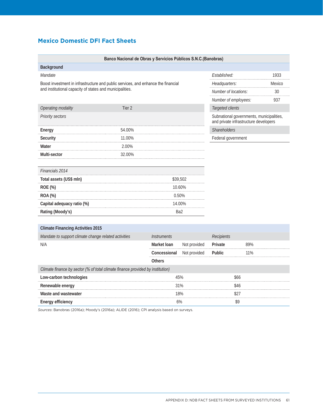# **Mexico Domestic DFI Fact Sheets**

|                                                                                   | Banco Nacional de Obras y Servicios Públicos S.N.C.(Banobras) |               |                      |                                                                                   |      |  |
|-----------------------------------------------------------------------------------|---------------------------------------------------------------|---------------|----------------------|-----------------------------------------------------------------------------------|------|--|
| Background                                                                        |                                                               |               |                      |                                                                                   |      |  |
| Mandate                                                                           |                                                               |               |                      | Established:                                                                      | 1933 |  |
| Boost investment in infrastructure and public services, and enhance the financial |                                                               |               | Headquarters:        | Mexico                                                                            |      |  |
| and institutional capacity of states and municipalities.                          |                                                               |               | Number of locations: | 30                                                                                |      |  |
|                                                                                   |                                                               |               |                      | Number of employees:                                                              | 937  |  |
| Operating modality                                                                | Tier 2                                                        |               |                      | Targeted clients                                                                  |      |  |
| Priority sectors                                                                  |                                                               |               |                      | Subnational governments, municipalities,<br>and private infrastructure developers |      |  |
| Energy                                                                            | 54.00%                                                        |               |                      | Shareholders                                                                      |      |  |
| Security                                                                          | 11.00%                                                        |               |                      | Federal government                                                                |      |  |
| Water                                                                             | 2.00%                                                         |               |                      |                                                                                   |      |  |
| Multi-sector                                                                      | 32.00%                                                        |               |                      |                                                                                   |      |  |
|                                                                                   |                                                               |               |                      |                                                                                   |      |  |
| Financials 2014                                                                   |                                                               |               |                      |                                                                                   |      |  |
| Total assets (US\$ mln)                                                           |                                                               |               | \$39,502             |                                                                                   |      |  |
| ROE (%)                                                                           |                                                               |               | 10.60%               |                                                                                   |      |  |
| ROA (%)                                                                           |                                                               |               | 0.50%                |                                                                                   |      |  |
| Capital adequacy ratio (%)                                                        |                                                               |               | 14.00%               |                                                                                   |      |  |
| Rating (Moody's)                                                                  |                                                               |               | Ba2                  |                                                                                   |      |  |
|                                                                                   |                                                               |               |                      |                                                                                   |      |  |
| <b>Climate Financing Activities 2015</b>                                          |                                                               |               |                      |                                                                                   |      |  |
| Mandate to support climate change related activities<br><b>Instruments</b>        |                                                               |               | Recipients           |                                                                                   |      |  |
| N/A                                                                               |                                                               | Market Ioan   | Not provided         | Private                                                                           | 89%  |  |
|                                                                                   |                                                               | Concessional  | Not provided         | Public                                                                            | 11%  |  |
|                                                                                   |                                                               | <b>Others</b> |                      |                                                                                   |      |  |
| Climate finance by sector (% of total climate finance provided by institution)    |                                                               |               |                      |                                                                                   |      |  |
| Low-carbon technologies                                                           |                                                               |               | 45%                  | \$66                                                                              |      |  |
| 31%<br>Renewable energy                                                           |                                                               |               |                      | \$46                                                                              |      |  |

*Sources*: Banobras (2016a); Moody's (2016a); ALIDE (2016); CPI analysis based on surveys.

**Waste and wastewater**  $$27$ **Energy efficiency** 6% **6%** \$9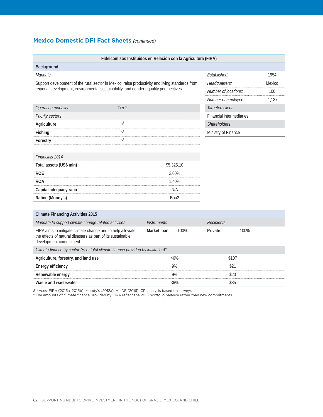#### **Mexico Domestic DFI Fact Sheets** *(continued)*

| Fideicomisos Instituidos en Relación con la Agricultura (FIRA)                                                                                       |                                  |            |                                 |                         |      |  |
|------------------------------------------------------------------------------------------------------------------------------------------------------|----------------------------------|------------|---------------------------------|-------------------------|------|--|
| Background                                                                                                                                           |                                  |            |                                 |                         |      |  |
| Mandate                                                                                                                                              |                                  |            | Established:                    |                         | 1954 |  |
| Support development of the rural sector in Mexico; raise productivity and living standards from                                                      |                                  |            |                                 | Headquarters:<br>Mexico |      |  |
| regional development, environmental sustainability, and gender equality perspectives.                                                                |                                  |            |                                 | Number of locations:    | 100  |  |
|                                                                                                                                                      | Number of employees:             |            | 1,137                           |                         |      |  |
| Operating modality<br>Tier 2                                                                                                                         |                                  |            | Targeted clients                |                         |      |  |
| Priority sectors                                                                                                                                     |                                  |            | <b>Financial intermediaries</b> |                         |      |  |
| Agriculture<br>V                                                                                                                                     |                                  |            | <b>Shareholders</b>             |                         |      |  |
| Fishing<br>V                                                                                                                                         |                                  |            | Ministry of Finance             |                         |      |  |
| $\sqrt{}$<br>Forestry                                                                                                                                |                                  |            |                                 |                         |      |  |
|                                                                                                                                                      |                                  |            |                                 |                         |      |  |
| Financials 2014                                                                                                                                      |                                  |            |                                 |                         |      |  |
| Total assets (US\$ mln)                                                                                                                              |                                  | \$5,325.10 |                                 |                         |      |  |
| <b>ROE</b>                                                                                                                                           |                                  | 2.00%      |                                 |                         |      |  |
| <b>ROA</b>                                                                                                                                           |                                  | 1.40%      |                                 |                         |      |  |
| Capital adequacy ratio                                                                                                                               |                                  | N/A        |                                 |                         |      |  |
| Rating (Moody's)                                                                                                                                     |                                  | Baa2       |                                 |                         |      |  |
|                                                                                                                                                      |                                  |            |                                 |                         |      |  |
| <b>Climate Financing Activities 2015</b>                                                                                                             |                                  |            |                                 |                         |      |  |
| Mandate to support climate change related activities                                                                                                 | <i><u><b>Instruments</b></u></i> |            | <b>Recipients</b>               |                         |      |  |
| FIRA aims to mitigate climate change and to help alleviate<br>the effects of natural disasters as part of its sustainable<br>development commitment. | Market Ioan                      | 100%       | Private                         | 100%                    |      |  |
| Climate finance by sector (% of total climate finance provided by institution)*                                                                      |                                  |            |                                 |                         |      |  |
| Agriculture, forestry, and land use                                                                                                                  |                                  | 46%        |                                 | \$107                   |      |  |
| <b>Energy efficiency</b>                                                                                                                             |                                  | 9%         |                                 | \$21                    |      |  |
| Renewable energy                                                                                                                                     |                                  | 9%         |                                 | \$20                    |      |  |
| Waste and wastewater                                                                                                                                 |                                  | 36%        |                                 | \$85                    |      |  |

*Sources*: FIRA (2016a, 2016b); Moody's (2012a); ALIDE (2016); CPI analysis based on surveys.

\* The amounts of climate finance provided by FIRA reflect the 2015 portfolio balance rather than new commitments.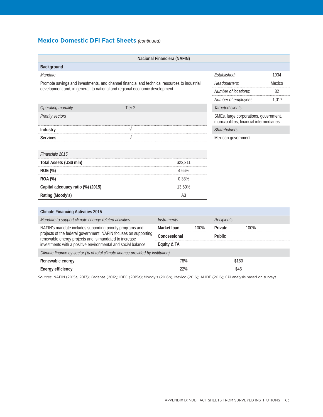# **Mexico Domestic DFI Fact Sheets** *(continued)*

|                                                                                                                          |                   | Nacional Financiera (NAFIN) |        |                                                                                   |                  |       |
|--------------------------------------------------------------------------------------------------------------------------|-------------------|-----------------------------|--------|-----------------------------------------------------------------------------------|------------------|-------|
| Background                                                                                                               |                   |                             |        |                                                                                   |                  |       |
| Mandate                                                                                                                  |                   |                             |        | Established:                                                                      |                  | 1934  |
| Promote savings and investments, and channel financial and technical resources to industrial                             | Headquarters:     |                             | Mexico |                                                                                   |                  |       |
| development and, in general, to national and regional economic development.                                              |                   |                             |        | Number of locations:                                                              |                  | 32    |
|                                                                                                                          |                   |                             |        | Number of employees:                                                              |                  | 1,017 |
| Operating modality                                                                                                       | Tier <sub>2</sub> |                             |        |                                                                                   | Targeted clients |       |
| Priority sectors                                                                                                         |                   |                             |        | SMEs, large corporations, government,<br>municipalities, financial intermediaries |                  |       |
| Industry                                                                                                                 | V                 |                             |        | Shareholders                                                                      |                  |       |
| <b>Services</b>                                                                                                          |                   |                             |        | Mexican government                                                                |                  |       |
|                                                                                                                          |                   |                             |        |                                                                                   |                  |       |
| Financials 2015                                                                                                          |                   |                             |        |                                                                                   |                  |       |
| Total Assets (US\$ mln)                                                                                                  | \$22,311          |                             |        |                                                                                   |                  |       |
| ROE (%)                                                                                                                  |                   | 4.66%                       |        |                                                                                   |                  |       |
| ROA (%)                                                                                                                  |                   | 0.33%                       |        |                                                                                   |                  |       |
| Capital adequacy ratio (%) (2015)                                                                                        |                   | 13.60%                      |        |                                                                                   |                  |       |
| Rating (Moody's)                                                                                                         |                   | A3                          |        |                                                                                   |                  |       |
|                                                                                                                          |                   |                             |        |                                                                                   |                  |       |
| <b>Climate Financing Activities 2015</b>                                                                                 |                   |                             |        |                                                                                   |                  |       |
| Mandate to support climate change related activities                                                                     |                   | <b>Instruments</b>          |        | <b>Recipients</b>                                                                 |                  |       |
| NAFIN's mandate includes supporting priority programs and                                                                |                   | Market Ioan                 | 100%   | Private                                                                           | 100%             |       |
| projects of the federal government. NAFIN focuses on supporting<br>renewable energy projects and is mandated to increase |                   | Concessional                |        | Public                                                                            |                  |       |
| investments with a positive environmental and social balance.                                                            |                   | Equity & TA                 |        |                                                                                   |                  |       |
| Climate finance by sector (% of total climate finance provided by institution)                                           |                   |                             |        |                                                                                   |                  |       |
| Renewable energy                                                                                                         |                   | 78%                         |        | \$160                                                                             |                  |       |
| <b>Energy efficiency</b>                                                                                                 |                   | 22%                         |        | \$46                                                                              |                  |       |

*Sources*: NAFIN (2015a, 2013); Cadenas (2012); IDFC (2015a); Moody's (2016b); Mexico (2016); ALIDE (2016); CPI analysis based on surveys.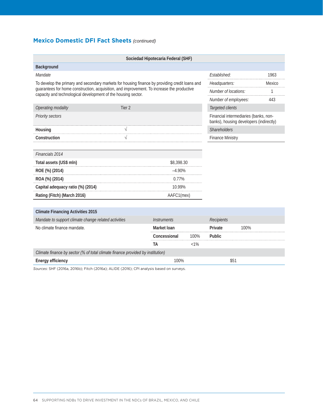## **Mexico Domestic DFI Fact Sheets** *(continued)*

|                                                                                                                                                             |                                                                                  | Sociedad Hipotecaria Federal (SHF) |         |                           |      |      |
|-------------------------------------------------------------------------------------------------------------------------------------------------------------|----------------------------------------------------------------------------------|------------------------------------|---------|---------------------------|------|------|
| Background                                                                                                                                                  |                                                                                  |                                    |         |                           |      |      |
| Mandate                                                                                                                                                     |                                                                                  |                                    |         | Established:              |      | 1963 |
| To develop the primary and secondary markets for housing finance by providing credit loans and                                                              | Headquarters:                                                                    |                                    | Mexico  |                           |      |      |
| guarantees for home construction, acquisition, and improvement. To increase the productive<br>capacity and technological development of the housing sector. |                                                                                  |                                    |         | Number of locations:<br>1 |      |      |
|                                                                                                                                                             |                                                                                  |                                    |         | Number of employees:      |      | 443  |
| Operating modality                                                                                                                                          | Tier 2                                                                           |                                    |         |                           |      |      |
| Priority sectors                                                                                                                                            | Financial intermediaries (banks, non-<br>banks), housing developers (indirectly) |                                    |         |                           |      |      |
| Housing                                                                                                                                                     | $\sqrt{ }$                                                                       |                                    |         | Shareholders              |      |      |
| Construction                                                                                                                                                | $\sqrt{}$                                                                        |                                    |         | <b>Finance Ministry</b>   |      |      |
|                                                                                                                                                             |                                                                                  |                                    |         |                           |      |      |
| Financials 2014                                                                                                                                             |                                                                                  |                                    |         |                           |      |      |
| Total assets (US\$ mln)                                                                                                                                     |                                                                                  | \$8,398.30                         |         |                           |      |      |
| ROE (%) (2014)                                                                                                                                              |                                                                                  | $-4.90%$                           |         |                           |      |      |
| ROA (%) (2014)                                                                                                                                              |                                                                                  | $0.77\%$                           |         |                           |      |      |
| Capital adequacy ratio (%) (2014)                                                                                                                           |                                                                                  | 10.99%                             |         |                           |      |      |
| Rating (Fitch) (March 2016)                                                                                                                                 |                                                                                  | AAFC1(mex)                         |         |                           |      |      |
|                                                                                                                                                             |                                                                                  |                                    |         |                           |      |      |
| <b>Climate Financing Activities 2015</b>                                                                                                                    |                                                                                  |                                    |         |                           |      |      |
| Mandate to support climate change related activities                                                                                                        |                                                                                  | <i><b>Instruments</b></i>          |         | <b>Recipients</b>         |      |      |
| No climate finance mandate.                                                                                                                                 |                                                                                  | Market Ioan                        |         | Private                   | 100% |      |
|                                                                                                                                                             |                                                                                  | Concessional                       | 100%    | Public                    |      |      |
|                                                                                                                                                             |                                                                                  | <b>TA</b>                          | $< 1\%$ |                           |      |      |
| Climate finance by sector (% of total climate finance provided by institution)                                                                              |                                                                                  |                                    |         |                           |      |      |
| <b>Energy efficiency</b><br>100%                                                                                                                            |                                                                                  |                                    |         | \$51                      |      |      |

*Sources*: SHF (2016a, 2016b); Fitch (2016a); ALIDE (2016); CPI analysis based on surveys.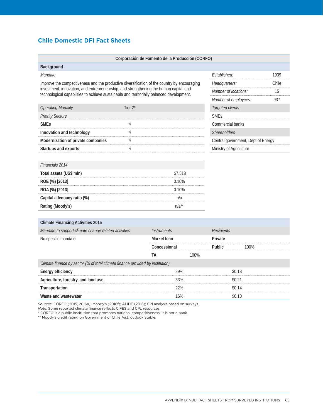### **Chile Domestic DFI Fact Sheets**

|                                                                                                                                                                                    | Corporación de Fomento de la Producción (CORFO) |                           |            |      |                             |                                    |      |  |  |  |
|------------------------------------------------------------------------------------------------------------------------------------------------------------------------------------|-------------------------------------------------|---------------------------|------------|------|-----------------------------|------------------------------------|------|--|--|--|
| Background                                                                                                                                                                         |                                                 |                           |            |      |                             |                                    |      |  |  |  |
| Mandate                                                                                                                                                                            |                                                 |                           |            |      | Established:                |                                    | 1939 |  |  |  |
| Improve the competitiveness and the productive diversification of the country by encouraging                                                                                       |                                                 |                           |            |      | Headquarters:               | Chile                              |      |  |  |  |
| investment, innovation, and entrepreneurship, and strengthening the human capital and<br>technological capabilities to achieve sustainable and territorially balanced development. |                                                 |                           |            |      |                             | Number of locations:               |      |  |  |  |
|                                                                                                                                                                                    |                                                 |                           |            |      | Number of employees:<br>937 |                                    |      |  |  |  |
| <b>Operating Modality</b>                                                                                                                                                          | Tier $2^*$                                      |                           |            |      | Targeted clients            |                                    |      |  |  |  |
| <b>Priority Sectors</b>                                                                                                                                                            |                                                 |                           |            |      | <b>SMEs</b>                 |                                    |      |  |  |  |
| <b>SME<sub>s</sub></b>                                                                                                                                                             | V                                               |                           |            |      | Commercial banks            |                                    |      |  |  |  |
| Innovation and technology                                                                                                                                                          | $\sqrt{}$                                       |                           |            |      | <b>Shareholders</b>         |                                    |      |  |  |  |
| Modernization of private companies                                                                                                                                                 | V                                               |                           |            |      |                             | Central government, Dept of Energy |      |  |  |  |
| Startups and exports                                                                                                                                                               | $\sqrt{}$                                       |                           |            |      | Ministry of Agriculture     |                                    |      |  |  |  |
|                                                                                                                                                                                    |                                                 |                           |            |      |                             |                                    |      |  |  |  |
| Financials 2014                                                                                                                                                                    |                                                 |                           |            |      |                             |                                    |      |  |  |  |
| Total assets (US\$ mln)                                                                                                                                                            |                                                 |                           | \$7,518    |      |                             |                                    |      |  |  |  |
| ROE (%) [2013]                                                                                                                                                                     |                                                 |                           | 0.10%      |      |                             |                                    |      |  |  |  |
| ROA (%) [2013]                                                                                                                                                                     |                                                 |                           | 0.10%      |      |                             |                                    |      |  |  |  |
| Capital adequacy ratio (%)                                                                                                                                                         |                                                 |                           | n/a        |      |                             |                                    |      |  |  |  |
| Rating (Moody's)                                                                                                                                                                   |                                                 |                           | $n/a^{**}$ |      |                             |                                    |      |  |  |  |
|                                                                                                                                                                                    |                                                 |                           |            |      |                             |                                    |      |  |  |  |
| <b>Climate Financing Activities 2015</b>                                                                                                                                           |                                                 |                           |            |      |                             |                                    |      |  |  |  |
| Mandate to support climate change related activities                                                                                                                               |                                                 | <i><b>Instruments</b></i> |            |      | <b>Recipients</b>           |                                    |      |  |  |  |
| No specific mandate                                                                                                                                                                |                                                 | Market Ioan               |            |      | Private                     |                                    |      |  |  |  |
|                                                                                                                                                                                    |                                                 | Concessional              |            |      | Public                      | 100%                               |      |  |  |  |
|                                                                                                                                                                                    |                                                 | TA                        |            | 100% |                             |                                    |      |  |  |  |
| Climate finance by sector (% of total climate finance provided by institution)                                                                                                     |                                                 |                           |            |      |                             |                                    |      |  |  |  |
| <b>Energy efficiency</b>                                                                                                                                                           |                                                 |                           | 29%        |      |                             | \$0.18                             |      |  |  |  |
| Agriculture, forestry, and land use                                                                                                                                                |                                                 |                           | 33%        |      |                             | \$0.21                             |      |  |  |  |
| Transportation                                                                                                                                                                     |                                                 |                           | 22%        |      |                             | \$0.14                             |      |  |  |  |
| Waste and wastewater                                                                                                                                                               |                                                 |                           | 16%        |      |                             | \$0.10                             |      |  |  |  |

*Sources*: CORFO (2015, 2016a); Moody's (2016f); ALIDE (2016); CPI analysis based on surveys.

*Note*: Some reported climate finance reflects CIFES and CPL resources.

\* CORFO is a public institution that promotes national competitiveness; it is not a bank.

\*\* Moody's credit rating on Government of Chile Aa3; outlook Stable.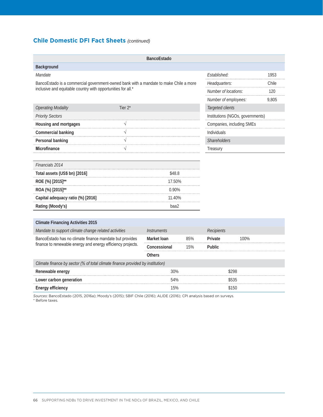## **Chile Domestic DFI Fact Sheets** *(continued)*

|                                                                                       |            | <b>BancoEstado</b> |                      |                                  |              |       |  |  |
|---------------------------------------------------------------------------------------|------------|--------------------|----------------------|----------------------------------|--------------|-------|--|--|
| Background                                                                            |            |                    |                      |                                  |              |       |  |  |
| Mandate                                                                               |            |                    |                      | Established:                     |              | 1953  |  |  |
| BancoEstado is a commercial government-owned bank with a mandate to make Chile a more |            |                    |                      | Headquarters:                    | Chile        |       |  |  |
| inclusive and equitable country with opportunities for all.*                          |            |                    | Number of locations: |                                  | 120          |       |  |  |
|                                                                                       |            |                    |                      | Number of employees:             |              | 9,805 |  |  |
| <b>Operating Modality</b>                                                             | Tier $2^*$ |                    |                      | Targeted clients                 |              |       |  |  |
| <b>Priority Sectors</b>                                                               |            |                    |                      | Institutions (NGOs, governments) |              |       |  |  |
| Housing and mortgages                                                                 | V          |                    |                      | Companies, including SMEs        |              |       |  |  |
| Commercial banking                                                                    | $\sqrt{}$  |                    |                      | Individuals                      |              |       |  |  |
| Personal banking                                                                      | V          |                    |                      |                                  | Shareholders |       |  |  |
| <b>Microfinance</b>                                                                   | $\sqrt{}$  |                    |                      |                                  | Treasury     |       |  |  |
|                                                                                       |            |                    |                      |                                  |              |       |  |  |
| Financials 2014                                                                       |            |                    |                      |                                  |              |       |  |  |
| Total assets (US\$ bn) [2016]<br>\$48.8                                               |            |                    |                      |                                  |              |       |  |  |
| ROE (%) [2015]**                                                                      | 17.50%     |                    |                      |                                  |              |       |  |  |
| ROA (%) [2015]**                                                                      |            | 0.90%              |                      |                                  |              |       |  |  |
| Capital adequacy ratio (%) [2016]                                                     |            | 11.40%             |                      |                                  |              |       |  |  |
| Rating (Moody's)                                                                      |            | baa2               |                      |                                  |              |       |  |  |
|                                                                                       |            |                    |                      |                                  |              |       |  |  |
| <b>Climate Financing Activities 2015</b>                                              |            |                    |                      |                                  |              |       |  |  |
| Mandate to support climate change related activities                                  |            | <b>Instruments</b> |                      | Recipients                       |              |       |  |  |
| BancoEstado has no climate finance mandate but provides                               |            | Market Ioan        | 85%                  | Private                          | 100%         |       |  |  |
| finance to renewable energy and energy efficiency projects.                           |            | Concessional       | 15%                  | Public                           |              |       |  |  |
|                                                                                       |            | <b>Others</b>      |                      |                                  |              |       |  |  |
| Climate finance by sector (% of total climate finance provided by institution)        |            |                    |                      |                                  |              |       |  |  |
| Renewable energy                                                                      |            | 30%                |                      | \$298                            |              |       |  |  |
| Lower carbon generation                                                               | 54%        |                    |                      |                                  | \$535        |       |  |  |
| <b>Energy efficiency</b>                                                              |            | 15%                |                      |                                  | \$150        |       |  |  |

*Sources*: BancoEstado (2015, 2016a); Moody's (2015); SBIF Chile (2016); ALIDE (2016); CPI analysis based on surveys. \* Before taxes.